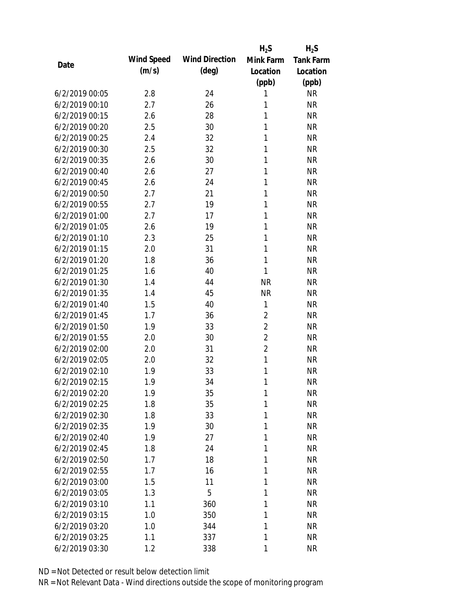|                |            |                       | $H_2S$         | $H_2S$           |
|----------------|------------|-----------------------|----------------|------------------|
| Date           | Wind Speed | <b>Wind Direction</b> | Mink Farm      | <b>Tank Farm</b> |
|                | (m/s)      | $(\text{deg})$        | Location       | Location         |
|                |            |                       | (ppb)          | (ppb)            |
| 6/2/2019 00:05 | 2.8        | 24                    | 1              | <b>NR</b>        |
| 6/2/2019 00:10 | 2.7        | 26                    | 1              | <b>NR</b>        |
| 6/2/2019 00:15 | 2.6        | 28                    | $\mathbf{1}$   | <b>NR</b>        |
| 6/2/2019 00:20 | 2.5        | 30                    | 1              | <b>NR</b>        |
| 6/2/2019 00:25 | 2.4        | 32                    | 1              | <b>NR</b>        |
| 6/2/2019 00:30 | 2.5        | 32                    | 1              | <b>NR</b>        |
| 6/2/2019 00:35 | 2.6        | 30                    | 1              | <b>NR</b>        |
| 6/2/2019 00:40 | 2.6        | 27                    | 1              | <b>NR</b>        |
| 6/2/2019 00:45 | 2.6        | 24                    | $\mathbf{1}$   | <b>NR</b>        |
| 6/2/2019 00:50 | 2.7        | 21                    | $\mathbf{1}$   | <b>NR</b>        |
| 6/2/2019 00:55 | 2.7        | 19                    | 1              | <b>NR</b>        |
| 6/2/2019 01:00 | 2.7        | 17                    | 1              | <b>NR</b>        |
| 6/2/2019 01:05 | 2.6        | 19                    | 1              | <b>NR</b>        |
| 6/2/2019 01:10 | 2.3        | 25                    | 1              | <b>NR</b>        |
| 6/2/2019 01:15 | 2.0        | 31                    | $\mathbf{1}$   | <b>NR</b>        |
| 6/2/2019 01:20 | 1.8        | 36                    | 1              | <b>NR</b>        |
| 6/2/2019 01:25 | 1.6        | 40                    | 1              | <b>NR</b>        |
| 6/2/2019 01:30 | 1.4        | 44                    | <b>NR</b>      | <b>NR</b>        |
| 6/2/2019 01:35 | 1.4        | 45                    | <b>NR</b>      | <b>NR</b>        |
| 6/2/2019 01:40 | 1.5        | 40                    | 1              | <b>NR</b>        |
| 6/2/2019 01:45 | 1.7        | 36                    | $\overline{2}$ | <b>NR</b>        |
| 6/2/2019 01:50 | 1.9        | 33                    | $\overline{2}$ | <b>NR</b>        |
| 6/2/2019 01:55 | 2.0        | 30                    | $\overline{2}$ | <b>NR</b>        |
| 6/2/2019 02:00 | 2.0        | 31                    | $\overline{2}$ | <b>NR</b>        |
| 6/2/2019 02:05 | 2.0        | 32                    | $\mathbf{1}$   | <b>NR</b>        |
| 6/2/2019 02:10 | 1.9        | 33                    | 1              | <b>NR</b>        |
| 6/2/2019 02:15 | 1.9        | 34                    | 1              | <b>NR</b>        |
| 6/2/2019 02:20 | 1.9        | 35                    | 1              | <b>NR</b>        |
| 6/2/2019 02:25 | 1.8        | 35                    | 1              | <b>NR</b>        |
| 6/2/2019 02:30 | 1.8        | 33                    | 1              | <b>NR</b>        |
| 6/2/2019 02:35 | 1.9        | 30                    | 1              | <b>NR</b>        |
| 6/2/2019 02:40 | 1.9        | 27                    | 1              | <b>NR</b>        |
| 6/2/2019 02:45 | 1.8        | 24                    | 1              | <b>NR</b>        |
| 6/2/2019 02:50 | 1.7        | 18                    | 1              | <b>NR</b>        |
| 6/2/2019 02:55 | 1.7        | 16                    | 1              | <b>NR</b>        |
| 6/2/2019 03:00 | 1.5        | 11                    | 1              | <b>NR</b>        |
| 6/2/2019 03:05 | 1.3        | 5                     | 1              | <b>NR</b>        |
| 6/2/2019 03:10 | 1.1        | 360                   | 1              | <b>NR</b>        |
| 6/2/2019 03:15 | 1.0        | 350                   | 1              | <b>NR</b>        |
| 6/2/2019 03:20 | 1.0        | 344                   | 1              | <b>NR</b>        |
| 6/2/2019 03:25 | 1.1        | 337                   | 1              | <b>NR</b>        |
| 6/2/2019 03:30 | 1.2        | 338                   | 1              | <b>NR</b>        |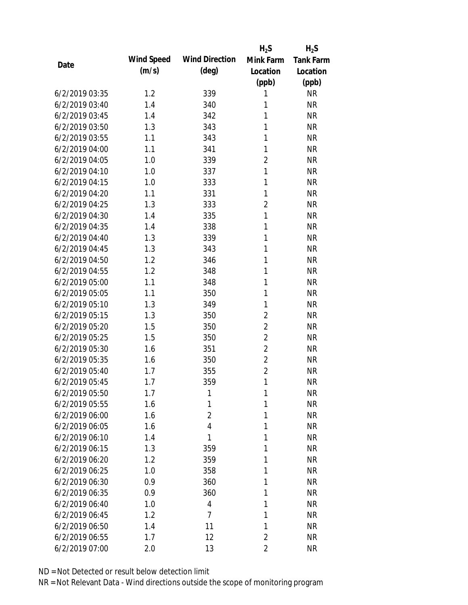|                |            |                       | $H_2S$         | $H_2S$           |
|----------------|------------|-----------------------|----------------|------------------|
| Date           | Wind Speed | <b>Wind Direction</b> | Mink Farm      | <b>Tank Farm</b> |
|                | (m/s)      | $(\text{deg})$        | Location       | Location         |
|                |            |                       | (ppb)          | (ppb)            |
| 6/2/2019 03:35 | 1.2        | 339                   | 1              | <b>NR</b>        |
| 6/2/2019 03:40 | 1.4        | 340                   | 1              | <b>NR</b>        |
| 6/2/2019 03:45 | 1.4        | 342                   | $\mathbf{1}$   | <b>NR</b>        |
| 6/2/2019 03:50 | 1.3        | 343                   | 1              | <b>NR</b>        |
| 6/2/2019 03:55 | 1.1        | 343                   | $\mathbf{1}$   | <b>NR</b>        |
| 6/2/2019 04:00 | 1.1        | 341                   | 1              | <b>NR</b>        |
| 6/2/2019 04:05 | 1.0        | 339                   | $\overline{2}$ | <b>NR</b>        |
| 6/2/2019 04:10 | 1.0        | 337                   | $\mathbf{1}$   | <b>NR</b>        |
| 6/2/2019 04:15 | 1.0        | 333                   | $\mathbf{1}$   | <b>NR</b>        |
| 6/2/2019 04:20 | 1.1        | 331                   | $\mathbf{1}$   | <b>NR</b>        |
| 6/2/2019 04:25 | 1.3        | 333                   | $\overline{2}$ | <b>NR</b>        |
| 6/2/2019 04:30 | 1.4        | 335                   | $\mathbf{1}$   | <b>NR</b>        |
| 6/2/2019 04:35 | 1.4        | 338                   | 1              | <b>NR</b>        |
| 6/2/2019 04:40 | 1.3        | 339                   | $\mathbf{1}$   | <b>NR</b>        |
| 6/2/2019 04:45 | 1.3        | 343                   | $\mathbf{1}$   | <b>NR</b>        |
| 6/2/2019 04:50 | 1.2        | 346                   | 1              | <b>NR</b>        |
| 6/2/2019 04:55 | 1.2        | 348                   | 1              | <b>NR</b>        |
| 6/2/2019 05:00 | 1.1        | 348                   | $\mathbf{1}$   | <b>NR</b>        |
| 6/2/2019 05:05 | 1.1        | 350                   | 1              | <b>NR</b>        |
| 6/2/2019 05:10 | 1.3        | 349                   | $\mathbf{1}$   | <b>NR</b>        |
| 6/2/2019 05:15 | 1.3        | 350                   | $\overline{2}$ | <b>NR</b>        |
| 6/2/2019 05:20 | 1.5        | 350                   | $\overline{2}$ | <b>NR</b>        |
| 6/2/2019 05:25 | 1.5        | 350                   | $\overline{2}$ | <b>NR</b>        |
| 6/2/2019 05:30 | 1.6        | 351                   | $\overline{2}$ | <b>NR</b>        |
| 6/2/2019 05:35 | 1.6        | 350                   | $\overline{2}$ | <b>NR</b>        |
| 6/2/2019 05:40 | 1.7        | 355                   | $\overline{2}$ | <b>NR</b>        |
| 6/2/2019 05:45 | 1.7        | 359                   | 1              | <b>NR</b>        |
| 6/2/2019 05:50 | 1.7        | 1                     | 1              | <b>NR</b>        |
| 6/2/2019 05:55 | 1.6        | 1                     | 1              | <b>NR</b>        |
| 6/2/2019 06:00 | 1.6        | $\overline{2}$        | 1              | <b>NR</b>        |
| 6/2/2019 06:05 | 1.6        | 4                     | 1              | <b>NR</b>        |
| 6/2/2019 06:10 | 1.4        | 1                     | 1              | <b>NR</b>        |
| 6/2/2019 06:15 | 1.3        | 359                   | 1              | <b>NR</b>        |
| 6/2/2019 06:20 | 1.2        | 359                   | 1              | <b>NR</b>        |
| 6/2/2019 06:25 | 1.0        | 358                   | 1              | <b>NR</b>        |
| 6/2/2019 06:30 | 0.9        | 360                   | 1              | <b>NR</b>        |
| 6/2/2019 06:35 | 0.9        | 360                   | 1              | <b>NR</b>        |
| 6/2/2019 06:40 | 1.0        | 4                     | 1              | <b>NR</b>        |
| 6/2/2019 06:45 | 1.2        | $\overline{7}$        | 1              | <b>NR</b>        |
| 6/2/2019 06:50 | 1.4        | 11                    | 1              | <b>NR</b>        |
| 6/2/2019 06:55 | 1.7        | 12                    | $\overline{2}$ | <b>NR</b>        |
|                |            |                       |                |                  |
| 6/2/2019 07:00 | 2.0        | 13                    | $\overline{2}$ | <b>NR</b>        |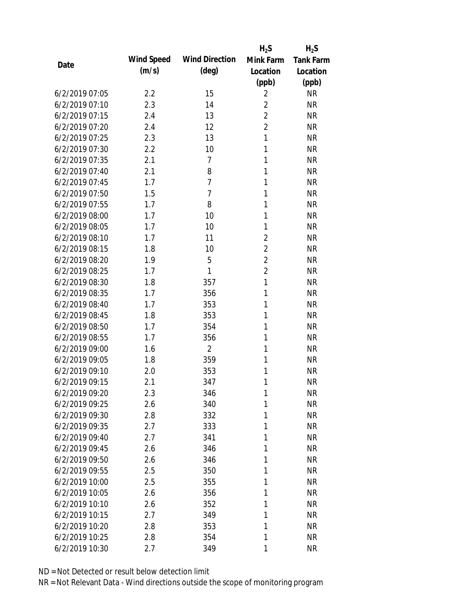|                |            |                       | $H_2S$         | $H_2S$           |
|----------------|------------|-----------------------|----------------|------------------|
| Date           | Wind Speed | <b>Wind Direction</b> | Mink Farm      | <b>Tank Farm</b> |
|                | (m/s)      | $(\text{deg})$        | Location       | Location         |
|                |            |                       | (ppb)          | (ppb)            |
| 6/2/2019 07:05 | 2.2        | 15                    | $\overline{2}$ | <b>NR</b>        |
| 6/2/2019 07:10 | 2.3        | 14                    | $\overline{2}$ | <b>NR</b>        |
| 6/2/2019 07:15 | 2.4        | 13                    | $\overline{2}$ | <b>NR</b>        |
| 6/2/2019 07:20 | 2.4        | 12                    | $\overline{2}$ | <b>NR</b>        |
| 6/2/2019 07:25 | 2.3        | 13                    | $\mathbf{1}$   | <b>NR</b>        |
| 6/2/2019 07:30 | 2.2        | 10                    | 1              | <b>NR</b>        |
| 6/2/2019 07:35 | 2.1        | 7                     | 1              | <b>NR</b>        |
| 6/2/2019 07:40 | 2.1        | 8                     | $\mathbf{1}$   | <b>NR</b>        |
| 6/2/2019 07:45 | 1.7        | $\overline{7}$        | $\mathbf{1}$   | <b>NR</b>        |
| 6/2/2019 07:50 | 1.5        | $\overline{7}$        | 1              | <b>NR</b>        |
| 6/2/2019 07:55 | 1.7        | 8                     | 1              | <b>NR</b>        |
| 6/2/2019 08:00 | 1.7        | 10                    | 1              | <b>NR</b>        |
| 6/2/2019 08:05 | 1.7        | 10                    | 1              | <b>NR</b>        |
| 6/2/2019 08:10 | 1.7        | 11                    | $\overline{2}$ | <b>NR</b>        |
| 6/2/2019 08:15 | 1.8        | 10                    | $\overline{2}$ | <b>NR</b>        |
| 6/2/2019 08:20 | 1.9        | 5                     | $\overline{2}$ | <b>NR</b>        |
| 6/2/2019 08:25 | 1.7        | 1                     | $\overline{2}$ | <b>NR</b>        |
| 6/2/2019 08:30 | 1.8        | 357                   | $\mathbf{1}$   | <b>NR</b>        |
| 6/2/2019 08:35 | 1.7        | 356                   | $\mathbf{1}$   | <b>NR</b>        |
| 6/2/2019 08:40 | 1.7        | 353                   | 1              | <b>NR</b>        |
| 6/2/2019 08:45 | 1.8        | 353                   | 1              | <b>NR</b>        |
| 6/2/2019 08:50 | 1.7        | 354                   | 1              | <b>NR</b>        |
| 6/2/2019 08:55 | 1.7        | 356                   | 1              | <b>NR</b>        |
| 6/2/2019 09:00 | 1.6        | $\overline{2}$        | 1              | <b>NR</b>        |
| 6/2/2019 09:05 | 1.8        | 359                   | 1              | <b>NR</b>        |
| 6/2/2019 09:10 | 2.0        | 353                   | 1              | <b>NR</b>        |
| 6/2/2019 09:15 | 2.1        | 347                   | 1              | <b>NR</b>        |
| 6/2/2019 09:20 | 2.3        | 346                   | 1              | <b>NR</b>        |
| 6/2/2019 09:25 | 2.6        | 340                   | 1              | <b>NR</b>        |
| 6/2/2019 09:30 | 2.8        | 332                   | 1              | <b>NR</b>        |
| 6/2/2019 09:35 | 2.7        | 333                   | 1              | <b>NR</b>        |
| 6/2/2019 09:40 | 2.7        | 341                   | 1              | <b>NR</b>        |
| 6/2/2019 09:45 | 2.6        | 346                   | 1              | <b>NR</b>        |
| 6/2/2019 09:50 | 2.6        | 346                   | 1              | <b>NR</b>        |
| 6/2/2019 09:55 | 2.5        | 350                   | 1              | <b>NR</b>        |
| 6/2/2019 10:00 | 2.5        | 355                   | 1              | <b>NR</b>        |
| 6/2/2019 10:05 | 2.6        | 356                   | 1              | <b>NR</b>        |
| 6/2/2019 10:10 | 2.6        | 352                   | 1              | <b>NR</b>        |
| 6/2/2019 10:15 | 2.7        | 349                   | 1              | <b>NR</b>        |
| 6/2/2019 10:20 | 2.8        | 353                   | 1              | <b>NR</b>        |
| 6/2/2019 10:25 | 2.8        | 354                   | 1              | <b>NR</b>        |
|                |            |                       |                |                  |
| 6/2/2019 10:30 | 2.7        | 349                   | 1              | <b>NR</b>        |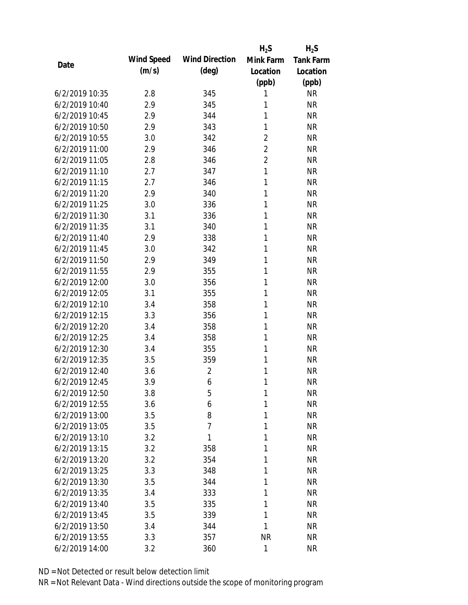|                |            |                       | $H_2S$         | $H_2S$           |
|----------------|------------|-----------------------|----------------|------------------|
| Date           | Wind Speed | <b>Wind Direction</b> | Mink Farm      | <b>Tank Farm</b> |
|                | (m/s)      | $(\text{deg})$        | Location       | Location         |
|                |            |                       | (ppb)          | (ppb)            |
| 6/2/2019 10:35 | 2.8        | 345                   | 1              | <b>NR</b>        |
| 6/2/2019 10:40 | 2.9        | 345                   | 1              | <b>NR</b>        |
| 6/2/2019 10:45 | 2.9        | 344                   | 1              | <b>NR</b>        |
| 6/2/2019 10:50 | 2.9        | 343                   | 1              | <b>NR</b>        |
| 6/2/2019 10:55 | 3.0        | 342                   | $\overline{2}$ | <b>NR</b>        |
| 6/2/2019 11:00 | 2.9        | 346                   | $\overline{2}$ | <b>NR</b>        |
| 6/2/2019 11:05 | 2.8        | 346                   | $\overline{2}$ | <b>NR</b>        |
| 6/2/2019 11:10 | 2.7        | 347                   | $\mathbf{1}$   | <b>NR</b>        |
| 6/2/2019 11:15 | 2.7        | 346                   | 1              | <b>NR</b>        |
| 6/2/2019 11:20 | 2.9        | 340                   | 1              | <b>NR</b>        |
| 6/2/2019 11:25 | 3.0        | 336                   | 1              | <b>NR</b>        |
| 6/2/2019 11:30 | 3.1        | 336                   | 1              | <b>NR</b>        |
| 6/2/2019 11:35 | 3.1        | 340                   | 1              | <b>NR</b>        |
| 6/2/2019 11:40 | 2.9        | 338                   | 1              | <b>NR</b>        |
| 6/2/2019 11:45 | 3.0        | 342                   | 1              | <b>NR</b>        |
| 6/2/2019 11:50 | 2.9        | 349                   | 1              | <b>NR</b>        |
| 6/2/2019 11:55 | 2.9        | 355                   | 1              | <b>NR</b>        |
| 6/2/2019 12:00 | 3.0        | 356                   | 1              | <b>NR</b>        |
| 6/2/2019 12:05 | 3.1        | 355                   | 1              | <b>NR</b>        |
| 6/2/2019 12:10 | 3.4        | 358                   | 1              | <b>NR</b>        |
| 6/2/2019 12:15 | 3.3        | 356                   | 1              | <b>NR</b>        |
| 6/2/2019 12:20 | 3.4        | 358                   | 1              | <b>NR</b>        |
| 6/2/2019 12:25 | 3.4        | 358                   | 1              | <b>NR</b>        |
| 6/2/2019 12:30 | 3.4        | 355                   | 1              | <b>NR</b>        |
| 6/2/2019 12:35 | 3.5        | 359                   | 1              | <b>NR</b>        |
| 6/2/2019 12:40 | 3.6        | $\overline{2}$        | 1              | <b>NR</b>        |
| 6/2/2019 12:45 | 3.9        | 6                     | 1              | <b>NR</b>        |
| 6/2/2019 12:50 | 3.8        | 5                     | 1              | <b>NR</b>        |
| 6/2/2019 12:55 | 3.6        | 6                     | 1              | <b>NR</b>        |
| 6/2/2019 13:00 | 3.5        | 8                     | 1              | <b>NR</b>        |
| 6/2/2019 13:05 | 3.5        | $\overline{7}$        | 1              | <b>NR</b>        |
| 6/2/2019 13:10 | 3.2        | 1                     | 1              | <b>NR</b>        |
| 6/2/2019 13:15 | 3.2        | 358                   | 1              | <b>NR</b>        |
| 6/2/2019 13:20 | 3.2        | 354                   | 1              | <b>NR</b>        |
| 6/2/2019 13:25 | 3.3        | 348                   | 1              | <b>NR</b>        |
| 6/2/2019 13:30 | 3.5        | 344                   | 1              | <b>NR</b>        |
| 6/2/2019 13:35 | 3.4        | 333                   | 1              | <b>NR</b>        |
| 6/2/2019 13:40 | 3.5        | 335                   | 1              | <b>NR</b>        |
| 6/2/2019 13:45 | 3.5        | 339                   | 1              | <b>NR</b>        |
| 6/2/2019 13:50 | 3.4        | 344                   | 1              | <b>NR</b>        |
| 6/2/2019 13:55 | 3.3        | 357                   | <b>NR</b>      | <b>NR</b>        |
| 6/2/2019 14:00 | 3.2        | 360                   | 1              | <b>NR</b>        |
|                |            |                       |                |                  |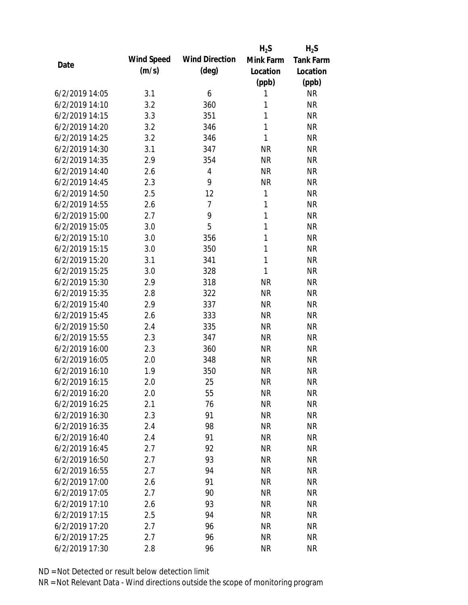|                |            |                       | $H_2S$       | $H_2S$           |
|----------------|------------|-----------------------|--------------|------------------|
| Date           | Wind Speed | <b>Wind Direction</b> | Mink Farm    | <b>Tank Farm</b> |
|                | (m/s)      | $(\text{deg})$        | Location     | Location         |
|                |            |                       | (ppb)        | (ppb)            |
| 6/2/2019 14:05 | 3.1        | 6                     | 1            | <b>NR</b>        |
| 6/2/2019 14:10 | 3.2        | 360                   | 1            | <b>NR</b>        |
| 6/2/2019 14:15 | 3.3        | 351                   | 1            | <b>NR</b>        |
| 6/2/2019 14:20 | 3.2        | 346                   | 1            | <b>NR</b>        |
| 6/2/2019 14:25 | 3.2        | 346                   | 1            | <b>NR</b>        |
| 6/2/2019 14:30 | 3.1        | 347                   | <b>NR</b>    | <b>NR</b>        |
| 6/2/2019 14:35 | 2.9        | 354                   | <b>NR</b>    | <b>NR</b>        |
| 6/2/2019 14:40 | 2.6        | $\overline{4}$        | <b>NR</b>    | <b>NR</b>        |
| 6/2/2019 14:45 | 2.3        | 9                     | <b>NR</b>    | <b>NR</b>        |
| 6/2/2019 14:50 | 2.5        | 12                    | 1            | <b>NR</b>        |
| 6/2/2019 14:55 | 2.6        | $\overline{7}$        | 1            | <b>NR</b>        |
| 6/2/2019 15:00 | 2.7        | 9                     | $\mathbf{1}$ | <b>NR</b>        |
| 6/2/2019 15:05 | 3.0        | 5                     | 1            | <b>NR</b>        |
| 6/2/2019 15:10 | 3.0        | 356                   | 1            | <b>NR</b>        |
| 6/2/2019 15:15 | 3.0        | 350                   | 1            | <b>NR</b>        |
| 6/2/2019 15:20 | 3.1        | 341                   | $\mathbf{1}$ | <b>NR</b>        |
| 6/2/2019 15:25 | 3.0        | 328                   | $\mathbf{1}$ | <b>NR</b>        |
| 6/2/2019 15:30 | 2.9        | 318                   | <b>NR</b>    | <b>NR</b>        |
| 6/2/2019 15:35 | 2.8        | 322                   | <b>NR</b>    | <b>NR</b>        |
| 6/2/2019 15:40 | 2.9        | 337                   | <b>NR</b>    | <b>NR</b>        |
| 6/2/2019 15:45 | 2.6        | 333                   | <b>NR</b>    | <b>NR</b>        |
| 6/2/2019 15:50 | 2.4        | 335                   | <b>NR</b>    | <b>NR</b>        |
| 6/2/2019 15:55 | 2.3        | 347                   | <b>NR</b>    | <b>NR</b>        |
| 6/2/2019 16:00 | 2.3        | 360                   | <b>NR</b>    | <b>NR</b>        |
| 6/2/2019 16:05 | 2.0        | 348                   | <b>NR</b>    | <b>NR</b>        |
| 6/2/2019 16:10 | 1.9        | 350                   | <b>NR</b>    | <b>NR</b>        |
| 6/2/2019 16:15 | 2.0        | 25                    | <b>NR</b>    | <b>NR</b>        |
| 6/2/2019 16:20 | 2.0        | 55                    | <b>NR</b>    | <b>NR</b>        |
| 6/2/2019 16:25 | 2.1        | 76                    | <b>NR</b>    | <b>NR</b>        |
| 6/2/2019 16:30 | 2.3        | 91                    | <b>NR</b>    | <b>NR</b>        |
| 6/2/2019 16:35 | 2.4        | 98                    | <b>NR</b>    | <b>NR</b>        |
| 6/2/2019 16:40 | 2.4        | 91                    | <b>NR</b>    | <b>NR</b>        |
| 6/2/2019 16:45 | 2.7        | 92                    | <b>NR</b>    | <b>NR</b>        |
| 6/2/2019 16:50 | 2.7        | 93                    | <b>NR</b>    | <b>NR</b>        |
| 6/2/2019 16:55 | 2.7        | 94                    | <b>NR</b>    | <b>NR</b>        |
| 6/2/2019 17:00 | 2.6        | 91                    | <b>NR</b>    | <b>NR</b>        |
| 6/2/2019 17:05 | 2.7        | 90                    | <b>NR</b>    | <b>NR</b>        |
| 6/2/2019 17:10 | 2.6        | 93                    | <b>NR</b>    | <b>NR</b>        |
| 6/2/2019 17:15 | 2.5        | 94                    | <b>NR</b>    | <b>NR</b>        |
| 6/2/2019 17:20 | 2.7        | 96                    | <b>NR</b>    | <b>NR</b>        |
| 6/2/2019 17:25 | 2.7        | 96                    | <b>NR</b>    | <b>NR</b>        |
| 6/2/2019 17:30 | 2.8        | 96                    | <b>NR</b>    | <b>NR</b>        |
|                |            |                       |              |                  |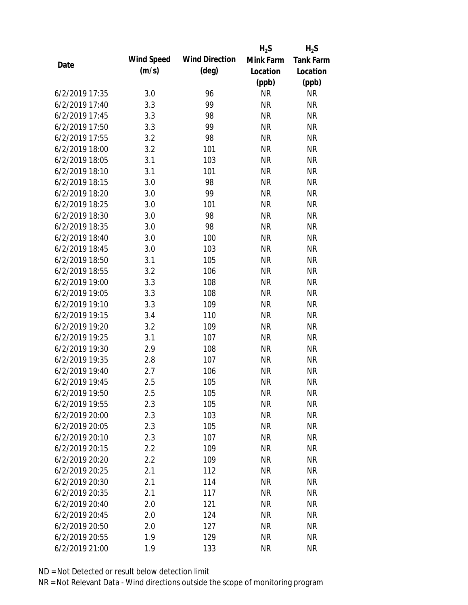|                |            |                       | $H_2S$    | $H_2S$           |
|----------------|------------|-----------------------|-----------|------------------|
| Date           | Wind Speed | <b>Wind Direction</b> | Mink Farm | <b>Tank Farm</b> |
|                | (m/s)      | $(\text{deg})$        | Location  | Location         |
|                |            |                       | (ppb)     | (ppb)            |
| 6/2/2019 17:35 | 3.0        | 96                    | <b>NR</b> | <b>NR</b>        |
| 6/2/2019 17:40 | 3.3        | 99                    | <b>NR</b> | <b>NR</b>        |
| 6/2/2019 17:45 | 3.3        | 98                    | <b>NR</b> | <b>NR</b>        |
| 6/2/2019 17:50 | 3.3        | 99                    | <b>NR</b> | <b>NR</b>        |
| 6/2/2019 17:55 | 3.2        | 98                    | <b>NR</b> | <b>NR</b>        |
| 6/2/2019 18:00 | 3.2        | 101                   | <b>NR</b> | <b>NR</b>        |
| 6/2/2019 18:05 | 3.1        | 103                   | <b>NR</b> | <b>NR</b>        |
| 6/2/2019 18:10 | 3.1        | 101                   | <b>NR</b> | <b>NR</b>        |
| 6/2/2019 18:15 | 3.0        | 98                    | <b>NR</b> | <b>NR</b>        |
| 6/2/2019 18:20 | 3.0        | 99                    | <b>NR</b> | <b>NR</b>        |
| 6/2/2019 18:25 | 3.0        | 101                   | <b>NR</b> | <b>NR</b>        |
| 6/2/2019 18:30 | 3.0        | 98                    | <b>NR</b> | <b>NR</b>        |
| 6/2/2019 18:35 | 3.0        | 98                    | <b>NR</b> | <b>NR</b>        |
| 6/2/2019 18:40 | 3.0        | 100                   | <b>NR</b> | <b>NR</b>        |
| 6/2/2019 18:45 | 3.0        | 103                   | <b>NR</b> | <b>NR</b>        |
| 6/2/2019 18:50 | 3.1        | 105                   | <b>NR</b> | <b>NR</b>        |
| 6/2/2019 18:55 | 3.2        | 106                   | <b>NR</b> | <b>NR</b>        |
| 6/2/2019 19:00 | 3.3        | 108                   | <b>NR</b> | <b>NR</b>        |
| 6/2/2019 19:05 | 3.3        | 108                   | <b>NR</b> | <b>NR</b>        |
| 6/2/2019 19:10 | 3.3        | 109                   | <b>NR</b> | <b>NR</b>        |
| 6/2/2019 19:15 | 3.4        | 110                   | <b>NR</b> | <b>NR</b>        |
| 6/2/2019 19:20 | 3.2        | 109                   | <b>NR</b> | <b>NR</b>        |
| 6/2/2019 19:25 | 3.1        | 107                   | <b>NR</b> | <b>NR</b>        |
| 6/2/2019 19:30 | 2.9        | 108                   | <b>NR</b> | <b>NR</b>        |
| 6/2/2019 19:35 | 2.8        | 107                   | <b>NR</b> | <b>NR</b>        |
| 6/2/2019 19:40 | 2.7        | 106                   | <b>NR</b> | <b>NR</b>        |
| 6/2/2019 19:45 | 2.5        | 105                   | <b>NR</b> | <b>NR</b>        |
| 6/2/2019 19:50 | 2.5        | 105                   | <b>NR</b> | <b>NR</b>        |
| 6/2/2019 19:55 | 2.3        | 105                   | <b>NR</b> | <b>NR</b>        |
| 6/2/2019 20:00 | 2.3        | 103                   | <b>NR</b> | <b>NR</b>        |
| 6/2/2019 20:05 | 2.3        | 105                   | <b>NR</b> | <b>NR</b>        |
| 6/2/2019 20:10 | 2.3        | 107                   | <b>NR</b> | <b>NR</b>        |
| 6/2/2019 20:15 | 2.2        | 109                   | <b>NR</b> | <b>NR</b>        |
| 6/2/2019 20:20 | 2.2        | 109                   | <b>NR</b> | <b>NR</b>        |
| 6/2/2019 20:25 | 2.1        | 112                   | <b>NR</b> | <b>NR</b>        |
| 6/2/2019 20:30 | 2.1        | 114                   | <b>NR</b> | <b>NR</b>        |
| 6/2/2019 20:35 | 2.1        | 117                   | <b>NR</b> | <b>NR</b>        |
| 6/2/2019 20:40 | 2.0        | 121                   | NR        | <b>NR</b>        |
| 6/2/2019 20:45 | 2.0        | 124                   | <b>NR</b> | <b>NR</b>        |
| 6/2/2019 20:50 | 2.0        | 127                   | <b>NR</b> | <b>NR</b>        |
| 6/2/2019 20:55 | 1.9        | 129                   | <b>NR</b> | <b>NR</b>        |
| 6/2/2019 21:00 | 1.9        | 133                   | <b>NR</b> | <b>NR</b>        |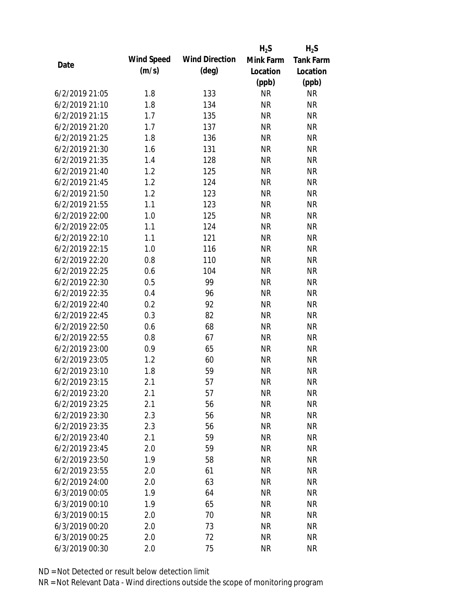|                |            |                       | $H_2S$    | $H_2S$           |
|----------------|------------|-----------------------|-----------|------------------|
|                | Wind Speed | <b>Wind Direction</b> | Mink Farm | <b>Tank Farm</b> |
| Date           | (m/s)      | $(\text{deg})$        | Location  | Location         |
|                |            |                       | (ppb)     | (ppb)            |
| 6/2/2019 21:05 | 1.8        | 133                   | <b>NR</b> | <b>NR</b>        |
| 6/2/2019 21:10 | 1.8        | 134                   | <b>NR</b> | <b>NR</b>        |
| 6/2/2019 21:15 | 1.7        | 135                   | <b>NR</b> | <b>NR</b>        |
| 6/2/2019 21:20 | 1.7        | 137                   | <b>NR</b> | <b>NR</b>        |
| 6/2/2019 21:25 | 1.8        | 136                   | <b>NR</b> | <b>NR</b>        |
| 6/2/2019 21:30 | 1.6        | 131                   | <b>NR</b> | <b>NR</b>        |
| 6/2/2019 21:35 | 1.4        | 128                   | <b>NR</b> | <b>NR</b>        |
| 6/2/2019 21:40 | 1.2        | 125                   | <b>NR</b> | <b>NR</b>        |
| 6/2/2019 21:45 | 1.2        | 124                   | <b>NR</b> | <b>NR</b>        |
| 6/2/2019 21:50 | 1.2        | 123                   | <b>NR</b> | <b>NR</b>        |
| 6/2/2019 21:55 | 1.1        | 123                   | <b>NR</b> | <b>NR</b>        |
| 6/2/2019 22:00 | 1.0        | 125                   | <b>NR</b> | <b>NR</b>        |
| 6/2/2019 22:05 | 1.1        | 124                   | <b>NR</b> | <b>NR</b>        |
| 6/2/2019 22:10 | 1.1        | 121                   | <b>NR</b> | <b>NR</b>        |
| 6/2/2019 22:15 | 1.0        | 116                   | <b>NR</b> | <b>NR</b>        |
| 6/2/2019 22:20 | 0.8        | 110                   | <b>NR</b> | <b>NR</b>        |
| 6/2/2019 22:25 | 0.6        | 104                   | <b>NR</b> | <b>NR</b>        |
| 6/2/2019 22:30 | 0.5        | 99                    | <b>NR</b> | <b>NR</b>        |
| 6/2/2019 22:35 | 0.4        | 96                    | <b>NR</b> | <b>NR</b>        |
| 6/2/2019 22:40 | 0.2        | 92                    | <b>NR</b> | <b>NR</b>        |
| 6/2/2019 22:45 | 0.3        | 82                    | <b>NR</b> | <b>NR</b>        |
| 6/2/2019 22:50 | 0.6        | 68                    | <b>NR</b> | <b>NR</b>        |
| 6/2/2019 22:55 | 0.8        | 67                    | <b>NR</b> | <b>NR</b>        |
| 6/2/2019 23:00 | 0.9        | 65                    | <b>NR</b> | <b>NR</b>        |
| 6/2/2019 23:05 | 1.2        | 60                    | <b>NR</b> | <b>NR</b>        |
| 6/2/2019 23:10 | 1.8        | 59                    | <b>NR</b> | <b>NR</b>        |
| 6/2/2019 23:15 | 2.1        | 57                    | <b>NR</b> | <b>NR</b>        |
| 6/2/2019 23:20 | 2.1        | 57                    | <b>NR</b> | <b>NR</b>        |
| 6/2/2019 23:25 | 2.1        | 56                    | <b>NR</b> | <b>NR</b>        |
| 6/2/2019 23:30 | 2.3        | 56                    | <b>NR</b> | <b>NR</b>        |
| 6/2/2019 23:35 | 2.3        | 56                    | <b>NR</b> | <b>NR</b>        |
| 6/2/2019 23:40 | 2.1        | 59                    | <b>NR</b> | <b>NR</b>        |
| 6/2/2019 23:45 | 2.0        | 59                    | <b>NR</b> | <b>NR</b>        |
| 6/2/2019 23:50 | 1.9        | 58                    | <b>NR</b> | <b>NR</b>        |
| 6/2/2019 23:55 | 2.0        | 61                    | <b>NR</b> | <b>NR</b>        |
| 6/2/2019 24:00 | 2.0        | 63                    | <b>NR</b> | <b>NR</b>        |
| 6/3/2019 00:05 | 1.9        | 64                    | <b>NR</b> | <b>NR</b>        |
| 6/3/2019 00:10 | 1.9        | 65                    | <b>NR</b> | <b>NR</b>        |
| 6/3/2019 00:15 | 2.0        | 70                    | <b>NR</b> | <b>NR</b>        |
| 6/3/2019 00:20 | 2.0        | 73                    | <b>NR</b> | <b>NR</b>        |
| 6/3/2019 00:25 | 2.0        | 72                    | <b>NR</b> | <b>NR</b>        |
| 6/3/2019 00:30 | 2.0        | 75                    | <b>NR</b> | <b>NR</b>        |
|                |            |                       |           |                  |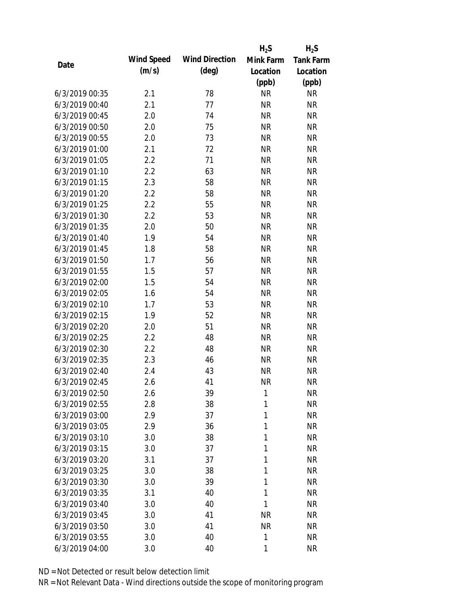|                |            |                       | $H_2S$    | $H_2S$           |
|----------------|------------|-----------------------|-----------|------------------|
|                | Wind Speed | <b>Wind Direction</b> | Mink Farm | <b>Tank Farm</b> |
| Date           | (m/s)      | $(\text{deg})$        | Location  | Location         |
|                |            |                       | (ppb)     | (ppb)            |
| 6/3/2019 00:35 | 2.1        | 78                    | <b>NR</b> | <b>NR</b>        |
| 6/3/2019 00:40 | 2.1        | 77                    | <b>NR</b> | <b>NR</b>        |
| 6/3/2019 00:45 | 2.0        | 74                    | <b>NR</b> | <b>NR</b>        |
| 6/3/2019 00:50 | 2.0        | 75                    | <b>NR</b> | <b>NR</b>        |
| 6/3/2019 00:55 | 2.0        | 73                    | <b>NR</b> | <b>NR</b>        |
| 6/3/2019 01:00 | 2.1        | 72                    | <b>NR</b> | <b>NR</b>        |
| 6/3/2019 01:05 | 2.2        | 71                    | <b>NR</b> | <b>NR</b>        |
| 6/3/2019 01:10 | 2.2        | 63                    | <b>NR</b> | <b>NR</b>        |
| 6/3/2019 01:15 | 2.3        | 58                    | <b>NR</b> | <b>NR</b>        |
| 6/3/2019 01:20 | 2.2        | 58                    | <b>NR</b> | <b>NR</b>        |
| 6/3/2019 01:25 | 2.2        | 55                    | <b>NR</b> | <b>NR</b>        |
| 6/3/2019 01:30 | 2.2        | 53                    | <b>NR</b> | <b>NR</b>        |
| 6/3/2019 01:35 | 2.0        | 50                    | <b>NR</b> | <b>NR</b>        |
| 6/3/2019 01:40 | 1.9        | 54                    | <b>NR</b> | <b>NR</b>        |
| 6/3/2019 01:45 | 1.8        | 58                    | <b>NR</b> | <b>NR</b>        |
| 6/3/2019 01:50 | 1.7        | 56                    | <b>NR</b> | <b>NR</b>        |
| 6/3/2019 01:55 | 1.5        | 57                    | <b>NR</b> | <b>NR</b>        |
| 6/3/2019 02:00 | 1.5        | 54                    | <b>NR</b> | <b>NR</b>        |
| 6/3/2019 02:05 | 1.6        | 54                    | <b>NR</b> | <b>NR</b>        |
| 6/3/2019 02:10 | 1.7        | 53                    | <b>NR</b> | <b>NR</b>        |
| 6/3/2019 02:15 | 1.9        | 52                    | <b>NR</b> | <b>NR</b>        |
| 6/3/2019 02:20 | 2.0        | 51                    | <b>NR</b> | <b>NR</b>        |
| 6/3/2019 02:25 | 2.2        | 48                    | <b>NR</b> | <b>NR</b>        |
| 6/3/2019 02:30 | 2.2        | 48                    | <b>NR</b> | <b>NR</b>        |
| 6/3/2019 02:35 | 2.3        | 46                    | <b>NR</b> | <b>NR</b>        |
| 6/3/2019 02:40 | 2.4        | 43                    | <b>NR</b> | <b>NR</b>        |
| 6/3/2019 02:45 | 2.6        | 41                    | <b>NR</b> | <b>NR</b>        |
| 6/3/2019 02:50 | 2.6        | 39                    | 1         | <b>NR</b>        |
| 6/3/2019 02:55 | 2.8        | 38                    | 1         | <b>NR</b>        |
| 6/3/2019 03:00 | 2.9        | 37                    | 1         | <b>NR</b>        |
| 6/3/2019 03:05 | 2.9        | 36                    | 1         | <b>NR</b>        |
| 6/3/2019 03:10 | 3.0        | 38                    | 1         | <b>NR</b>        |
| 6/3/2019 03:15 | 3.0        | 37                    | 1         | <b>NR</b>        |
| 6/3/2019 03:20 | 3.1        | 37                    | 1         | <b>NR</b>        |
| 6/3/2019 03:25 | 3.0        | 38                    | 1         | <b>NR</b>        |
| 6/3/2019 03:30 | 3.0        | 39                    | 1         | <b>NR</b>        |
| 6/3/2019 03:35 | 3.1        | 40                    | 1         | <b>NR</b>        |
| 6/3/2019 03:40 | 3.0        | 40                    | 1         | <b>NR</b>        |
| 6/3/2019 03:45 | 3.0        | 41                    | <b>NR</b> | <b>NR</b>        |
| 6/3/2019 03:50 | 3.0        | 41                    | <b>NR</b> | <b>NR</b>        |
| 6/3/2019 03:55 | 3.0        | 40                    | 1         | <b>NR</b>        |
| 6/3/2019 04:00 |            | 40                    | 1         | <b>NR</b>        |
|                | 3.0        |                       |           |                  |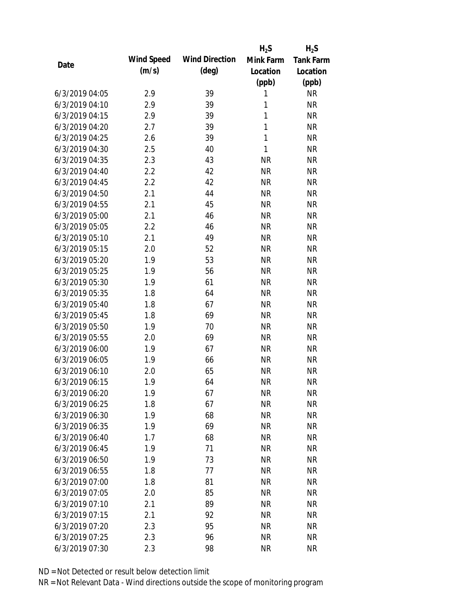|                |            |                       | $H_2S$       | $H_2S$           |
|----------------|------------|-----------------------|--------------|------------------|
|                | Wind Speed | <b>Wind Direction</b> | Mink Farm    | <b>Tank Farm</b> |
| Date           | (m/s)      | $(\text{deg})$        | Location     | Location         |
|                |            |                       | (ppb)        | (ppb)            |
| 6/3/2019 04:05 | 2.9        | 39                    | 1            | <b>NR</b>        |
| 6/3/2019 04:10 | 2.9        | 39                    | 1            | <b>NR</b>        |
| 6/3/2019 04:15 | 2.9        | 39                    | 1            | <b>NR</b>        |
| 6/3/2019 04:20 | 2.7        | 39                    | $\mathbf{1}$ | <b>NR</b>        |
| 6/3/2019 04:25 | 2.6        | 39                    | $\mathbf{1}$ | <b>NR</b>        |
| 6/3/2019 04:30 | 2.5        | 40                    | 1            | <b>NR</b>        |
| 6/3/2019 04:35 | 2.3        | 43                    | <b>NR</b>    | <b>NR</b>        |
| 6/3/2019 04:40 | 2.2        | 42                    | <b>NR</b>    | <b>NR</b>        |
| 6/3/2019 04:45 | 2.2        | 42                    | <b>NR</b>    | <b>NR</b>        |
| 6/3/2019 04:50 | 2.1        | 44                    | <b>NR</b>    | <b>NR</b>        |
| 6/3/2019 04:55 | 2.1        | 45                    | <b>NR</b>    | <b>NR</b>        |
| 6/3/2019 05:00 | 2.1        | 46                    | <b>NR</b>    | <b>NR</b>        |
| 6/3/2019 05:05 | 2.2        | 46                    | <b>NR</b>    | <b>NR</b>        |
| 6/3/2019 05:10 | 2.1        | 49                    | <b>NR</b>    | <b>NR</b>        |
| 6/3/2019 05:15 | 2.0        | 52                    | <b>NR</b>    | <b>NR</b>        |
| 6/3/2019 05:20 | 1.9        | 53                    | <b>NR</b>    | <b>NR</b>        |
| 6/3/2019 05:25 | 1.9        | 56                    | <b>NR</b>    | <b>NR</b>        |
| 6/3/2019 05:30 | 1.9        | 61                    | <b>NR</b>    | <b>NR</b>        |
| 6/3/2019 05:35 | 1.8        | 64                    | <b>NR</b>    | <b>NR</b>        |
| 6/3/2019 05:40 | 1.8        | 67                    | <b>NR</b>    | <b>NR</b>        |
| 6/3/2019 05:45 | 1.8        | 69                    | <b>NR</b>    | <b>NR</b>        |
| 6/3/2019 05:50 | 1.9        | 70                    | <b>NR</b>    | <b>NR</b>        |
| 6/3/2019 05:55 | 2.0        | 69                    | <b>NR</b>    | <b>NR</b>        |
| 6/3/2019 06:00 | 1.9        | 67                    | <b>NR</b>    | <b>NR</b>        |
| 6/3/2019 06:05 | 1.9        | 66                    | <b>NR</b>    | <b>NR</b>        |
| 6/3/2019 06:10 | 2.0        | 65                    | <b>NR</b>    | <b>NR</b>        |
| 6/3/2019 06:15 | 1.9        | 64                    | <b>NR</b>    | <b>NR</b>        |
| 6/3/2019 06:20 | 1.9        | 67                    | <b>NR</b>    | <b>NR</b>        |
| 6/3/2019 06:25 | 1.8        | 67                    | <b>NR</b>    | <b>NR</b>        |
| 6/3/2019 06:30 | 1.9        | 68                    | <b>NR</b>    | <b>NR</b>        |
| 6/3/2019 06:35 | 1.9        | 69                    | <b>NR</b>    | <b>NR</b>        |
| 6/3/2019 06:40 | 1.7        | 68                    | <b>NR</b>    | <b>NR</b>        |
| 6/3/2019 06:45 | 1.9        | 71                    | <b>NR</b>    | <b>NR</b>        |
| 6/3/2019 06:50 | 1.9        | 73                    | <b>NR</b>    | <b>NR</b>        |
| 6/3/2019 06:55 | 1.8        | 77                    | <b>NR</b>    | <b>NR</b>        |
| 6/3/2019 07:00 | 1.8        | 81                    | <b>NR</b>    | <b>NR</b>        |
| 6/3/2019 07:05 | 2.0        | 85                    | <b>NR</b>    | <b>NR</b>        |
| 6/3/2019 07:10 | 2.1        | 89                    | <b>NR</b>    | <b>NR</b>        |
| 6/3/2019 07:15 | 2.1        | 92                    | <b>NR</b>    | <b>NR</b>        |
| 6/3/2019 07:20 | 2.3        | 95                    | <b>NR</b>    | <b>NR</b>        |
| 6/3/2019 07:25 | 2.3        | 96                    | <b>NR</b>    | <b>NR</b>        |
| 6/3/2019 07:30 | 2.3        | 98                    | <b>NR</b>    | <b>NR</b>        |
|                |            |                       |              |                  |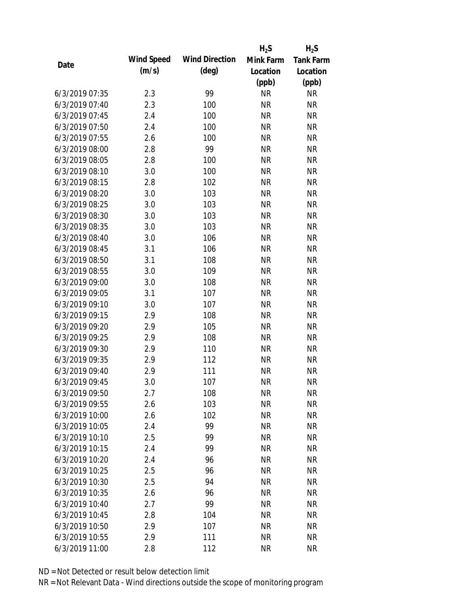|                |            |                       | $H_2S$    | $H_2S$           |
|----------------|------------|-----------------------|-----------|------------------|
| Date           | Wind Speed | <b>Wind Direction</b> | Mink Farm | <b>Tank Farm</b> |
|                | (m/s)      | $(\text{deg})$        | Location  | Location         |
|                |            |                       | (ppb)     | (ppb)            |
| 6/3/2019 07:35 | 2.3        | 99                    | <b>NR</b> | <b>NR</b>        |
| 6/3/2019 07:40 | 2.3        | 100                   | <b>NR</b> | <b>NR</b>        |
| 6/3/2019 07:45 | 2.4        | 100                   | <b>NR</b> | <b>NR</b>        |
| 6/3/2019 07:50 | 2.4        | 100                   | <b>NR</b> | <b>NR</b>        |
| 6/3/2019 07:55 | 2.6        | 100                   | <b>NR</b> | <b>NR</b>        |
| 6/3/2019 08:00 | 2.8        | 99                    | <b>NR</b> | <b>NR</b>        |
| 6/3/2019 08:05 | 2.8        | 100                   | <b>NR</b> | <b>NR</b>        |
| 6/3/2019 08:10 | 3.0        | 100                   | <b>NR</b> | <b>NR</b>        |
| 6/3/2019 08:15 | 2.8        | 102                   | <b>NR</b> | <b>NR</b>        |
| 6/3/2019 08:20 | 3.0        | 103                   | <b>NR</b> | <b>NR</b>        |
| 6/3/2019 08:25 | 3.0        | 103                   | <b>NR</b> | <b>NR</b>        |
| 6/3/2019 08:30 | 3.0        | 103                   | <b>NR</b> | <b>NR</b>        |
| 6/3/2019 08:35 | 3.0        | 103                   | <b>NR</b> | <b>NR</b>        |
| 6/3/2019 08:40 | 3.0        | 106                   | <b>NR</b> | <b>NR</b>        |
| 6/3/2019 08:45 | 3.1        | 106                   | <b>NR</b> | <b>NR</b>        |
| 6/3/2019 08:50 | 3.1        | 108                   | <b>NR</b> | <b>NR</b>        |
| 6/3/2019 08:55 | 3.0        | 109                   | <b>NR</b> | <b>NR</b>        |
| 6/3/2019 09:00 | 3.0        | 108                   | <b>NR</b> | <b>NR</b>        |
| 6/3/2019 09:05 | 3.1        | 107                   | <b>NR</b> | <b>NR</b>        |
| 6/3/2019 09:10 | 3.0        | 107                   | <b>NR</b> | <b>NR</b>        |
| 6/3/2019 09:15 | 2.9        | 108                   | <b>NR</b> | <b>NR</b>        |
| 6/3/2019 09:20 | 2.9        | 105                   | <b>NR</b> | <b>NR</b>        |
| 6/3/2019 09:25 | 2.9        | 108                   | <b>NR</b> | <b>NR</b>        |
| 6/3/2019 09:30 | 2.9        | 110                   | <b>NR</b> | <b>NR</b>        |
| 6/3/2019 09:35 | 2.9        | 112                   | <b>NR</b> | <b>NR</b>        |
| 6/3/2019 09:40 | 2.9        | 111                   | <b>NR</b> | <b>NR</b>        |
| 6/3/2019 09:45 | 3.0        | 107                   | <b>NR</b> | <b>NR</b>        |
| 6/3/2019 09:50 | 2.7        | 108                   | <b>NR</b> | <b>NR</b>        |
| 6/3/2019 09:55 | 2.6        | 103                   | <b>NR</b> | <b>NR</b>        |
| 6/3/2019 10:00 | 2.6        | 102                   | <b>NR</b> | <b>NR</b>        |
| 6/3/2019 10:05 | 2.4        | 99                    | <b>NR</b> | <b>NR</b>        |
| 6/3/2019 10:10 | 2.5        | 99                    | <b>NR</b> | <b>NR</b>        |
| 6/3/2019 10:15 | 2.4        | 99                    | <b>NR</b> | <b>NR</b>        |
| 6/3/2019 10:20 | 2.4        | 96                    | <b>NR</b> | <b>NR</b>        |
| 6/3/2019 10:25 | 2.5        | 96                    | <b>NR</b> | <b>NR</b>        |
| 6/3/2019 10:30 | 2.5        | 94                    | <b>NR</b> | <b>NR</b>        |
| 6/3/2019 10:35 | 2.6        | 96                    | <b>NR</b> | <b>NR</b>        |
| 6/3/2019 10:40 | 2.7        | 99                    | <b>NR</b> | <b>NR</b>        |
| 6/3/2019 10:45 | 2.8        | 104                   | <b>NR</b> | <b>NR</b>        |
| 6/3/2019 10:50 | 2.9        | 107                   | <b>NR</b> | <b>NR</b>        |
| 6/3/2019 10:55 | 2.9        | 111                   | <b>NR</b> | <b>NR</b>        |
| 6/3/2019 11:00 | 2.8        | 112                   | <b>NR</b> | <b>NR</b>        |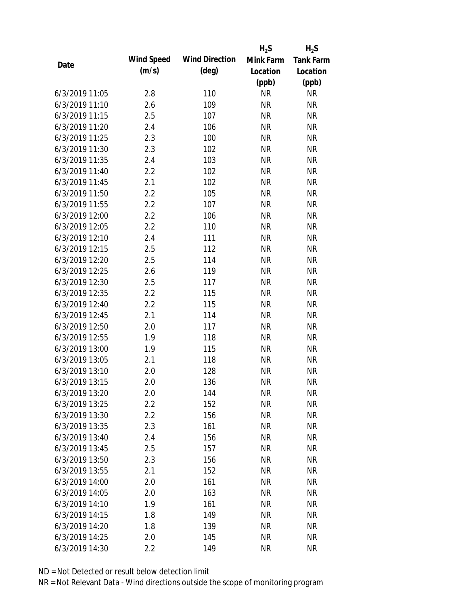|                |            |                       | $H_2S$    | $H_2S$           |
|----------------|------------|-----------------------|-----------|------------------|
|                | Wind Speed | <b>Wind Direction</b> | Mink Farm | <b>Tank Farm</b> |
| Date           | (m/s)      | $(\text{deg})$        | Location  | Location         |
|                |            |                       | (ppb)     | (ppb)            |
| 6/3/2019 11:05 | 2.8        | 110                   | <b>NR</b> | <b>NR</b>        |
| 6/3/2019 11:10 | 2.6        | 109                   | <b>NR</b> | <b>NR</b>        |
| 6/3/2019 11:15 | 2.5        | 107                   | <b>NR</b> | <b>NR</b>        |
| 6/3/2019 11:20 | 2.4        | 106                   | <b>NR</b> | <b>NR</b>        |
| 6/3/2019 11:25 | 2.3        | 100                   | <b>NR</b> | <b>NR</b>        |
| 6/3/2019 11:30 | 2.3        | 102                   | <b>NR</b> | <b>NR</b>        |
| 6/3/2019 11:35 | 2.4        | 103                   | <b>NR</b> | <b>NR</b>        |
| 6/3/2019 11:40 | 2.2        | 102                   | <b>NR</b> | <b>NR</b>        |
| 6/3/2019 11:45 | 2.1        | 102                   | <b>NR</b> | <b>NR</b>        |
| 6/3/2019 11:50 | 2.2        | 105                   | <b>NR</b> | <b>NR</b>        |
| 6/3/2019 11:55 | 2.2        | 107                   | <b>NR</b> | <b>NR</b>        |
| 6/3/2019 12:00 | 2.2        | 106                   | <b>NR</b> | <b>NR</b>        |
| 6/3/2019 12:05 | 2.2        | 110                   | <b>NR</b> | <b>NR</b>        |
| 6/3/2019 12:10 | 2.4        | 111                   | <b>NR</b> | <b>NR</b>        |
| 6/3/2019 12:15 | 2.5        | 112                   | <b>NR</b> | <b>NR</b>        |
| 6/3/2019 12:20 | 2.5        | 114                   | <b>NR</b> | <b>NR</b>        |
| 6/3/2019 12:25 | 2.6        | 119                   | <b>NR</b> | <b>NR</b>        |
| 6/3/2019 12:30 | 2.5        | 117                   | <b>NR</b> | <b>NR</b>        |
| 6/3/2019 12:35 | 2.2        | 115                   | <b>NR</b> | <b>NR</b>        |
| 6/3/2019 12:40 | 2.2        | 115                   | <b>NR</b> | <b>NR</b>        |
| 6/3/2019 12:45 | 2.1        | 114                   | <b>NR</b> | <b>NR</b>        |
| 6/3/2019 12:50 | 2.0        | 117                   | <b>NR</b> | <b>NR</b>        |
| 6/3/2019 12:55 | 1.9        | 118                   | <b>NR</b> | <b>NR</b>        |
| 6/3/2019 13:00 | 1.9        | 115                   | <b>NR</b> | <b>NR</b>        |
| 6/3/2019 13:05 | 2.1        | 118                   | <b>NR</b> | <b>NR</b>        |
| 6/3/2019 13:10 | 2.0        | 128                   | <b>NR</b> | <b>NR</b>        |
| 6/3/2019 13:15 | 2.0        | 136                   | <b>NR</b> | <b>NR</b>        |
| 6/3/2019 13:20 | 2.0        | 144                   | <b>NR</b> | <b>NR</b>        |
| 6/3/2019 13:25 | 2.2        | 152                   | <b>NR</b> | <b>NR</b>        |
| 6/3/2019 13:30 | 2.2        | 156                   | <b>NR</b> | <b>NR</b>        |
| 6/3/2019 13:35 | 2.3        | 161                   | <b>NR</b> | <b>NR</b>        |
| 6/3/2019 13:40 | 2.4        | 156                   | <b>NR</b> | <b>NR</b>        |
| 6/3/2019 13:45 | 2.5        | 157                   | <b>NR</b> | <b>NR</b>        |
| 6/3/2019 13:50 | 2.3        | 156                   | <b>NR</b> | <b>NR</b>        |
| 6/3/2019 13:55 | 2.1        | 152                   | <b>NR</b> | <b>NR</b>        |
| 6/3/2019 14:00 | 2.0        | 161                   | <b>NR</b> | <b>NR</b>        |
| 6/3/2019 14:05 | 2.0        | 163                   | <b>NR</b> | <b>NR</b>        |
| 6/3/2019 14:10 | 1.9        | 161                   | <b>NR</b> | <b>NR</b>        |
| 6/3/2019 14:15 | 1.8        | 149                   | <b>NR</b> | <b>NR</b>        |
| 6/3/2019 14:20 | 1.8        | 139                   | <b>NR</b> | <b>NR</b>        |
| 6/3/2019 14:25 | 2.0        | 145                   | <b>NR</b> | <b>NR</b>        |
| 6/3/2019 14:30 | 2.2        | 149                   | <b>NR</b> | <b>NR</b>        |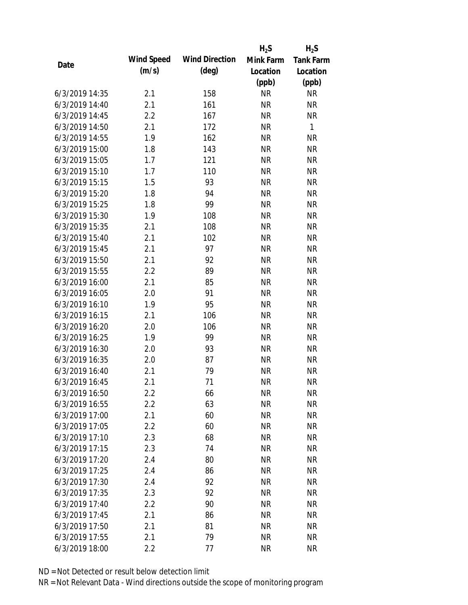|                |            |                       | $H_2S$    | $H_2S$           |
|----------------|------------|-----------------------|-----------|------------------|
| Date           | Wind Speed | <b>Wind Direction</b> | Mink Farm | <b>Tank Farm</b> |
|                | (m/s)      | $(\text{deg})$        | Location  | Location         |
|                |            |                       | (ppb)     | (ppb)            |
| 6/3/2019 14:35 | 2.1        | 158                   | <b>NR</b> | <b>NR</b>        |
| 6/3/2019 14:40 | 2.1        | 161                   | <b>NR</b> | <b>NR</b>        |
| 6/3/2019 14:45 | 2.2        | 167                   | <b>NR</b> | <b>NR</b>        |
| 6/3/2019 14:50 | 2.1        | 172                   | <b>NR</b> | 1                |
| 6/3/2019 14:55 | 1.9        | 162                   | <b>NR</b> | <b>NR</b>        |
| 6/3/2019 15:00 | 1.8        | 143                   | <b>NR</b> | <b>NR</b>        |
| 6/3/2019 15:05 | 1.7        | 121                   | <b>NR</b> | <b>NR</b>        |
| 6/3/2019 15:10 | 1.7        | 110                   | <b>NR</b> | <b>NR</b>        |
| 6/3/2019 15:15 | 1.5        | 93                    | <b>NR</b> | <b>NR</b>        |
| 6/3/2019 15:20 | 1.8        | 94                    | <b>NR</b> | <b>NR</b>        |
| 6/3/2019 15:25 | 1.8        | 99                    | <b>NR</b> | <b>NR</b>        |
| 6/3/2019 15:30 | 1.9        | 108                   | <b>NR</b> | <b>NR</b>        |
| 6/3/2019 15:35 | 2.1        | 108                   | <b>NR</b> | <b>NR</b>        |
| 6/3/2019 15:40 | 2.1        | 102                   | <b>NR</b> | <b>NR</b>        |
| 6/3/2019 15:45 | 2.1        | 97                    | <b>NR</b> | <b>NR</b>        |
| 6/3/2019 15:50 | 2.1        | 92                    | <b>NR</b> | <b>NR</b>        |
| 6/3/2019 15:55 | 2.2        | 89                    | <b>NR</b> | <b>NR</b>        |
| 6/3/2019 16:00 | 2.1        | 85                    | <b>NR</b> | <b>NR</b>        |
| 6/3/2019 16:05 | 2.0        | 91                    | <b>NR</b> | <b>NR</b>        |
| 6/3/2019 16:10 | 1.9        | 95                    | <b>NR</b> | <b>NR</b>        |
| 6/3/2019 16:15 | 2.1        | 106                   | <b>NR</b> | <b>NR</b>        |
| 6/3/2019 16:20 | 2.0        | 106                   | <b>NR</b> | <b>NR</b>        |
| 6/3/2019 16:25 | 1.9        | 99                    | <b>NR</b> | <b>NR</b>        |
| 6/3/2019 16:30 | 2.0        | 93                    | <b>NR</b> | <b>NR</b>        |
| 6/3/2019 16:35 | 2.0        | 87                    | <b>NR</b> | <b>NR</b>        |
| 6/3/2019 16:40 | 2.1        | 79                    | <b>NR</b> | <b>NR</b>        |
| 6/3/2019 16:45 | 2.1        | 71                    | <b>NR</b> | <b>NR</b>        |
| 6/3/2019 16:50 | 2.2        | 66                    | <b>NR</b> | <b>NR</b>        |
| 6/3/2019 16:55 | 2.2        | 63                    | <b>NR</b> | <b>NR</b>        |
| 6/3/2019 17:00 | 2.1        | 60                    | <b>NR</b> | <b>NR</b>        |
| 6/3/2019 17:05 | 2.2        | 60                    | <b>NR</b> | <b>NR</b>        |
| 6/3/2019 17:10 | 2.3        | 68                    | <b>NR</b> | <b>NR</b>        |
| 6/3/2019 17:15 | 2.3        | 74                    | <b>NR</b> | <b>NR</b>        |
| 6/3/2019 17:20 | 2.4        | 80                    | <b>NR</b> | <b>NR</b>        |
| 6/3/2019 17:25 | 2.4        | 86                    | <b>NR</b> | <b>NR</b>        |
| 6/3/2019 17:30 | 2.4        | 92                    | <b>NR</b> | <b>NR</b>        |
| 6/3/2019 17:35 | 2.3        | 92                    | <b>NR</b> | <b>NR</b>        |
| 6/3/2019 17:40 | 2.2        | 90                    | <b>NR</b> | <b>NR</b>        |
| 6/3/2019 17:45 | 2.1        | 86                    | <b>NR</b> | <b>NR</b>        |
| 6/3/2019 17:50 | 2.1        | 81                    | <b>NR</b> | <b>NR</b>        |
| 6/3/2019 17:55 | 2.1        | 79                    | <b>NR</b> | <b>NR</b>        |
| 6/3/2019 18:00 | 2.2        | 77                    | <b>NR</b> | <b>NR</b>        |
|                |            |                       |           |                  |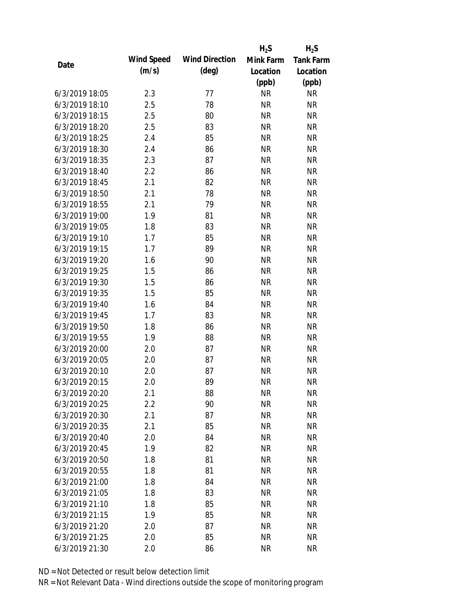|                |            |                       | $H_2S$    | $H_2S$           |
|----------------|------------|-----------------------|-----------|------------------|
|                | Wind Speed | <b>Wind Direction</b> | Mink Farm | <b>Tank Farm</b> |
| Date           | (m/s)      | $(\text{deg})$        | Location  | Location         |
|                |            |                       | (ppb)     | (ppb)            |
| 6/3/2019 18:05 | 2.3        | 77                    | <b>NR</b> | <b>NR</b>        |
| 6/3/2019 18:10 | 2.5        | 78                    | <b>NR</b> | <b>NR</b>        |
| 6/3/2019 18:15 | 2.5        | 80                    | <b>NR</b> | <b>NR</b>        |
| 6/3/2019 18:20 | 2.5        | 83                    | <b>NR</b> | <b>NR</b>        |
| 6/3/2019 18:25 | 2.4        | 85                    | <b>NR</b> | <b>NR</b>        |
| 6/3/2019 18:30 | 2.4        | 86                    | <b>NR</b> | <b>NR</b>        |
| 6/3/2019 18:35 | 2.3        | 87                    | <b>NR</b> | <b>NR</b>        |
| 6/3/2019 18:40 | 2.2        | 86                    | <b>NR</b> | <b>NR</b>        |
| 6/3/2019 18:45 | 2.1        | 82                    | <b>NR</b> | <b>NR</b>        |
| 6/3/2019 18:50 | 2.1        | 78                    | <b>NR</b> | <b>NR</b>        |
| 6/3/2019 18:55 | 2.1        | 79                    | <b>NR</b> | <b>NR</b>        |
| 6/3/2019 19:00 | 1.9        | 81                    | <b>NR</b> | <b>NR</b>        |
| 6/3/2019 19:05 | 1.8        | 83                    | <b>NR</b> | <b>NR</b>        |
| 6/3/2019 19:10 | 1.7        | 85                    | <b>NR</b> | <b>NR</b>        |
| 6/3/2019 19:15 | 1.7        | 89                    | <b>NR</b> | <b>NR</b>        |
| 6/3/2019 19:20 | 1.6        | 90                    | <b>NR</b> | <b>NR</b>        |
| 6/3/2019 19:25 | 1.5        | 86                    | <b>NR</b> | <b>NR</b>        |
| 6/3/2019 19:30 | 1.5        | 86                    | <b>NR</b> | <b>NR</b>        |
| 6/3/2019 19:35 | 1.5        | 85                    | <b>NR</b> | <b>NR</b>        |
| 6/3/2019 19:40 | 1.6        | 84                    | <b>NR</b> | <b>NR</b>        |
| 6/3/2019 19:45 | 1.7        | 83                    | <b>NR</b> | <b>NR</b>        |
| 6/3/2019 19:50 | 1.8        | 86                    | <b>NR</b> | <b>NR</b>        |
| 6/3/2019 19:55 | 1.9        | 88                    | <b>NR</b> | <b>NR</b>        |
| 6/3/2019 20:00 | 2.0        | 87                    | <b>NR</b> | <b>NR</b>        |
| 6/3/2019 20:05 | 2.0        | 87                    | <b>NR</b> | <b>NR</b>        |
| 6/3/2019 20:10 | 2.0        | 87                    | <b>NR</b> | <b>NR</b>        |
| 6/3/2019 20:15 | 2.0        | 89                    | <b>NR</b> | <b>NR</b>        |
| 6/3/2019 20:20 | 2.1        | 88                    | <b>NR</b> | <b>NR</b>        |
| 6/3/2019 20:25 | 2.2        | 90                    | <b>NR</b> | <b>NR</b>        |
| 6/3/2019 20:30 | 2.1        | 87                    | <b>NR</b> | <b>NR</b>        |
| 6/3/2019 20:35 | 2.1        | 85                    | <b>NR</b> | <b>NR</b>        |
| 6/3/2019 20:40 | 2.0        | 84                    | <b>NR</b> | <b>NR</b>        |
| 6/3/2019 20:45 | 1.9        | 82                    | <b>NR</b> | <b>NR</b>        |
| 6/3/2019 20:50 | 1.8        | 81                    | <b>NR</b> | <b>NR</b>        |
| 6/3/2019 20:55 | 1.8        | 81                    | <b>NR</b> | <b>NR</b>        |
| 6/3/2019 21:00 | 1.8        | 84                    | <b>NR</b> | <b>NR</b>        |
| 6/3/2019 21:05 | 1.8        | 83                    | <b>NR</b> | <b>NR</b>        |
| 6/3/2019 21:10 | 1.8        | 85                    | <b>NR</b> | <b>NR</b>        |
| 6/3/2019 21:15 | 1.9        | 85                    | <b>NR</b> | <b>NR</b>        |
| 6/3/2019 21:20 | 2.0        | 87                    | <b>NR</b> | <b>NR</b>        |
| 6/3/2019 21:25 | 2.0        | 85                    | <b>NR</b> | <b>NR</b>        |
| 6/3/2019 21:30 | 2.0        | 86                    | <b>NR</b> | <b>NR</b>        |
|                |            |                       |           |                  |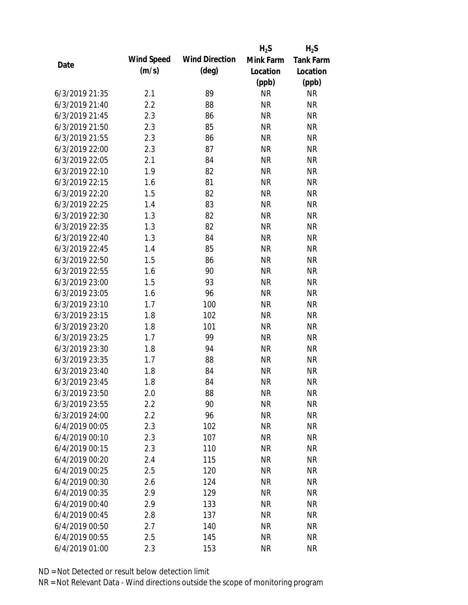|                |            |                       | $H_2S$    | $H_2S$           |
|----------------|------------|-----------------------|-----------|------------------|
|                | Wind Speed | <b>Wind Direction</b> | Mink Farm | <b>Tank Farm</b> |
| Date           | (m/s)      | $(\text{deg})$        | Location  | Location         |
|                |            |                       | (ppb)     | (ppb)            |
| 6/3/2019 21:35 | 2.1        | 89                    | <b>NR</b> | <b>NR</b>        |
| 6/3/2019 21:40 | 2.2        | 88                    | <b>NR</b> | <b>NR</b>        |
| 6/3/2019 21:45 | 2.3        | 86                    | <b>NR</b> | <b>NR</b>        |
| 6/3/2019 21:50 | 2.3        | 85                    | <b>NR</b> | <b>NR</b>        |
| 6/3/2019 21:55 | 2.3        | 86                    | <b>NR</b> | <b>NR</b>        |
| 6/3/2019 22:00 | 2.3        | 87                    | <b>NR</b> | <b>NR</b>        |
| 6/3/2019 22:05 | 2.1        | 84                    | <b>NR</b> | <b>NR</b>        |
| 6/3/2019 22:10 | 1.9        | 82                    | <b>NR</b> | <b>NR</b>        |
| 6/3/2019 22:15 | 1.6        | 81                    | <b>NR</b> | <b>NR</b>        |
| 6/3/2019 22:20 | 1.5        | 82                    | <b>NR</b> | <b>NR</b>        |
| 6/3/2019 22:25 | 1.4        | 83                    | <b>NR</b> | <b>NR</b>        |
| 6/3/2019 22:30 | 1.3        | 82                    | <b>NR</b> | <b>NR</b>        |
| 6/3/2019 22:35 | 1.3        | 82                    | <b>NR</b> | <b>NR</b>        |
| 6/3/2019 22:40 | 1.3        | 84                    | <b>NR</b> | <b>NR</b>        |
| 6/3/2019 22:45 | 1.4        | 85                    | <b>NR</b> | <b>NR</b>        |
| 6/3/2019 22:50 | 1.5        | 86                    | <b>NR</b> | <b>NR</b>        |
| 6/3/2019 22:55 | 1.6        | 90                    | <b>NR</b> | <b>NR</b>        |
| 6/3/2019 23:00 | 1.5        | 93                    | <b>NR</b> | <b>NR</b>        |
| 6/3/2019 23:05 | 1.6        | 96                    | <b>NR</b> | <b>NR</b>        |
| 6/3/2019 23:10 | 1.7        | 100                   | <b>NR</b> | <b>NR</b>        |
| 6/3/2019 23:15 | 1.8        | 102                   | <b>NR</b> | <b>NR</b>        |
| 6/3/2019 23:20 | 1.8        | 101                   | <b>NR</b> | <b>NR</b>        |
| 6/3/2019 23:25 | 1.7        | 99                    | <b>NR</b> | <b>NR</b>        |
| 6/3/2019 23:30 | 1.8        | 94                    | <b>NR</b> | <b>NR</b>        |
| 6/3/2019 23:35 | 1.7        | 88                    | <b>NR</b> | <b>NR</b>        |
| 6/3/2019 23:40 | 1.8        | 84                    | <b>NR</b> | <b>NR</b>        |
| 6/3/2019 23:45 | 1.8        | 84                    | <b>NR</b> | <b>NR</b>        |
| 6/3/2019 23:50 | 2.0        | 88                    | <b>NR</b> | <b>NR</b>        |
| 6/3/2019 23:55 | 2.2        | 90                    | <b>NR</b> | <b>NR</b>        |
| 6/3/2019 24:00 | 2.2        | 96                    | <b>NR</b> | <b>NR</b>        |
| 6/4/2019 00:05 | 2.3        | 102                   | <b>NR</b> | <b>NR</b>        |
| 6/4/2019 00:10 | 2.3        | 107                   | <b>NR</b> | <b>NR</b>        |
| 6/4/2019 00:15 | 2.3        | 110                   | <b>NR</b> | <b>NR</b>        |
| 6/4/2019 00:20 | 2.4        | 115                   | <b>NR</b> | <b>NR</b>        |
| 6/4/2019 00:25 | 2.5        | 120                   | <b>NR</b> | <b>NR</b>        |
| 6/4/2019 00:30 | 2.6        | 124                   | <b>NR</b> | <b>NR</b>        |
| 6/4/2019 00:35 | 2.9        | 129                   | <b>NR</b> | <b>NR</b>        |
| 6/4/2019 00:40 | 2.9        | 133                   | <b>NR</b> | <b>NR</b>        |
| 6/4/2019 00:45 | 2.8        | 137                   | <b>NR</b> | <b>NR</b>        |
| 6/4/2019 00:50 | 2.7        | 140                   | <b>NR</b> | <b>NR</b>        |
| 6/4/2019 00:55 | 2.5        | 145                   | <b>NR</b> | <b>NR</b>        |
| 6/4/2019 01:00 | 2.3        | 153                   | <b>NR</b> | <b>NR</b>        |
|                |            |                       |           |                  |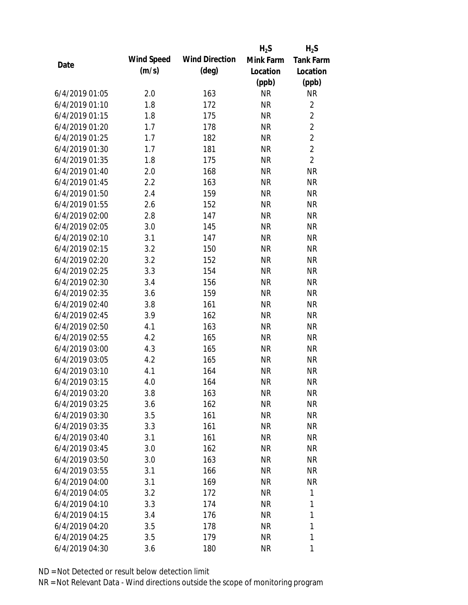|                |            |                       | $H_2S$    | $H_2S$           |
|----------------|------------|-----------------------|-----------|------------------|
|                | Wind Speed | <b>Wind Direction</b> | Mink Farm | <b>Tank Farm</b> |
| Date           | (m/s)      | $(\text{deg})$        | Location  | Location         |
|                |            |                       | (ppb)     | (ppb)            |
| 6/4/2019 01:05 | 2.0        | 163                   | <b>NR</b> | <b>NR</b>        |
| 6/4/2019 01:10 | 1.8        | 172                   | <b>NR</b> | $\overline{2}$   |
| 6/4/2019 01:15 | 1.8        | 175                   | <b>NR</b> | $\overline{2}$   |
| 6/4/2019 01:20 | 1.7        | 178                   | <b>NR</b> | $\overline{2}$   |
| 6/4/2019 01:25 | 1.7        | 182                   | <b>NR</b> | $\overline{2}$   |
| 6/4/2019 01:30 | 1.7        | 181                   | <b>NR</b> | $\overline{2}$   |
| 6/4/2019 01:35 | 1.8        | 175                   | <b>NR</b> | $\overline{2}$   |
| 6/4/2019 01:40 | 2.0        | 168                   | <b>NR</b> | <b>NR</b>        |
| 6/4/2019 01:45 | 2.2        | 163                   | <b>NR</b> | <b>NR</b>        |
| 6/4/2019 01:50 | 2.4        | 159                   | <b>NR</b> | <b>NR</b>        |
| 6/4/2019 01:55 | 2.6        | 152                   | <b>NR</b> | <b>NR</b>        |
| 6/4/2019 02:00 | 2.8        | 147                   | <b>NR</b> | <b>NR</b>        |
| 6/4/2019 02:05 | 3.0        | 145                   | <b>NR</b> | <b>NR</b>        |
| 6/4/2019 02:10 | 3.1        | 147                   | <b>NR</b> | <b>NR</b>        |
| 6/4/2019 02:15 | 3.2        | 150                   | <b>NR</b> | <b>NR</b>        |
| 6/4/2019 02:20 | 3.2        | 152                   | <b>NR</b> | <b>NR</b>        |
| 6/4/2019 02:25 | 3.3        | 154                   | <b>NR</b> | <b>NR</b>        |
| 6/4/2019 02:30 | 3.4        | 156                   | <b>NR</b> | <b>NR</b>        |
| 6/4/2019 02:35 | 3.6        | 159                   | <b>NR</b> | <b>NR</b>        |
| 6/4/2019 02:40 | 3.8        | 161                   | <b>NR</b> | <b>NR</b>        |
| 6/4/2019 02:45 | 3.9        | 162                   | <b>NR</b> | <b>NR</b>        |
| 6/4/2019 02:50 | 4.1        | 163                   | <b>NR</b> | <b>NR</b>        |
| 6/4/2019 02:55 | 4.2        | 165                   | <b>NR</b> | <b>NR</b>        |
| 6/4/2019 03:00 | 4.3        | 165                   | <b>NR</b> | <b>NR</b>        |
| 6/4/2019 03:05 | 4.2        | 165                   | <b>NR</b> | <b>NR</b>        |
| 6/4/2019 03:10 | 4.1        | 164                   | <b>NR</b> | <b>NR</b>        |
| 6/4/2019 03:15 | 4.0        | 164                   | <b>NR</b> | <b>NR</b>        |
| 6/4/2019 03:20 | 3.8        | 163                   | <b>NR</b> | <b>NR</b>        |
| 6/4/2019 03:25 | 3.6        | 162                   | <b>NR</b> | <b>NR</b>        |
| 6/4/2019 03:30 | 3.5        | 161                   | <b>NR</b> | <b>NR</b>        |
| 6/4/2019 03:35 | 3.3        | 161                   | <b>NR</b> | <b>NR</b>        |
| 6/4/2019 03:40 | 3.1        | 161                   | <b>NR</b> | <b>NR</b>        |
| 6/4/2019 03:45 | 3.0        | 162                   | <b>NR</b> | <b>NR</b>        |
| 6/4/2019 03:50 | 3.0        | 163                   | <b>NR</b> | <b>NR</b>        |
| 6/4/2019 03:55 | 3.1        | 166                   | <b>NR</b> | <b>NR</b>        |
| 6/4/2019 04:00 | 3.1        | 169                   | <b>NR</b> | <b>NR</b>        |
| 6/4/2019 04:05 | 3.2        | 172                   | <b>NR</b> | 1                |
| 6/4/2019 04:10 | 3.3        | 174                   | <b>NR</b> | 1                |
| 6/4/2019 04:15 | 3.4        | 176                   | <b>NR</b> | 1                |
| 6/4/2019 04:20 | 3.5        | 178                   | <b>NR</b> | 1                |
| 6/4/2019 04:25 | 3.5        | 179                   | <b>NR</b> | 1                |
| 6/4/2019 04:30 | 3.6        | 180                   | <b>NR</b> | 1                |
|                |            |                       |           |                  |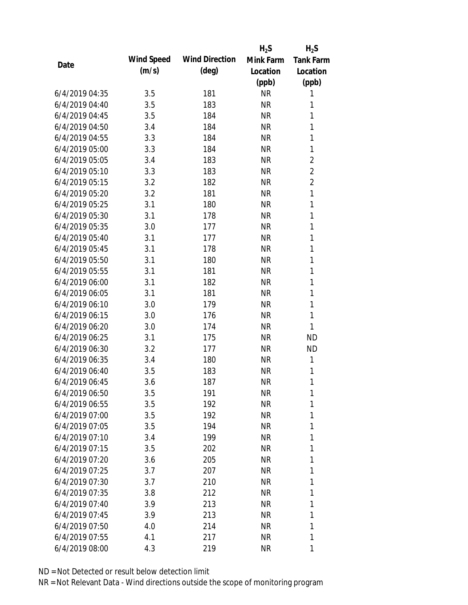|                |            |                       | $H_2S$    | $H_2S$           |
|----------------|------------|-----------------------|-----------|------------------|
|                | Wind Speed | <b>Wind Direction</b> | Mink Farm | <b>Tank Farm</b> |
| Date           | (m/s)      | $(\text{deg})$        | Location  | Location         |
|                |            |                       | (ppb)     | (ppb)            |
| 6/4/2019 04:35 | 3.5        | 181                   | <b>NR</b> | 1                |
| 6/4/2019 04:40 | 3.5        | 183                   | <b>NR</b> | 1                |
| 6/4/2019 04:45 | 3.5        | 184                   | <b>NR</b> | 1                |
| 6/4/2019 04:50 | 3.4        | 184                   | <b>NR</b> | $\mathbf{1}$     |
| 6/4/2019 04:55 | 3.3        | 184                   | <b>NR</b> | 1                |
| 6/4/2019 05:00 | 3.3        | 184                   | <b>NR</b> | $\mathbf{1}$     |
| 6/4/2019 05:05 | 3.4        | 183                   | <b>NR</b> | $\overline{2}$   |
| 6/4/2019 05:10 | 3.3        | 183                   | <b>NR</b> | $\overline{2}$   |
| 6/4/2019 05:15 | 3.2        | 182                   | <b>NR</b> | $\overline{2}$   |
| 6/4/2019 05:20 | 3.2        | 181                   | <b>NR</b> | $\mathbf{1}$     |
| 6/4/2019 05:25 | 3.1        | 180                   | <b>NR</b> | $\mathbf{1}$     |
| 6/4/2019 05:30 | 3.1        | 178                   | <b>NR</b> | 1                |
| 6/4/2019 05:35 | 3.0        | 177                   | <b>NR</b> | $\mathbf{1}$     |
| 6/4/2019 05:40 | 3.1        | 177                   | <b>NR</b> | 1                |
| 6/4/2019 05:45 | 3.1        | 178                   | <b>NR</b> | $\mathbf{1}$     |
| 6/4/2019 05:50 | 3.1        | 180                   | <b>NR</b> | 1                |
| 6/4/2019 05:55 | 3.1        | 181                   | <b>NR</b> | 1                |
| 6/4/2019 06:00 | 3.1        | 182                   | <b>NR</b> | $\mathbf{1}$     |
| 6/4/2019 06:05 | 3.1        | 181                   | <b>NR</b> | 1                |
| 6/4/2019 06:10 | 3.0        | 179                   | <b>NR</b> | 1                |
| 6/4/2019 06:15 | 3.0        | 176                   | <b>NR</b> | $\mathbf{1}$     |
| 6/4/2019 06:20 | 3.0        | 174                   | <b>NR</b> | 1                |
| 6/4/2019 06:25 | 3.1        | 175                   | <b>NR</b> | <b>ND</b>        |
| 6/4/2019 06:30 | 3.2        | 177                   | <b>NR</b> | <b>ND</b>        |
| 6/4/2019 06:35 | 3.4        | 180                   | <b>NR</b> | 1                |
| 6/4/2019 06:40 | 3.5        | 183                   | <b>NR</b> | 1                |
| 6/4/2019 06:45 | 3.6        | 187                   | <b>NR</b> | 1                |
| 6/4/2019 06:50 | 3.5        | 191                   | <b>NR</b> | 1                |
| 6/4/2019 06:55 | 3.5        | 192                   | <b>NR</b> | 1                |
| 6/4/2019 07:00 | 3.5        | 192                   | <b>NR</b> | 1                |
| 6/4/2019 07:05 | 3.5        | 194                   | <b>NR</b> | 1                |
| 6/4/2019 07:10 | 3.4        | 199                   | <b>NR</b> | 1                |
| 6/4/2019 07:15 | 3.5        | 202                   | <b>NR</b> | 1                |
| 6/4/2019 07:20 | 3.6        | 205                   | <b>NR</b> | 1                |
| 6/4/2019 07:25 | 3.7        | 207                   | <b>NR</b> | 1                |
| 6/4/2019 07:30 | 3.7        | 210                   | <b>NR</b> | 1                |
| 6/4/2019 07:35 | 3.8        | 212                   | <b>NR</b> | 1                |
| 6/4/2019 07:40 | 3.9        | 213                   | <b>NR</b> | 1                |
| 6/4/2019 07:45 | 3.9        | 213                   | <b>NR</b> | 1                |
| 6/4/2019 07:50 | 4.0        | 214                   | <b>NR</b> | 1                |
| 6/4/2019 07:55 | 4.1        | 217                   | <b>NR</b> | 1                |
| 6/4/2019 08:00 | 4.3        | 219                   | <b>NR</b> | 1                |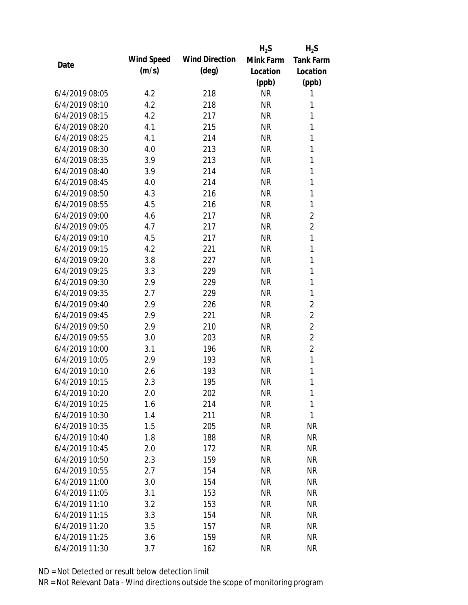|                |            |                       | $H_2S$    | $H_2S$           |
|----------------|------------|-----------------------|-----------|------------------|
|                | Wind Speed | <b>Wind Direction</b> | Mink Farm | <b>Tank Farm</b> |
| Date           | (m/s)      | $(\text{deg})$        | Location  | Location         |
|                |            |                       | (ppb)     | (ppb)            |
| 6/4/2019 08:05 | 4.2        | 218                   | <b>NR</b> | 1                |
| 6/4/2019 08:10 | 4.2        | 218                   | <b>NR</b> | 1                |
| 6/4/2019 08:15 | 4.2        | 217                   | <b>NR</b> | 1                |
| 6/4/2019 08:20 | 4.1        | 215                   | <b>NR</b> | 1                |
| 6/4/2019 08:25 | 4.1        | 214                   | <b>NR</b> | 1                |
| 6/4/2019 08:30 | 4.0        | 213                   | <b>NR</b> | 1                |
| 6/4/2019 08:35 | 3.9        | 213                   | <b>NR</b> | 1                |
| 6/4/2019 08:40 | 3.9        | 214                   | <b>NR</b> | 1                |
| 6/4/2019 08:45 | 4.0        | 214                   | <b>NR</b> | 1                |
| 6/4/2019 08:50 | 4.3        | 216                   | <b>NR</b> | 1                |
| 6/4/2019 08:55 | 4.5        | 216                   | <b>NR</b> | 1                |
| 6/4/2019 09:00 | 4.6        | 217                   | <b>NR</b> | $\overline{2}$   |
| 6/4/2019 09:05 | 4.7        | 217                   | <b>NR</b> | $\overline{2}$   |
| 6/4/2019 09:10 | 4.5        | 217                   | <b>NR</b> | 1                |
| 6/4/2019 09:15 | 4.2        | 221                   | <b>NR</b> | 1                |
| 6/4/2019 09:20 | 3.8        | 227                   | <b>NR</b> | 1                |
| 6/4/2019 09:25 | 3.3        | 229                   | <b>NR</b> | 1                |
| 6/4/2019 09:30 | 2.9        | 229                   | <b>NR</b> | 1                |
| 6/4/2019 09:35 | 2.7        | 229                   | <b>NR</b> | 1                |
| 6/4/2019 09:40 | 2.9        | 226                   | <b>NR</b> | $\overline{2}$   |
| 6/4/2019 09:45 | 2.9        | 221                   | <b>NR</b> | $\overline{2}$   |
| 6/4/2019 09:50 | 2.9        | 210                   | <b>NR</b> | $\overline{2}$   |
| 6/4/2019 09:55 | 3.0        | 203                   | <b>NR</b> | $\overline{2}$   |
| 6/4/2019 10:00 | 3.1        | 196                   | <b>NR</b> | $\overline{2}$   |
| 6/4/2019 10:05 | 2.9        | 193                   | <b>NR</b> | 1                |
| 6/4/2019 10:10 | 2.6        | 193                   | <b>NR</b> | 1                |
| 6/4/2019 10:15 | 2.3        | 195                   | <b>NR</b> | 1                |
| 6/4/2019 10:20 | 2.0        | 202                   | <b>NR</b> | 1                |
| 6/4/2019 10:25 | 1.6        | 214                   | <b>NR</b> | 1                |
| 6/4/2019 10:30 | 1.4        | 211                   | <b>NR</b> | 1                |
| 6/4/2019 10:35 | 1.5        | 205                   | <b>NR</b> | <b>NR</b>        |
| 6/4/2019 10:40 | 1.8        | 188                   | <b>NR</b> | <b>NR</b>        |
| 6/4/2019 10:45 | 2.0        | 172                   | <b>NR</b> | <b>NR</b>        |
| 6/4/2019 10:50 | 2.3        | 159                   | <b>NR</b> | <b>NR</b>        |
| 6/4/2019 10:55 | 2.7        | 154                   | <b>NR</b> | <b>NR</b>        |
| 6/4/2019 11:00 | 3.0        | 154                   | <b>NR</b> | <b>NR</b>        |
| 6/4/2019 11:05 | 3.1        | 153                   | <b>NR</b> | <b>NR</b>        |
| 6/4/2019 11:10 | 3.2        | 153                   | <b>NR</b> | <b>NR</b>        |
| 6/4/2019 11:15 | 3.3        | 154                   | <b>NR</b> | <b>NR</b>        |
| 6/4/2019 11:20 | 3.5        | 157                   | <b>NR</b> | <b>NR</b>        |
| 6/4/2019 11:25 | 3.6        | 159                   | <b>NR</b> | <b>NR</b>        |
| 6/4/2019 11:30 | 3.7        | 162                   | <b>NR</b> | <b>NR</b>        |
|                |            |                       |           |                  |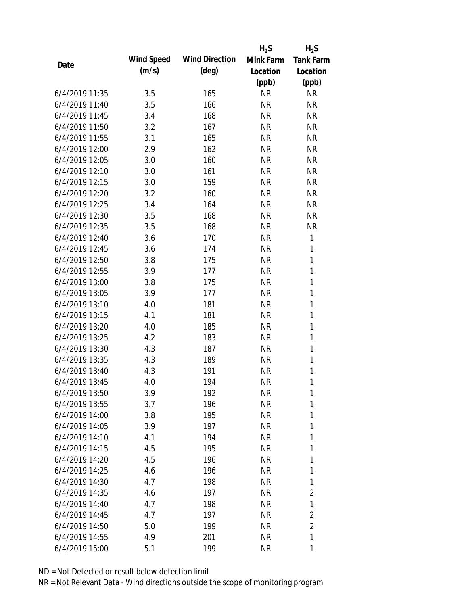|                |            |                       | $H_2S$    | $H_2S$           |
|----------------|------------|-----------------------|-----------|------------------|
| Date           | Wind Speed | <b>Wind Direction</b> | Mink Farm | <b>Tank Farm</b> |
|                | (m/s)      | $(\text{deg})$        | Location  | Location         |
|                |            |                       | (ppb)     | (ppb)            |
| 6/4/2019 11:35 | 3.5        | 165                   | <b>NR</b> | <b>NR</b>        |
| 6/4/2019 11:40 | 3.5        | 166                   | <b>NR</b> | <b>NR</b>        |
| 6/4/2019 11:45 | 3.4        | 168                   | <b>NR</b> | <b>NR</b>        |
| 6/4/2019 11:50 | 3.2        | 167                   | <b>NR</b> | <b>NR</b>        |
| 6/4/2019 11:55 | 3.1        | 165                   | <b>NR</b> | <b>NR</b>        |
| 6/4/2019 12:00 | 2.9        | 162                   | <b>NR</b> | <b>NR</b>        |
| 6/4/2019 12:05 | 3.0        | 160                   | <b>NR</b> | <b>NR</b>        |
| 6/4/2019 12:10 | 3.0        | 161                   | <b>NR</b> | <b>NR</b>        |
| 6/4/2019 12:15 | 3.0        | 159                   | <b>NR</b> | <b>NR</b>        |
| 6/4/2019 12:20 | 3.2        | 160                   | <b>NR</b> | <b>NR</b>        |
| 6/4/2019 12:25 | 3.4        | 164                   | <b>NR</b> | <b>NR</b>        |
| 6/4/2019 12:30 | 3.5        | 168                   | <b>NR</b> | <b>NR</b>        |
| 6/4/2019 12:35 | 3.5        | 168                   | <b>NR</b> | <b>NR</b>        |
| 6/4/2019 12:40 | 3.6        | 170                   | <b>NR</b> | 1                |
| 6/4/2019 12:45 | 3.6        | 174                   | <b>NR</b> | 1                |
| 6/4/2019 12:50 | 3.8        | 175                   | <b>NR</b> | $\mathbf{1}$     |
| 6/4/2019 12:55 | 3.9        | 177                   | <b>NR</b> | 1                |
| 6/4/2019 13:00 | 3.8        | 175                   | <b>NR</b> | $\mathbf{1}$     |
| 6/4/2019 13:05 | 3.9        | 177                   | <b>NR</b> | $\mathbf{1}$     |
| 6/4/2019 13:10 | 4.0        | 181                   | <b>NR</b> | 1                |
| 6/4/2019 13:15 | 4.1        | 181                   | <b>NR</b> | $\mathbf{1}$     |
| 6/4/2019 13:20 | 4.0        | 185                   | <b>NR</b> | $\mathbf{1}$     |
| 6/4/2019 13:25 | 4.2        | 183                   | <b>NR</b> | 1                |
| 6/4/2019 13:30 | 4.3        | 187                   | <b>NR</b> | $\mathbf{1}$     |
| 6/4/2019 13:35 | 4.3        | 189                   | <b>NR</b> | 1                |
| 6/4/2019 13:40 | 4.3        | 191                   | <b>NR</b> | $\mathbf{1}$     |
| 6/4/2019 13:45 | 4.0        | 194                   | <b>NR</b> | 1                |
| 6/4/2019 13:50 | 3.9        | 192                   | <b>NR</b> | 1                |
| 6/4/2019 13:55 | 3.7        | 196                   | <b>NR</b> | 1                |
| 6/4/2019 14:00 | 3.8        | 195                   | <b>NR</b> | 1                |
| 6/4/2019 14:05 | 3.9        | 197                   | <b>NR</b> | 1                |
| 6/4/2019 14:10 | 4.1        | 194                   | <b>NR</b> | 1                |
| 6/4/2019 14:15 | 4.5        | 195                   | <b>NR</b> | 1                |
| 6/4/2019 14:20 | 4.5        | 196                   | <b>NR</b> | 1                |
| 6/4/2019 14:25 | 4.6        | 196                   | <b>NR</b> | 1                |
| 6/4/2019 14:30 | 4.7        | 198                   | <b>NR</b> | 1                |
| 6/4/2019 14:35 | 4.6        | 197                   | <b>NR</b> | $\overline{2}$   |
| 6/4/2019 14:40 | 4.7        | 198                   | NR        | 1                |
| 6/4/2019 14:45 | 4.7        | 197                   | NR        | $\overline{2}$   |
| 6/4/2019 14:50 | 5.0        | 199                   | <b>NR</b> | $\overline{2}$   |
| 6/4/2019 14:55 | 4.9        | 201                   | <b>NR</b> | 1                |
| 6/4/2019 15:00 | 5.1        | 199                   | <b>NR</b> | 1                |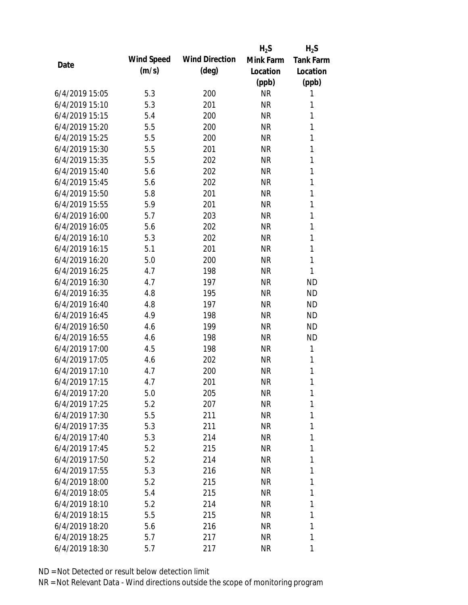|                |            |                       | $H_2S$    | $H_2S$           |
|----------------|------------|-----------------------|-----------|------------------|
|                | Wind Speed | <b>Wind Direction</b> | Mink Farm | <b>Tank Farm</b> |
| Date           | (m/s)      | $(\text{deg})$        | Location  | Location         |
|                |            |                       | (ppb)     | (ppb)            |
| 6/4/2019 15:05 | 5.3        | 200                   | <b>NR</b> | 1                |
| 6/4/2019 15:10 | 5.3        | 201                   | <b>NR</b> | 1                |
| 6/4/2019 15:15 | 5.4        | 200                   | <b>NR</b> | 1                |
| 6/4/2019 15:20 | 5.5        | 200                   | <b>NR</b> | 1                |
| 6/4/2019 15:25 | 5.5        | 200                   | <b>NR</b> | 1                |
| 6/4/2019 15:30 | 5.5        | 201                   | <b>NR</b> | 1                |
| 6/4/2019 15:35 | 5.5        | 202                   | <b>NR</b> | 1                |
| 6/4/2019 15:40 | 5.6        | 202                   | <b>NR</b> | 1                |
| 6/4/2019 15:45 | 5.6        | 202                   | <b>NR</b> | 1                |
| 6/4/2019 15:50 | 5.8        | 201                   | <b>NR</b> | 1                |
| 6/4/2019 15:55 | 5.9        | 201                   | <b>NR</b> | 1                |
| 6/4/2019 16:00 | 5.7        | 203                   | <b>NR</b> | 1                |
| 6/4/2019 16:05 | 5.6        | 202                   | <b>NR</b> | 1                |
| 6/4/2019 16:10 | 5.3        | 202                   | <b>NR</b> | $\mathbf{1}$     |
| 6/4/2019 16:15 | 5.1        | 201                   | <b>NR</b> | $\mathbf{1}$     |
| 6/4/2019 16:20 | 5.0        | 200                   | <b>NR</b> | 1                |
| 6/4/2019 16:25 | 4.7        | 198                   | <b>NR</b> | 1                |
| 6/4/2019 16:30 | 4.7        | 197                   | <b>NR</b> | <b>ND</b>        |
| 6/4/2019 16:35 | 4.8        | 195                   | <b>NR</b> | <b>ND</b>        |
| 6/4/2019 16:40 | 4.8        | 197                   | <b>NR</b> | <b>ND</b>        |
| 6/4/2019 16:45 | 4.9        | 198                   | <b>NR</b> | <b>ND</b>        |
| 6/4/2019 16:50 | 4.6        | 199                   | <b>NR</b> | <b>ND</b>        |
| 6/4/2019 16:55 | 4.6        | 198                   | <b>NR</b> | <b>ND</b>        |
| 6/4/2019 17:00 | 4.5        | 198                   | <b>NR</b> | 1                |
| 6/4/2019 17:05 | 4.6        | 202                   | <b>NR</b> | 1                |
| 6/4/2019 17:10 | 4.7        | 200                   | <b>NR</b> | 1                |
| 6/4/2019 17:15 | 4.7        | 201                   | <b>NR</b> | 1                |
| 6/4/2019 17:20 | 5.0        | 205                   | <b>NR</b> | 1                |
| 6/4/2019 17:25 | 5.2        | 207                   | <b>NR</b> | 1                |
| 6/4/2019 17:30 | 5.5        | 211                   | <b>NR</b> | 1                |
| 6/4/2019 17:35 | 5.3        | 211                   | <b>NR</b> | 1                |
| 6/4/2019 17:40 | 5.3        | 214                   | <b>NR</b> | 1                |
| 6/4/2019 17:45 | 5.2        | 215                   | <b>NR</b> | 1                |
| 6/4/2019 17:50 | 5.2        | 214                   | <b>NR</b> | 1                |
| 6/4/2019 17:55 | 5.3        | 216                   | <b>NR</b> | 1                |
| 6/4/2019 18:00 | 5.2        | 215                   | <b>NR</b> | 1                |
| 6/4/2019 18:05 | 5.4        | 215                   | <b>NR</b> | 1                |
| 6/4/2019 18:10 | 5.2        | 214                   | <b>NR</b> | 1                |
| 6/4/2019 18:15 | 5.5        | 215                   | <b>NR</b> | 1                |
| 6/4/2019 18:20 | 5.6        | 216                   | <b>NR</b> | 1                |
| 6/4/2019 18:25 | 5.7        | 217                   | <b>NR</b> | 1                |
| 6/4/2019 18:30 | 5.7        | 217                   | <b>NR</b> | 1                |
|                |            |                       |           |                  |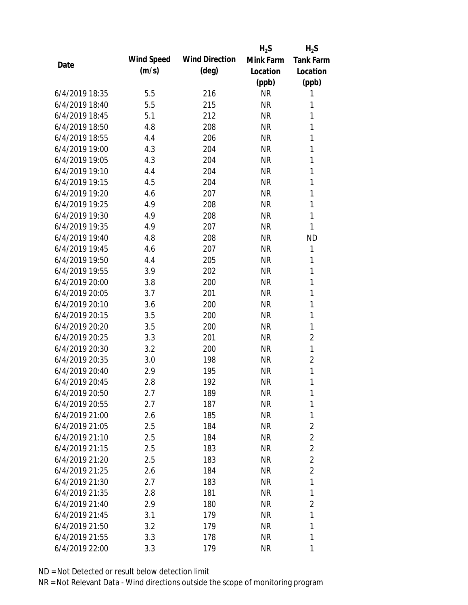|                |            |                       | $H_2S$    | $H_2S$           |
|----------------|------------|-----------------------|-----------|------------------|
|                | Wind Speed | <b>Wind Direction</b> | Mink Farm | <b>Tank Farm</b> |
| Date           | (m/s)      | $(\text{deg})$        | Location  | Location         |
|                |            |                       | (ppb)     | (ppb)            |
| 6/4/2019 18:35 | 5.5        | 216                   | <b>NR</b> | 1                |
| 6/4/2019 18:40 | 5.5        | 215                   | <b>NR</b> | 1                |
| 6/4/2019 18:45 | 5.1        | 212                   | <b>NR</b> | 1                |
| 6/4/2019 18:50 | 4.8        | 208                   | <b>NR</b> | 1                |
| 6/4/2019 18:55 | 4.4        | 206                   | <b>NR</b> | 1                |
| 6/4/2019 19:00 | 4.3        | 204                   | <b>NR</b> | 1                |
| 6/4/2019 19:05 | 4.3        | 204                   | <b>NR</b> | 1                |
| 6/4/2019 19:10 | 4.4        | 204                   | <b>NR</b> | 1                |
| 6/4/2019 19:15 | 4.5        | 204                   | <b>NR</b> | 1                |
| 6/4/2019 19:20 | 4.6        | 207                   | <b>NR</b> | 1                |
| 6/4/2019 19:25 | 4.9        | 208                   | <b>NR</b> | 1                |
| 6/4/2019 19:30 | 4.9        | 208                   | <b>NR</b> | 1                |
| 6/4/2019 19:35 | 4.9        | 207                   | <b>NR</b> | 1                |
| 6/4/2019 19:40 | 4.8        | 208                   | <b>NR</b> | <b>ND</b>        |
| 6/4/2019 19:45 | 4.6        | 207                   | <b>NR</b> | 1                |
| 6/4/2019 19:50 | 4.4        | 205                   | <b>NR</b> | 1                |
| 6/4/2019 19:55 | 3.9        | 202                   | <b>NR</b> | 1                |
| 6/4/2019 20:00 | 3.8        | 200                   | <b>NR</b> | 1                |
| 6/4/2019 20:05 | 3.7        | 201                   | <b>NR</b> | 1                |
| 6/4/2019 20:10 | 3.6        | 200                   | <b>NR</b> | 1                |
| 6/4/2019 20:15 | 3.5        | 200                   | <b>NR</b> | 1                |
| 6/4/2019 20:20 | 3.5        | 200                   | <b>NR</b> | 1                |
| 6/4/2019 20:25 | 3.3        | 201                   | <b>NR</b> | $\overline{2}$   |
| 6/4/2019 20:30 | 3.2        | 200                   | <b>NR</b> | 1                |
| 6/4/2019 20:35 | 3.0        | 198                   | <b>NR</b> | $\overline{2}$   |
| 6/4/2019 20:40 | 2.9        | 195                   | <b>NR</b> | 1                |
| 6/4/2019 20:45 | 2.8        | 192                   | <b>NR</b> | 1                |
| 6/4/2019 20:50 | 2.7        | 189                   | <b>NR</b> | 1                |
| 6/4/2019 20:55 | 2.7        | 187                   | <b>NR</b> | 1                |
| 6/4/2019 21:00 | 2.6        | 185                   | <b>NR</b> | 1                |
| 6/4/2019 21:05 | 2.5        | 184                   | <b>NR</b> | $\overline{2}$   |
| 6/4/2019 21:10 | 2.5        | 184                   | <b>NR</b> | $\overline{2}$   |
| 6/4/2019 21:15 | 2.5        | 183                   | <b>NR</b> | $\overline{2}$   |
| 6/4/2019 21:20 | 2.5        | 183                   | <b>NR</b> | $\overline{2}$   |
| 6/4/2019 21:25 | 2.6        | 184                   | <b>NR</b> | $\overline{2}$   |
| 6/4/2019 21:30 | 2.7        | 183                   | <b>NR</b> | 1                |
| 6/4/2019 21:35 | 2.8        | 181                   | <b>NR</b> | 1                |
| 6/4/2019 21:40 | 2.9        | 180                   | <b>NR</b> | $\overline{2}$   |
| 6/4/2019 21:45 | 3.1        | 179                   | <b>NR</b> | 1                |
| 6/4/2019 21:50 | 3.2        | 179                   | <b>NR</b> | 1                |
| 6/4/2019 21:55 | 3.3        | 178                   | <b>NR</b> | 1                |
| 6/4/2019 22:00 | 3.3        | 179                   | <b>NR</b> | 1                |
|                |            |                       |           |                  |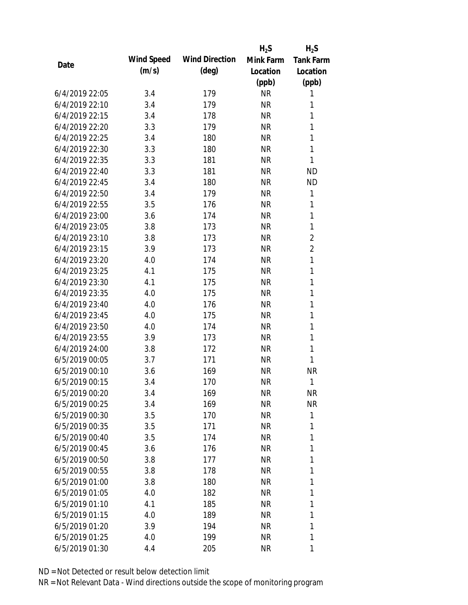|                |            |                       | $H_2S$    | $H_2S$           |
|----------------|------------|-----------------------|-----------|------------------|
| Date           | Wind Speed | <b>Wind Direction</b> | Mink Farm | <b>Tank Farm</b> |
|                | (m/s)      | $(\text{deg})$        | Location  | Location         |
|                |            |                       | (ppb)     | (ppb)            |
| 6/4/2019 22:05 | 3.4        | 179                   | <b>NR</b> | 1                |
| 6/4/2019 22:10 | 3.4        | 179                   | <b>NR</b> | 1                |
| 6/4/2019 22:15 | 3.4        | 178                   | <b>NR</b> | 1                |
| 6/4/2019 22:20 | 3.3        | 179                   | <b>NR</b> | 1                |
| 6/4/2019 22:25 | 3.4        | 180                   | <b>NR</b> | 1                |
| 6/4/2019 22:30 | 3.3        | 180                   | <b>NR</b> | 1                |
| 6/4/2019 22:35 | 3.3        | 181                   | <b>NR</b> | 1                |
| 6/4/2019 22:40 | 3.3        | 181                   | <b>NR</b> | <b>ND</b>        |
| 6/4/2019 22:45 | 3.4        | 180                   | <b>NR</b> | <b>ND</b>        |
| 6/4/2019 22:50 | 3.4        | 179                   | <b>NR</b> | 1                |
| 6/4/2019 22:55 | 3.5        | 176                   | <b>NR</b> | 1                |
| 6/4/2019 23:00 | 3.6        | 174                   | <b>NR</b> | 1                |
| 6/4/2019 23:05 | 3.8        | 173                   | <b>NR</b> | 1                |
| 6/4/2019 23:10 | 3.8        | 173                   | <b>NR</b> | $\overline{2}$   |
| 6/4/2019 23:15 | 3.9        | 173                   | <b>NR</b> | $\overline{2}$   |
| 6/4/2019 23:20 | 4.0        | 174                   | <b>NR</b> | $\mathbf{1}$     |
| 6/4/2019 23:25 | 4.1        | 175                   | <b>NR</b> | 1                |
| 6/4/2019 23:30 | 4.1        | 175                   | <b>NR</b> | 1                |
| 6/4/2019 23:35 | 4.0        | 175                   | <b>NR</b> | 1                |
| 6/4/2019 23:40 | 4.0        | 176                   | <b>NR</b> | $\mathbf{1}$     |
| 6/4/2019 23:45 | 4.0        | 175                   | <b>NR</b> | 1                |
| 6/4/2019 23:50 | 4.0        | 174                   | <b>NR</b> | 1                |
| 6/4/2019 23:55 | 3.9        | 173                   | <b>NR</b> | 1                |
| 6/4/2019 24:00 | 3.8        | 172                   | <b>NR</b> | $\mathbf{1}$     |
| 6/5/2019 00:05 | 3.7        | 171                   | <b>NR</b> | 1                |
| 6/5/2019 00:10 | 3.6        | 169                   | <b>NR</b> | <b>NR</b>        |
| 6/5/2019 00:15 | 3.4        | 170                   | <b>NR</b> | 1                |
| 6/5/2019 00:20 | 3.4        | 169                   | <b>NR</b> | <b>NR</b>        |
| 6/5/2019 00:25 | 3.4        | 169                   | <b>NR</b> | <b>NR</b>        |
| 6/5/2019 00:30 | 3.5        | 170                   | <b>NR</b> | 1                |
| 6/5/2019 00:35 | 3.5        | 171                   | <b>NR</b> | 1                |
| 6/5/2019 00:40 | 3.5        | 174                   | <b>NR</b> | 1                |
| 6/5/2019 00:45 | 3.6        | 176                   | <b>NR</b> | 1                |
| 6/5/2019 00:50 | 3.8        | 177                   | <b>NR</b> | 1                |
| 6/5/2019 00:55 | 3.8        | 178                   | <b>NR</b> | 1                |
| 6/5/2019 01:00 | 3.8        | 180                   | <b>NR</b> | 1                |
| 6/5/2019 01:05 | 4.0        | 182                   | <b>NR</b> | 1                |
| 6/5/2019 01:10 | 4.1        | 185                   | <b>NR</b> | 1                |
| 6/5/2019 01:15 | 4.0        | 189                   | <b>NR</b> | 1                |
| 6/5/2019 01:20 | 3.9        | 194                   | <b>NR</b> | 1                |
| 6/5/2019 01:25 | 4.0        | 199                   | <b>NR</b> | 1                |
| 6/5/2019 01:30 | 4.4        | 205                   | <b>NR</b> | 1                |
|                |            |                       |           |                  |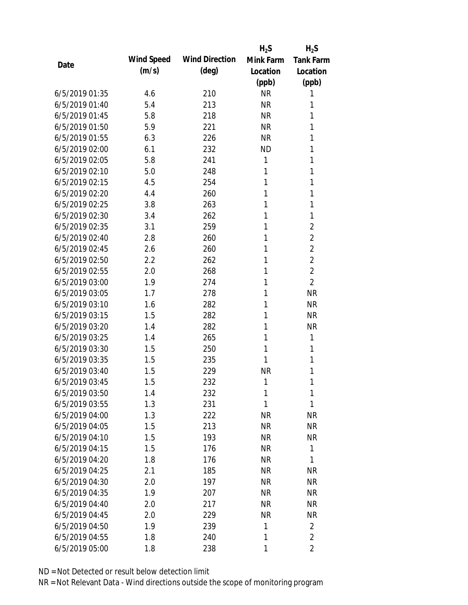|                |            |                       | $H_2S$    | $H_2S$           |
|----------------|------------|-----------------------|-----------|------------------|
| Date           | Wind Speed | <b>Wind Direction</b> | Mink Farm | <b>Tank Farm</b> |
|                | (m/s)      | (deg)                 | Location  | Location         |
|                |            |                       | (ppb)     | (ppb)            |
| 6/5/2019 01:35 | 4.6        | 210                   | <b>NR</b> | 1                |
| 6/5/2019 01:40 | 5.4        | 213                   | <b>NR</b> | 1                |
| 6/5/2019 01:45 | 5.8        | 218                   | <b>NR</b> | 1                |
| 6/5/2019 01:50 | 5.9        | 221                   | <b>NR</b> | 1                |
| 6/5/2019 01:55 | 6.3        | 226                   | <b>NR</b> | 1                |
| 6/5/2019 02:00 | 6.1        | 232                   | <b>ND</b> | 1                |
| 6/5/2019 02:05 | 5.8        | 241                   | 1         | 1                |
| 6/5/2019 02:10 | 5.0        | 248                   | 1         | 1                |
| 6/5/2019 02:15 | 4.5        | 254                   | 1         | 1                |
| 6/5/2019 02:20 | 4.4        | 260                   | 1         | 1                |
| 6/5/2019 02:25 | 3.8        | 263                   | 1         | 1                |
| 6/5/2019 02:30 | 3.4        | 262                   | 1         | 1                |
| 6/5/2019 02:35 | 3.1        | 259                   | 1         | $\overline{2}$   |
| 6/5/2019 02:40 | 2.8        | 260                   | 1         | $\overline{2}$   |
| 6/5/2019 02:45 | 2.6        | 260                   | 1         | $\overline{2}$   |
| 6/5/2019 02:50 | 2.2        | 262                   | 1         | $\overline{2}$   |
| 6/5/2019 02:55 | 2.0        | 268                   | 1         | $\overline{2}$   |
| 6/5/2019 03:00 | 1.9        | 274                   | 1         | $\overline{2}$   |
| 6/5/2019 03:05 | 1.7        | 278                   | 1         | <b>NR</b>        |
| 6/5/2019 03:10 | 1.6        | 282                   | 1         | <b>NR</b>        |
| 6/5/2019 03:15 | 1.5        | 282                   | 1         | <b>NR</b>        |
| 6/5/2019 03:20 | 1.4        | 282                   | 1         | <b>NR</b>        |
| 6/5/2019 03:25 | 1.4        | 265                   | 1         | 1                |
| 6/5/2019 03:30 | 1.5        | 250                   | 1         | 1                |
| 6/5/2019 03:35 | 1.5        | 235                   | 1         | 1                |
| 6/5/2019 03:40 | 1.5        | 229                   | <b>NR</b> | 1                |
| 6/5/2019 03:45 | 1.5        | 232                   | 1         | 1                |
| 6/5/2019 03:50 | 1.4        | 232                   | 1         | 1                |
| 6/5/2019 03:55 | 1.3        | 231                   | 1         | 1                |
| 6/5/2019 04:00 | 1.3        | 222                   | <b>NR</b> | <b>NR</b>        |
| 6/5/2019 04:05 | 1.5        | 213                   | <b>NR</b> | <b>NR</b>        |
| 6/5/2019 04:10 | 1.5        | 193                   | <b>NR</b> | <b>NR</b>        |
| 6/5/2019 04:15 | 1.5        | 176                   | <b>NR</b> | 1                |
| 6/5/2019 04:20 | 1.8        | 176                   | <b>NR</b> | 1                |
| 6/5/2019 04:25 | 2.1        | 185                   | <b>NR</b> | <b>NR</b>        |
| 6/5/2019 04:30 | 2.0        | 197                   | <b>NR</b> | <b>NR</b>        |
| 6/5/2019 04:35 | 1.9        | 207                   | <b>NR</b> | <b>NR</b>        |
| 6/5/2019 04:40 | 2.0        | 217                   | <b>NR</b> | <b>NR</b>        |
| 6/5/2019 04:45 | 2.0        | 229                   | <b>NR</b> | <b>NR</b>        |
| 6/5/2019 04:50 | 1.9        | 239                   | 1         | $\overline{2}$   |
| 6/5/2019 04:55 | 1.8        | 240                   | 1         | $\overline{2}$   |
| 6/5/2019 05:00 |            |                       | 1         | 2                |
|                | 1.8        | 238                   |           |                  |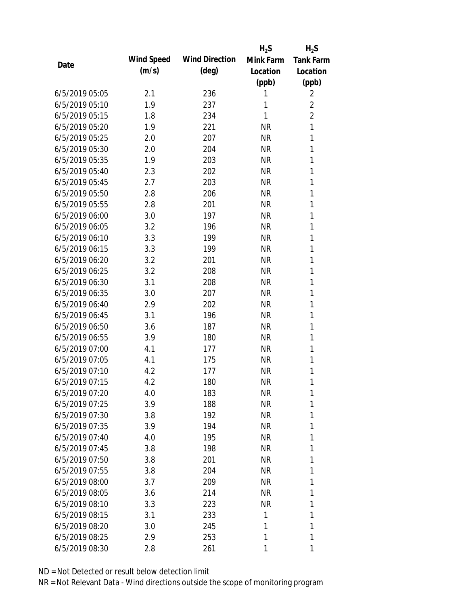|                |            |                       | $H_2S$    | $H_2S$           |
|----------------|------------|-----------------------|-----------|------------------|
| Date           | Wind Speed | <b>Wind Direction</b> | Mink Farm | <b>Tank Farm</b> |
|                | (m/s)      | $(\text{deg})$        | Location  | Location         |
|                |            |                       | (ppb)     | (ppb)            |
| 6/5/2019 05:05 | 2.1        | 236                   | 1         | $\overline{2}$   |
| 6/5/2019 05:10 | 1.9        | 237                   | 1         | $\overline{2}$   |
| 6/5/2019 05:15 | 1.8        | 234                   | 1         | $\overline{2}$   |
| 6/5/2019 05:20 | 1.9        | 221                   | <b>NR</b> | 1                |
| 6/5/2019 05:25 | 2.0        | 207                   | <b>NR</b> | 1                |
| 6/5/2019 05:30 | 2.0        | 204                   | <b>NR</b> | 1                |
| 6/5/2019 05:35 | 1.9        | 203                   | <b>NR</b> | 1                |
| 6/5/2019 05:40 | 2.3        | 202                   | <b>NR</b> | 1                |
| 6/5/2019 05:45 | 2.7        | 203                   | <b>NR</b> | 1                |
| 6/5/2019 05:50 | 2.8        | 206                   | <b>NR</b> | 1                |
| 6/5/2019 05:55 | 2.8        | 201                   | <b>NR</b> | 1                |
| 6/5/2019 06:00 | 3.0        | 197                   | <b>NR</b> | 1                |
| 6/5/2019 06:05 | 3.2        | 196                   | <b>NR</b> | 1                |
| 6/5/2019 06:10 | 3.3        | 199                   | <b>NR</b> | 1                |
| 6/5/2019 06:15 | 3.3        | 199                   | <b>NR</b> | 1                |
| 6/5/2019 06:20 | 3.2        | 201                   | <b>NR</b> | 1                |
| 6/5/2019 06:25 | 3.2        | 208                   | <b>NR</b> | 1                |
| 6/5/2019 06:30 | 3.1        | 208                   | <b>NR</b> | 1                |
| 6/5/2019 06:35 | 3.0        | 207                   | <b>NR</b> | 1                |
| 6/5/2019 06:40 | 2.9        | 202                   | <b>NR</b> | 1                |
| 6/5/2019 06:45 | 3.1        | 196                   | <b>NR</b> | 1                |
| 6/5/2019 06:50 | 3.6        | 187                   | <b>NR</b> | 1                |
| 6/5/2019 06:55 | 3.9        | 180                   | <b>NR</b> | 1                |
| 6/5/2019 07:00 | 4.1        | 177                   | <b>NR</b> | 1                |
| 6/5/2019 07:05 | 4.1        | 175                   | <b>NR</b> | 1                |
| 6/5/2019 07:10 | 4.2        | 177                   | <b>NR</b> | 1                |
| 6/5/2019 07:15 | 4.2        | 180                   | <b>NR</b> | 1                |
| 6/5/2019 07:20 | 4.0        | 183                   | <b>NR</b> | 1                |
| 6/5/2019 07:25 | 3.9        | 188                   | <b>NR</b> | 1                |
| 6/5/2019 07:30 | 3.8        | 192                   | <b>NR</b> | 1                |
| 6/5/2019 07:35 | 3.9        | 194                   | <b>NR</b> | 1                |
| 6/5/2019 07:40 | 4.0        | 195                   | <b>NR</b> | 1                |
| 6/5/2019 07:45 | 3.8        | 198                   | <b>NR</b> | 1                |
| 6/5/2019 07:50 | 3.8        | 201                   | <b>NR</b> | 1                |
| 6/5/2019 07:55 | 3.8        | 204                   | <b>NR</b> | 1                |
| 6/5/2019 08:00 | 3.7        | 209                   | <b>NR</b> | 1                |
| 6/5/2019 08:05 | 3.6        | 214                   | <b>NR</b> | 1                |
| 6/5/2019 08:10 | 3.3        | 223                   | <b>NR</b> | 1                |
| 6/5/2019 08:15 | 3.1        | 233                   | 1         | 1                |
| 6/5/2019 08:20 | 3.0        | 245                   | 1         | 1                |
| 6/5/2019 08:25 | 2.9        | 253                   | 1         | 1                |
| 6/5/2019 08:30 | 2.8        | 261                   | 1         | 1                |
|                |            |                       |           |                  |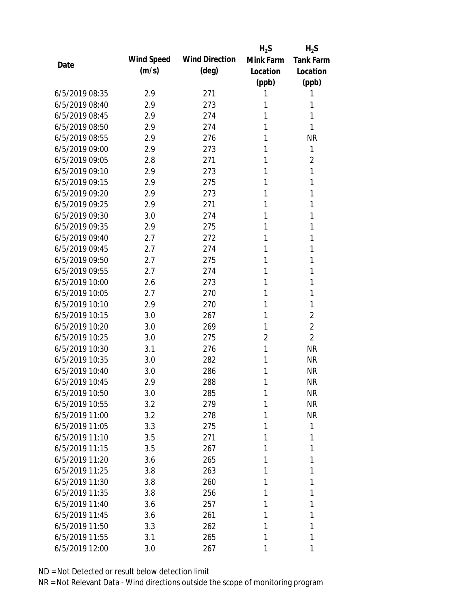|                |            |                       | $H_2S$         | $H_2S$           |
|----------------|------------|-----------------------|----------------|------------------|
| Date           | Wind Speed | <b>Wind Direction</b> | Mink Farm      | <b>Tank Farm</b> |
|                | (m/s)      | $(\text{deg})$        | Location       | Location         |
|                |            |                       | (ppb)          | (ppb)            |
| 6/5/2019 08:35 | 2.9        | 271                   | 1              | 1                |
| 6/5/2019 08:40 | 2.9        | 273                   | 1              | 1                |
| 6/5/2019 08:45 | 2.9        | 274                   | 1              | 1                |
| 6/5/2019 08:50 | 2.9        | 274                   | 1              | 1                |
| 6/5/2019 08:55 | 2.9        | 276                   | 1              | <b>NR</b>        |
| 6/5/2019 09:00 | 2.9        | 273                   | 1              | 1                |
| 6/5/2019 09:05 | 2.8        | 271                   | 1              | 2                |
| 6/5/2019 09:10 | 2.9        | 273                   | 1              | 1                |
| 6/5/2019 09:15 | 2.9        | 275                   | 1              | 1                |
| 6/5/2019 09:20 | 2.9        | 273                   | 1              | 1                |
| 6/5/2019 09:25 | 2.9        | 271                   | 1              | 1                |
| 6/5/2019 09:30 | 3.0        | 274                   | 1              | 1                |
| 6/5/2019 09:35 | 2.9        | 275                   | 1              | 1                |
| 6/5/2019 09:40 | 2.7        | 272                   | 1              | 1                |
| 6/5/2019 09:45 | 2.7        | 274                   | 1              | 1                |
| 6/5/2019 09:50 | 2.7        | 275                   | 1              | 1                |
| 6/5/2019 09:55 | 2.7        | 274                   | 1              | 1                |
| 6/5/2019 10:00 | 2.6        | 273                   | 1              | 1                |
| 6/5/2019 10:05 | 2.7        | 270                   | 1              | 1                |
| 6/5/2019 10:10 | 2.9        | 270                   | 1              | 1                |
| 6/5/2019 10:15 | 3.0        | 267                   | 1              | $\overline{2}$   |
| 6/5/2019 10:20 | 3.0        | 269                   | 1              | $\overline{2}$   |
| 6/5/2019 10:25 | 3.0        | 275                   | $\overline{2}$ | $\overline{2}$   |
| 6/5/2019 10:30 | 3.1        | 276                   | 1              | <b>NR</b>        |
| 6/5/2019 10:35 | 3.0        | 282                   | 1              | <b>NR</b>        |
| 6/5/2019 10:40 | 3.0        | 286                   | 1              | <b>NR</b>        |
| 6/5/2019 10:45 | 2.9        | 288                   | 1              | <b>NR</b>        |
| 6/5/2019 10:50 | 3.0        | 285                   | 1              | <b>NR</b>        |
| 6/5/2019 10:55 | 3.2        | 279                   | 1              | <b>NR</b>        |
| 6/5/2019 11:00 | 3.2        | 278                   | 1              | <b>NR</b>        |
| 6/5/2019 11:05 | 3.3        | 275                   | 1              | 1                |
| 6/5/2019 11:10 | 3.5        | 271                   | 1              | 1                |
| 6/5/2019 11:15 | 3.5        | 267                   | 1              | 1                |
| 6/5/2019 11:20 | 3.6        | 265                   | 1              | 1                |
| 6/5/2019 11:25 | 3.8        | 263                   | 1              | 1                |
| 6/5/2019 11:30 | 3.8        | 260                   | 1              | 1                |
| 6/5/2019 11:35 | 3.8        | 256                   | 1              | 1                |
| 6/5/2019 11:40 | 3.6        | 257                   | 1              | 1                |
| 6/5/2019 11:45 | 3.6        | 261                   | 1              | 1                |
| 6/5/2019 11:50 | 3.3        | 262                   | 1              | 1                |
| 6/5/2019 11:55 | 3.1        | 265                   | 1              | 1                |
| 6/5/2019 12:00 | 3.0        | 267                   | 1              | 1                |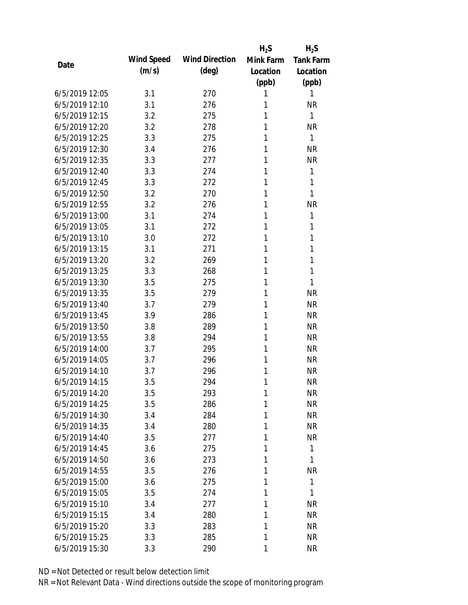|                |            |                       | $H_2S$    | $H_2S$           |
|----------------|------------|-----------------------|-----------|------------------|
| Date           | Wind Speed | <b>Wind Direction</b> | Mink Farm | <b>Tank Farm</b> |
|                | (m/s)      | $(\text{deg})$        | Location  | Location         |
|                |            |                       | (ppb)     | (ppb)            |
| 6/5/2019 12:05 | 3.1        | 270                   | 1         | 1                |
| 6/5/2019 12:10 | 3.1        | 276                   | 1         | <b>NR</b>        |
| 6/5/2019 12:15 | 3.2        | 275                   | 1         | 1                |
| 6/5/2019 12:20 | 3.2        | 278                   | 1         | <b>NR</b>        |
| 6/5/2019 12:25 | 3.3        | 275                   | 1         | 1                |
| 6/5/2019 12:30 | 3.4        | 276                   | 1         | <b>NR</b>        |
| 6/5/2019 12:35 | 3.3        | 277                   | 1         | <b>NR</b>        |
| 6/5/2019 12:40 | 3.3        | 274                   | 1         | 1                |
| 6/5/2019 12:45 | 3.3        | 272                   | 1         | 1                |
| 6/5/2019 12:50 | 3.2        | 270                   | 1         | 1                |
| 6/5/2019 12:55 | 3.2        | 276                   | 1         | <b>NR</b>        |
| 6/5/2019 13:00 | 3.1        | 274                   | 1         | 1                |
| 6/5/2019 13:05 | 3.1        | 272                   | 1         | 1                |
| 6/5/2019 13:10 | 3.0        | 272                   | 1         | 1                |
| 6/5/2019 13:15 | 3.1        | 271                   | 1         | 1                |
| 6/5/2019 13:20 | 3.2        | 269                   | 1         | 1                |
| 6/5/2019 13:25 | 3.3        | 268                   | 1         | 1                |
| 6/5/2019 13:30 | 3.5        | 275                   | 1         | 1                |
| 6/5/2019 13:35 | 3.5        | 279                   | 1         | <b>NR</b>        |
| 6/5/2019 13:40 | 3.7        | 279                   | 1         | <b>NR</b>        |
| 6/5/2019 13:45 | 3.9        | 286                   | 1         | <b>NR</b>        |
| 6/5/2019 13:50 | 3.8        | 289                   | 1         | <b>NR</b>        |
| 6/5/2019 13:55 | 3.8        | 294                   | 1         | <b>NR</b>        |
| 6/5/2019 14:00 | 3.7        | 295                   | 1         | <b>NR</b>        |
| 6/5/2019 14:05 | 3.7        | 296                   | 1         | <b>NR</b>        |
| 6/5/2019 14:10 | 3.7        | 296                   | 1         | <b>NR</b>        |
| 6/5/2019 14:15 | 3.5        | 294                   | 1         | <b>NR</b>        |
| 6/5/2019 14:20 | 3.5        | 293                   | 1         | <b>NR</b>        |
| 6/5/2019 14:25 | 3.5        | 286                   | 1         | <b>NR</b>        |
| 6/5/2019 14:30 | 3.4        | 284                   | 1         | <b>NR</b>        |
| 6/5/2019 14:35 | 3.4        | 280                   | 1         | <b>NR</b>        |
| 6/5/2019 14:40 | 3.5        | 277                   | 1         | <b>NR</b>        |
| 6/5/2019 14:45 | 3.6        | 275                   | 1         | 1                |
| 6/5/2019 14:50 | 3.6        | 273                   | 1         | 1                |
| 6/5/2019 14:55 | 3.5        | 276                   | 1         | <b>NR</b>        |
| 6/5/2019 15:00 | 3.6        | 275                   | 1         | 1                |
| 6/5/2019 15:05 | 3.5        | 274                   | 1         | 1                |
| 6/5/2019 15:10 | 3.4        | 277                   | 1         | <b>NR</b>        |
| 6/5/2019 15:15 | 3.4        | 280                   | 1         | <b>NR</b>        |
| 6/5/2019 15:20 | 3.3        | 283                   | 1         | <b>NR</b>        |
| 6/5/2019 15:25 | 3.3        | 285                   | 1         | <b>NR</b>        |
| 6/5/2019 15:30 | 3.3        | 290                   | 1         | <b>NR</b>        |
|                |            |                       |           |                  |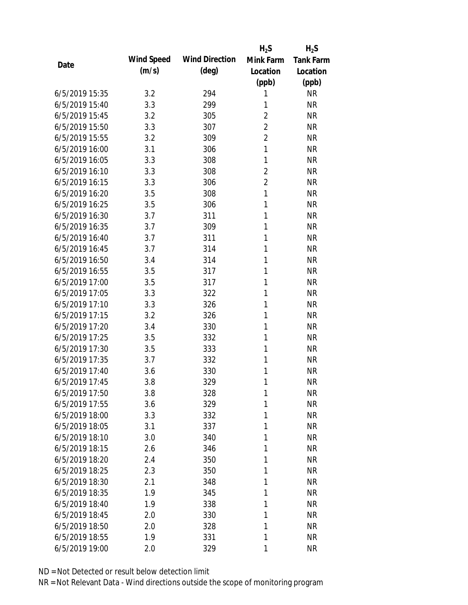|                |            |                       | $H_2S$         | $H_2S$           |
|----------------|------------|-----------------------|----------------|------------------|
| Date           | Wind Speed | <b>Wind Direction</b> | Mink Farm      | <b>Tank Farm</b> |
|                | (m/s)      | $(\text{deg})$        | Location       | Location         |
|                |            |                       | (ppb)          | (ppb)            |
| 6/5/2019 15:35 | 3.2        | 294                   | 1              | <b>NR</b>        |
| 6/5/2019 15:40 | 3.3        | 299                   | 1              | <b>NR</b>        |
| 6/5/2019 15:45 | 3.2        | 305                   | $\overline{2}$ | <b>NR</b>        |
| 6/5/2019 15:50 | 3.3        | 307                   | $\overline{2}$ | <b>NR</b>        |
| 6/5/2019 15:55 | 3.2        | 309                   | $\overline{2}$ | <b>NR</b>        |
| 6/5/2019 16:00 | 3.1        | 306                   | $\mathbf{1}$   | <b>NR</b>        |
| 6/5/2019 16:05 | 3.3        | 308                   | 1              | <b>NR</b>        |
| 6/5/2019 16:10 | 3.3        | 308                   | $\overline{2}$ | <b>NR</b>        |
| 6/5/2019 16:15 | 3.3        | 306                   | $\overline{2}$ | <b>NR</b>        |
| 6/5/2019 16:20 | 3.5        | 308                   | $\mathbf{1}$   | <b>NR</b>        |
| 6/5/2019 16:25 | 3.5        | 306                   | 1              | <b>NR</b>        |
| 6/5/2019 16:30 | 3.7        | 311                   | 1              | <b>NR</b>        |
| 6/5/2019 16:35 | 3.7        | 309                   | 1              | <b>NR</b>        |
| 6/5/2019 16:40 | 3.7        | 311                   | 1              | <b>NR</b>        |
| 6/5/2019 16:45 | 3.7        | 314                   | 1              | <b>NR</b>        |
| 6/5/2019 16:50 | 3.4        | 314                   | 1              | <b>NR</b>        |
| 6/5/2019 16:55 | 3.5        | 317                   | 1              | <b>NR</b>        |
| 6/5/2019 17:00 | 3.5        | 317                   | 1              | <b>NR</b>        |
| 6/5/2019 17:05 | 3.3        | 322                   | 1              | <b>NR</b>        |
| 6/5/2019 17:10 | 3.3        | 326                   | 1              | <b>NR</b>        |
| 6/5/2019 17:15 | 3.2        | 326                   | 1              | <b>NR</b>        |
| 6/5/2019 17:20 | 3.4        | 330                   | 1              | <b>NR</b>        |
| 6/5/2019 17:25 | 3.5        | 332                   | 1              | <b>NR</b>        |
| 6/5/2019 17:30 | 3.5        | 333                   | 1              | <b>NR</b>        |
| 6/5/2019 17:35 | 3.7        | 332                   | 1              | <b>NR</b>        |
| 6/5/2019 17:40 | 3.6        | 330                   | 1              | <b>NR</b>        |
| 6/5/2019 17:45 | 3.8        | 329                   | 1              | <b>NR</b>        |
| 6/5/2019 17:50 | 3.8        | 328                   | 1              | <b>NR</b>        |
| 6/5/2019 17:55 | 3.6        | 329                   | 1              | <b>NR</b>        |
| 6/5/2019 18:00 | 3.3        | 332                   | 1              | <b>NR</b>        |
| 6/5/2019 18:05 | 3.1        | 337                   | 1              | <b>NR</b>        |
| 6/5/2019 18:10 | 3.0        | 340                   | 1              | <b>NR</b>        |
| 6/5/2019 18:15 | 2.6        | 346                   | 1              | <b>NR</b>        |
| 6/5/2019 18:20 | 2.4        | 350                   | 1              | <b>NR</b>        |
| 6/5/2019 18:25 | 2.3        | 350                   | 1              | <b>NR</b>        |
| 6/5/2019 18:30 | 2.1        | 348                   | 1              | <b>NR</b>        |
| 6/5/2019 18:35 | 1.9        | 345                   | 1              | <b>NR</b>        |
| 6/5/2019 18:40 | 1.9        | 338                   | 1              | <b>NR</b>        |
| 6/5/2019 18:45 | 2.0        | 330                   | 1              | <b>NR</b>        |
| 6/5/2019 18:50 | 2.0        | 328                   | 1              | <b>NR</b>        |
| 6/5/2019 18:55 | 1.9        | 331                   | 1              | <b>NR</b>        |
| 6/5/2019 19:00 | 2.0        | 329                   | 1              | <b>NR</b>        |
|                |            |                       |                |                  |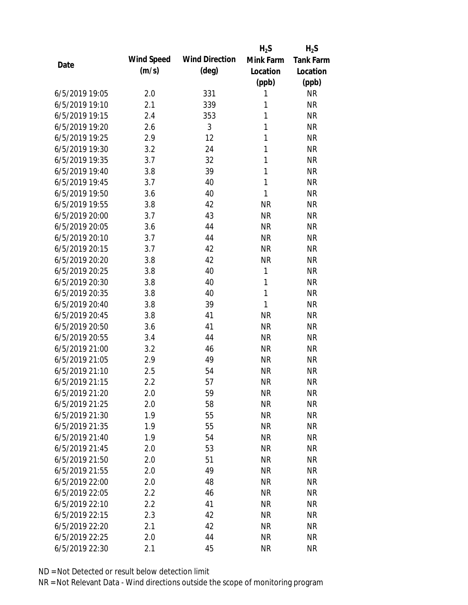|                |            |                       | $H_2S$       | $H_2S$           |
|----------------|------------|-----------------------|--------------|------------------|
| Date           | Wind Speed | <b>Wind Direction</b> | Mink Farm    | <b>Tank Farm</b> |
|                | (m/s)      | $(\text{deg})$        | Location     | Location         |
|                |            |                       | (ppb)        | (ppb)            |
| 6/5/2019 19:05 | 2.0        | 331                   | 1            | <b>NR</b>        |
| 6/5/2019 19:10 | 2.1        | 339                   | 1            | <b>NR</b>        |
| 6/5/2019 19:15 | 2.4        | 353                   | 1            | <b>NR</b>        |
| 6/5/2019 19:20 | 2.6        | 3                     | 1            | <b>NR</b>        |
| 6/5/2019 19:25 | 2.9        | 12                    | 1            | <b>NR</b>        |
| 6/5/2019 19:30 | 3.2        | 24                    | 1            | <b>NR</b>        |
| 6/5/2019 19:35 | 3.7        | 32                    | 1            | <b>NR</b>        |
| 6/5/2019 19:40 | 3.8        | 39                    | 1            | <b>NR</b>        |
| 6/5/2019 19:45 | 3.7        | 40                    | 1            | <b>NR</b>        |
| 6/5/2019 19:50 | 3.6        | 40                    | 1            | <b>NR</b>        |
| 6/5/2019 19:55 | 3.8        | 42                    | <b>NR</b>    | <b>NR</b>        |
| 6/5/2019 20:00 | 3.7        | 43                    | <b>NR</b>    | <b>NR</b>        |
| 6/5/2019 20:05 | 3.6        | 44                    | <b>NR</b>    | <b>NR</b>        |
| 6/5/2019 20:10 | 3.7        | 44                    | <b>NR</b>    | <b>NR</b>        |
| 6/5/2019 20:15 | 3.7        | 42                    | <b>NR</b>    | <b>NR</b>        |
| 6/5/2019 20:20 | 3.8        | 42                    | <b>NR</b>    | <b>NR</b>        |
| 6/5/2019 20:25 | 3.8        | 40                    | 1            | <b>NR</b>        |
| 6/5/2019 20:30 | 3.8        | 40                    | $\mathbf{1}$ | <b>NR</b>        |
| 6/5/2019 20:35 | 3.8        | 40                    | $\mathbf{1}$ | <b>NR</b>        |
| 6/5/2019 20:40 | 3.8        | 39                    | 1            | <b>NR</b>        |
| 6/5/2019 20:45 | 3.8        | 41                    | <b>NR</b>    | <b>NR</b>        |
| 6/5/2019 20:50 | 3.6        | 41                    | <b>NR</b>    | <b>NR</b>        |
| 6/5/2019 20:55 | 3.4        | 44                    | <b>NR</b>    | <b>NR</b>        |
| 6/5/2019 21:00 | 3.2        | 46                    | <b>NR</b>    | <b>NR</b>        |
| 6/5/2019 21:05 | 2.9        | 49                    | <b>NR</b>    | <b>NR</b>        |
| 6/5/2019 21:10 | 2.5        | 54                    | <b>NR</b>    | <b>NR</b>        |
| 6/5/2019 21:15 | 2.2        | 57                    | <b>NR</b>    | <b>NR</b>        |
| 6/5/2019 21:20 | 2.0        | 59                    | <b>NR</b>    | <b>NR</b>        |
| 6/5/2019 21:25 | 2.0        | 58                    | <b>NR</b>    | <b>NR</b>        |
| 6/5/2019 21:30 | 1.9        | 55                    | <b>NR</b>    | <b>NR</b>        |
| 6/5/2019 21:35 | 1.9        | 55                    | <b>NR</b>    | <b>NR</b>        |
| 6/5/2019 21:40 | 1.9        | 54                    | <b>NR</b>    | <b>NR</b>        |
| 6/5/2019 21:45 | 2.0        | 53                    | <b>NR</b>    | <b>NR</b>        |
| 6/5/2019 21:50 | 2.0        | 51                    | <b>NR</b>    | <b>NR</b>        |
| 6/5/2019 21:55 | 2.0        | 49                    | <b>NR</b>    | <b>NR</b>        |
| 6/5/2019 22:00 | 2.0        | 48                    | <b>NR</b>    | <b>NR</b>        |
| 6/5/2019 22:05 | 2.2        | 46                    | <b>NR</b>    | <b>NR</b>        |
| 6/5/2019 22:10 | 2.2        | 41                    | <b>NR</b>    | <b>NR</b>        |
| 6/5/2019 22:15 | 2.3        | 42                    | <b>NR</b>    | <b>NR</b>        |
| 6/5/2019 22:20 | 2.1        | 42                    | <b>NR</b>    | <b>NR</b>        |
| 6/5/2019 22:25 | 2.0        | 44                    | <b>NR</b>    | <b>NR</b>        |
| 6/5/2019 22:30 | 2.1        | 45                    | <b>NR</b>    | <b>NR</b>        |
|                |            |                       |              |                  |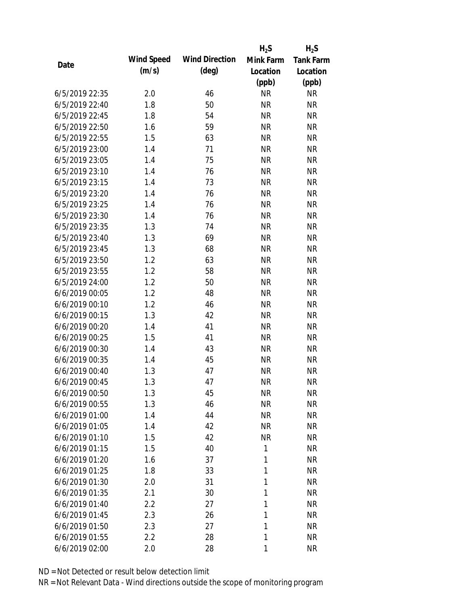|                |            |                       | $H_2S$    | $H_2S$           |
|----------------|------------|-----------------------|-----------|------------------|
|                | Wind Speed | <b>Wind Direction</b> | Mink Farm | <b>Tank Farm</b> |
| Date           | (m/s)      | $(\text{deg})$        | Location  | Location         |
|                |            |                       | (ppb)     | (ppb)            |
| 6/5/2019 22:35 | 2.0        | 46                    | <b>NR</b> | <b>NR</b>        |
| 6/5/2019 22:40 | 1.8        | 50                    | <b>NR</b> | <b>NR</b>        |
| 6/5/2019 22:45 | 1.8        | 54                    | <b>NR</b> | <b>NR</b>        |
| 6/5/2019 22:50 | 1.6        | 59                    | <b>NR</b> | <b>NR</b>        |
| 6/5/2019 22:55 | 1.5        | 63                    | <b>NR</b> | <b>NR</b>        |
| 6/5/2019 23:00 | 1.4        | 71                    | <b>NR</b> | <b>NR</b>        |
| 6/5/2019 23:05 | 1.4        | 75                    | <b>NR</b> | <b>NR</b>        |
| 6/5/2019 23:10 | 1.4        | 76                    | <b>NR</b> | <b>NR</b>        |
| 6/5/2019 23:15 | 1.4        | 73                    | <b>NR</b> | <b>NR</b>        |
| 6/5/2019 23:20 | 1.4        | 76                    | <b>NR</b> | <b>NR</b>        |
| 6/5/2019 23:25 | 1.4        | 76                    | <b>NR</b> | <b>NR</b>        |
| 6/5/2019 23:30 | 1.4        | 76                    | <b>NR</b> | <b>NR</b>        |
| 6/5/2019 23:35 | 1.3        | 74                    | <b>NR</b> | <b>NR</b>        |
| 6/5/2019 23:40 | 1.3        | 69                    | <b>NR</b> | <b>NR</b>        |
| 6/5/2019 23:45 | 1.3        | 68                    | <b>NR</b> | <b>NR</b>        |
| 6/5/2019 23:50 | 1.2        | 63                    | <b>NR</b> | <b>NR</b>        |
| 6/5/2019 23:55 | 1.2        | 58                    | <b>NR</b> | <b>NR</b>        |
| 6/5/2019 24:00 | 1.2        | 50                    | <b>NR</b> | <b>NR</b>        |
| 6/6/2019 00:05 | 1.2        | 48                    | <b>NR</b> | <b>NR</b>        |
| 6/6/2019 00:10 | 1.2        | 46                    | <b>NR</b> | <b>NR</b>        |
| 6/6/2019 00:15 | 1.3        | 42                    | <b>NR</b> | <b>NR</b>        |
| 6/6/2019 00:20 | 1.4        | 41                    | <b>NR</b> | <b>NR</b>        |
| 6/6/2019 00:25 | 1.5        | 41                    | <b>NR</b> | <b>NR</b>        |
| 6/6/2019 00:30 | 1.4        | 43                    | <b>NR</b> | <b>NR</b>        |
| 6/6/2019 00:35 | 1.4        | 45                    | <b>NR</b> | <b>NR</b>        |
| 6/6/2019 00:40 | 1.3        | 47                    | <b>NR</b> | <b>NR</b>        |
| 6/6/2019 00:45 | 1.3        | 47                    | <b>NR</b> | <b>NR</b>        |
| 6/6/2019 00:50 | 1.3        | 45                    | <b>NR</b> | <b>NR</b>        |
| 6/6/2019 00:55 | 1.3        | 46                    | <b>NR</b> | <b>NR</b>        |
| 6/6/2019 01:00 | 1.4        | 44                    | <b>NR</b> | <b>NR</b>        |
| 6/6/2019 01:05 | 1.4        | 42                    | <b>NR</b> | <b>NR</b>        |
| 6/6/2019 01:10 | 1.5        | 42                    | <b>NR</b> | <b>NR</b>        |
| 6/6/2019 01:15 | 1.5        | 40                    | 1         | <b>NR</b>        |
| 6/6/2019 01:20 | 1.6        | 37                    | 1         | <b>NR</b>        |
| 6/6/2019 01:25 | 1.8        | 33                    | 1         | <b>NR</b>        |
| 6/6/2019 01:30 | 2.0        | 31                    | 1         | <b>NR</b>        |
| 6/6/2019 01:35 | 2.1        | 30                    | 1         | <b>NR</b>        |
| 6/6/2019 01:40 | 2.2        | 27                    | 1         | <b>NR</b>        |
| 6/6/2019 01:45 | 2.3        | 26                    | 1         | <b>NR</b>        |
| 6/6/2019 01:50 | 2.3        | 27                    | 1         | <b>NR</b>        |
| 6/6/2019 01:55 | 2.2        | 28                    | 1         | <b>NR</b>        |
| 6/6/2019 02:00 | 2.0        | 28                    | 1         | <b>NR</b>        |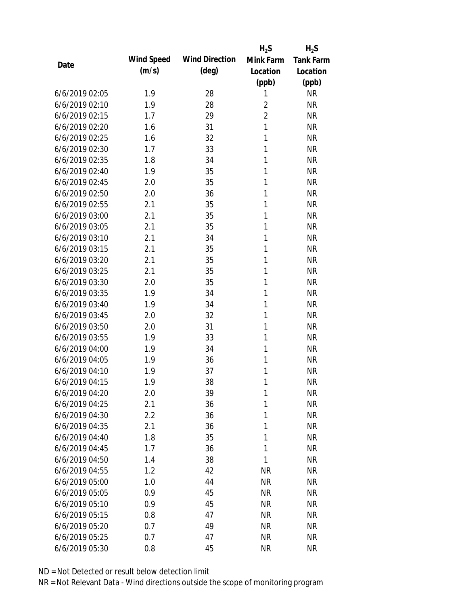|                |            |                       | $H_2S$         | $H_2S$           |
|----------------|------------|-----------------------|----------------|------------------|
| Date           | Wind Speed | <b>Wind Direction</b> | Mink Farm      | <b>Tank Farm</b> |
|                | (m/s)      | $(\text{deg})$        | Location       | Location         |
|                |            |                       | (ppb)          | (ppb)            |
| 6/6/2019 02:05 | 1.9        | 28                    | 1              | <b>NR</b>        |
| 6/6/2019 02:10 | 1.9        | 28                    | $\overline{2}$ | <b>NR</b>        |
| 6/6/2019 02:15 | 1.7        | 29                    | $\overline{2}$ | <b>NR</b>        |
| 6/6/2019 02:20 | 1.6        | 31                    | 1              | <b>NR</b>        |
| 6/6/2019 02:25 | 1.6        | 32                    | 1              | <b>NR</b>        |
| 6/6/2019 02:30 | 1.7        | 33                    | 1              | <b>NR</b>        |
| 6/6/2019 02:35 | 1.8        | 34                    | 1              | <b>NR</b>        |
| 6/6/2019 02:40 | 1.9        | 35                    | 1              | <b>NR</b>        |
| 6/6/2019 02:45 | 2.0        | 35                    | 1              | <b>NR</b>        |
| 6/6/2019 02:50 | 2.0        | 36                    | 1              | <b>NR</b>        |
| 6/6/2019 02:55 | 2.1        | 35                    | 1              | <b>NR</b>        |
| 6/6/2019 03:00 | 2.1        | 35                    | 1              | <b>NR</b>        |
| 6/6/2019 03:05 | 2.1        | 35                    | 1              | <b>NR</b>        |
| 6/6/2019 03:10 | 2.1        | 34                    | 1              | <b>NR</b>        |
| 6/6/2019 03:15 | 2.1        | 35                    | 1              | <b>NR</b>        |
| 6/6/2019 03:20 | 2.1        | 35                    | 1              | <b>NR</b>        |
| 6/6/2019 03:25 | 2.1        | 35                    | 1              | <b>NR</b>        |
| 6/6/2019 03:30 | 2.0        | 35                    | 1              | <b>NR</b>        |
| 6/6/2019 03:35 | 1.9        | 34                    | 1              | <b>NR</b>        |
| 6/6/2019 03:40 | 1.9        | 34                    | 1              | <b>NR</b>        |
| 6/6/2019 03:45 | 2.0        | 32                    | 1              | <b>NR</b>        |
| 6/6/2019 03:50 | 2.0        | 31                    | 1              | <b>NR</b>        |
| 6/6/2019 03:55 | 1.9        | 33                    | 1              | <b>NR</b>        |
| 6/6/2019 04:00 | 1.9        | 34                    | 1              | <b>NR</b>        |
| 6/6/2019 04:05 | 1.9        | 36                    | 1              | <b>NR</b>        |
| 6/6/2019 04:10 | 1.9        | 37                    | 1              | <b>NR</b>        |
| 6/6/2019 04:15 | 1.9        | 38                    | 1              | <b>NR</b>        |
| 6/6/2019 04:20 | 2.0        | 39                    | 1              | <b>NR</b>        |
| 6/6/2019 04:25 | 2.1        | 36                    | 1              | <b>NR</b>        |
| 6/6/2019 04:30 | 2.2        | 36                    | 1              | <b>NR</b>        |
| 6/6/2019 04:35 | 2.1        | 36                    | 1              | <b>NR</b>        |
| 6/6/2019 04:40 | 1.8        | 35                    | 1              | <b>NR</b>        |
| 6/6/2019 04:45 | 1.7        | 36                    | 1              | <b>NR</b>        |
| 6/6/2019 04:50 | 1.4        | 38                    | 1              | <b>NR</b>        |
| 6/6/2019 04:55 | 1.2        | 42                    | <b>NR</b>      | <b>NR</b>        |
| 6/6/2019 05:00 | 1.0        | 44                    | <b>NR</b>      | <b>NR</b>        |
| 6/6/2019 05:05 | 0.9        | 45                    | <b>NR</b>      | <b>NR</b>        |
| 6/6/2019 05:10 | 0.9        | 45                    | <b>NR</b>      | <b>NR</b>        |
| 6/6/2019 05:15 | 0.8        | 47                    | <b>NR</b>      | <b>NR</b>        |
| 6/6/2019 05:20 | 0.7        | 49                    | <b>NR</b>      | <b>NR</b>        |
| 6/6/2019 05:25 | 0.7        | 47                    | <b>NR</b>      | <b>NR</b>        |
| 6/6/2019 05:30 | 0.8        | 45                    | <b>NR</b>      | <b>NR</b>        |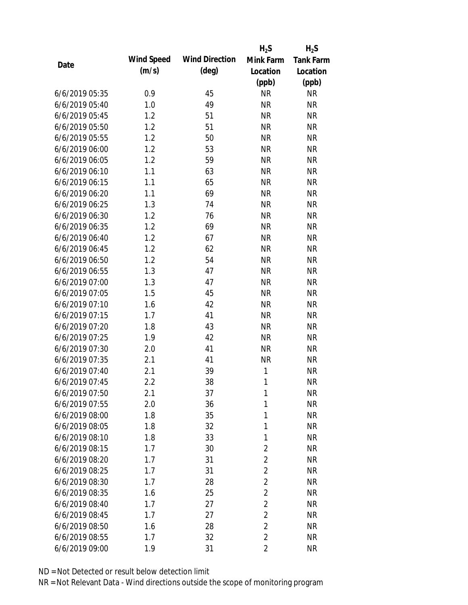|                |            |                       | $H_2S$         | $H_2S$           |
|----------------|------------|-----------------------|----------------|------------------|
| Date           | Wind Speed | <b>Wind Direction</b> | Mink Farm      | <b>Tank Farm</b> |
|                | (m/s)      | $(\text{deg})$        | Location       | Location         |
|                |            |                       | (ppb)          | (ppb)            |
| 6/6/2019 05:35 | 0.9        | 45                    | <b>NR</b>      | <b>NR</b>        |
| 6/6/2019 05:40 | 1.0        | 49                    | <b>NR</b>      | <b>NR</b>        |
| 6/6/2019 05:45 | 1.2        | 51                    | <b>NR</b>      | <b>NR</b>        |
| 6/6/2019 05:50 | 1.2        | 51                    | <b>NR</b>      | <b>NR</b>        |
| 6/6/2019 05:55 | 1.2        | 50                    | <b>NR</b>      | <b>NR</b>        |
| 6/6/2019 06:00 | 1.2        | 53                    | <b>NR</b>      | <b>NR</b>        |
| 6/6/2019 06:05 | 1.2        | 59                    | <b>NR</b>      | <b>NR</b>        |
| 6/6/2019 06:10 | 1.1        | 63                    | <b>NR</b>      | <b>NR</b>        |
| 6/6/2019 06:15 | 1.1        | 65                    | <b>NR</b>      | <b>NR</b>        |
| 6/6/2019 06:20 | 1.1        | 69                    | <b>NR</b>      | <b>NR</b>        |
| 6/6/2019 06:25 | 1.3        | 74                    | <b>NR</b>      | <b>NR</b>        |
| 6/6/2019 06:30 | 1.2        | 76                    | <b>NR</b>      | <b>NR</b>        |
| 6/6/2019 06:35 | 1.2        | 69                    | <b>NR</b>      | <b>NR</b>        |
| 6/6/2019 06:40 | 1.2        | 67                    | <b>NR</b>      | <b>NR</b>        |
| 6/6/2019 06:45 | 1.2        | 62                    | <b>NR</b>      | <b>NR</b>        |
| 6/6/2019 06:50 | 1.2        | 54                    | <b>NR</b>      | <b>NR</b>        |
| 6/6/2019 06:55 | 1.3        | 47                    | <b>NR</b>      | <b>NR</b>        |
| 6/6/2019 07:00 | 1.3        | 47                    | <b>NR</b>      | <b>NR</b>        |
| 6/6/2019 07:05 | 1.5        | 45                    | <b>NR</b>      | <b>NR</b>        |
| 6/6/2019 07:10 | 1.6        | 42                    | <b>NR</b>      | <b>NR</b>        |
| 6/6/2019 07:15 | 1.7        | 41                    | <b>NR</b>      | <b>NR</b>        |
| 6/6/2019 07:20 | 1.8        | 43                    | <b>NR</b>      | <b>NR</b>        |
| 6/6/2019 07:25 | 1.9        | 42                    | <b>NR</b>      | <b>NR</b>        |
| 6/6/2019 07:30 | 2.0        | 41                    | <b>NR</b>      | <b>NR</b>        |
| 6/6/2019 07:35 | 2.1        | 41                    | <b>NR</b>      | <b>NR</b>        |
| 6/6/2019 07:40 | 2.1        | 39                    | 1              | <b>NR</b>        |
| 6/6/2019 07:45 | 2.2        | 38                    | 1              | <b>NR</b>        |
| 6/6/2019 07:50 | 2.1        | 37                    | 1              | <b>NR</b>        |
| 6/6/2019 07:55 | 2.0        | 36                    | 1              | <b>NR</b>        |
| 6/6/2019 08:00 | 1.8        | 35                    | 1              | <b>NR</b>        |
| 6/6/2019 08:05 | 1.8        | 32                    | 1              | <b>NR</b>        |
| 6/6/2019 08:10 | 1.8        | 33                    | 1              | <b>NR</b>        |
| 6/6/2019 08:15 | 1.7        | 30                    | $\overline{2}$ | <b>NR</b>        |
| 6/6/2019 08:20 | 1.7        | 31                    | $\overline{2}$ | <b>NR</b>        |
| 6/6/2019 08:25 | 1.7        | 31                    | $\overline{2}$ | <b>NR</b>        |
| 6/6/2019 08:30 | 1.7        | 28                    | $\overline{2}$ | <b>NR</b>        |
| 6/6/2019 08:35 | 1.6        | 25                    | $\overline{2}$ | <b>NR</b>        |
| 6/6/2019 08:40 | 1.7        | 27                    | $\overline{2}$ | <b>NR</b>        |
| 6/6/2019 08:45 | 1.7        | 27                    | $\overline{2}$ | <b>NR</b>        |
| 6/6/2019 08:50 | 1.6        | 28                    | $\overline{2}$ | <b>NR</b>        |
| 6/6/2019 08:55 | 1.7        | 32                    | $\overline{2}$ | <b>NR</b>        |
| 6/6/2019 09:00 | 1.9        | 31                    | $\overline{2}$ | <b>NR</b>        |
|                |            |                       |                |                  |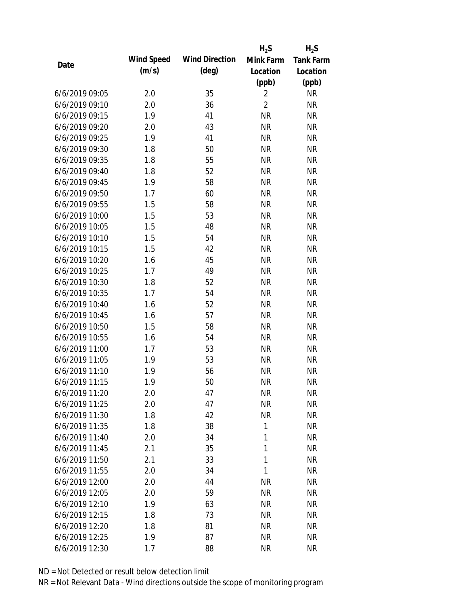|                |            |                       | $H_2S$         | $H_2S$           |
|----------------|------------|-----------------------|----------------|------------------|
| Date           | Wind Speed | <b>Wind Direction</b> | Mink Farm      | <b>Tank Farm</b> |
|                | (m/s)      | $(\text{deg})$        | Location       | Location         |
|                |            |                       | (ppb)          | (ppb)            |
| 6/6/2019 09:05 | 2.0        | 35                    | $\overline{2}$ | <b>NR</b>        |
| 6/6/2019 09:10 | 2.0        | 36                    | $\overline{2}$ | <b>NR</b>        |
| 6/6/2019 09:15 | 1.9        | 41                    | <b>NR</b>      | <b>NR</b>        |
| 6/6/2019 09:20 | 2.0        | 43                    | <b>NR</b>      | <b>NR</b>        |
| 6/6/2019 09:25 | 1.9        | 41                    | <b>NR</b>      | <b>NR</b>        |
| 6/6/2019 09:30 | 1.8        | 50                    | <b>NR</b>      | <b>NR</b>        |
| 6/6/2019 09:35 | 1.8        | 55                    | <b>NR</b>      | <b>NR</b>        |
| 6/6/2019 09:40 | 1.8        | 52                    | <b>NR</b>      | <b>NR</b>        |
| 6/6/2019 09:45 | 1.9        | 58                    | <b>NR</b>      | <b>NR</b>        |
| 6/6/2019 09:50 | 1.7        | 60                    | <b>NR</b>      | <b>NR</b>        |
| 6/6/2019 09:55 | 1.5        | 58                    | <b>NR</b>      | <b>NR</b>        |
| 6/6/2019 10:00 | 1.5        | 53                    | <b>NR</b>      | <b>NR</b>        |
| 6/6/2019 10:05 | 1.5        | 48                    | <b>NR</b>      | <b>NR</b>        |
| 6/6/2019 10:10 | 1.5        | 54                    | <b>NR</b>      | <b>NR</b>        |
| 6/6/2019 10:15 | 1.5        | 42                    | <b>NR</b>      | <b>NR</b>        |
| 6/6/2019 10:20 | 1.6        | 45                    | <b>NR</b>      | <b>NR</b>        |
| 6/6/2019 10:25 | 1.7        | 49                    | <b>NR</b>      | <b>NR</b>        |
| 6/6/2019 10:30 | 1.8        | 52                    | <b>NR</b>      | <b>NR</b>        |
| 6/6/2019 10:35 | 1.7        | 54                    | <b>NR</b>      | <b>NR</b>        |
| 6/6/2019 10:40 | 1.6        | 52                    | <b>NR</b>      | <b>NR</b>        |
| 6/6/2019 10:45 | 1.6        | 57                    | <b>NR</b>      | <b>NR</b>        |
| 6/6/2019 10:50 | 1.5        | 58                    | <b>NR</b>      | <b>NR</b>        |
| 6/6/2019 10:55 | 1.6        | 54                    | <b>NR</b>      | <b>NR</b>        |
| 6/6/2019 11:00 | 1.7        | 53                    | <b>NR</b>      | <b>NR</b>        |
| 6/6/2019 11:05 | 1.9        | 53                    | <b>NR</b>      | <b>NR</b>        |
| 6/6/2019 11:10 | 1.9        | 56                    | <b>NR</b>      | <b>NR</b>        |
| 6/6/2019 11:15 | 1.9        | 50                    | <b>NR</b>      | <b>NR</b>        |
| 6/6/2019 11:20 | 2.0        | 47                    | <b>NR</b>      | <b>NR</b>        |
| 6/6/2019 11:25 | 2.0        | 47                    | <b>NR</b>      | <b>NR</b>        |
| 6/6/2019 11:30 | 1.8        | 42                    | <b>NR</b>      | <b>NR</b>        |
| 6/6/2019 11:35 | 1.8        | 38                    | 1              | <b>NR</b>        |
| 6/6/2019 11:40 | 2.0        | 34                    | 1              | <b>NR</b>        |
| 6/6/2019 11:45 | 2.1        | 35                    | 1              | <b>NR</b>        |
| 6/6/2019 11:50 | 2.1        | 33                    | 1              | <b>NR</b>        |
| 6/6/2019 11:55 | 2.0        | 34                    | 1              | <b>NR</b>        |
| 6/6/2019 12:00 | 2.0        | 44                    | <b>NR</b>      | <b>NR</b>        |
| 6/6/2019 12:05 | 2.0        | 59                    | <b>NR</b>      | <b>NR</b>        |
| 6/6/2019 12:10 | 1.9        | 63                    | <b>NR</b>      | <b>NR</b>        |
| 6/6/2019 12:15 | 1.8        | 73                    | <b>NR</b>      | <b>NR</b>        |
| 6/6/2019 12:20 | 1.8        | 81                    | <b>NR</b>      | <b>NR</b>        |
| 6/6/2019 12:25 | 1.9        | 87                    | <b>NR</b>      | <b>NR</b>        |
| 6/6/2019 12:30 | 1.7        | 88                    | <b>NR</b>      | <b>NR</b>        |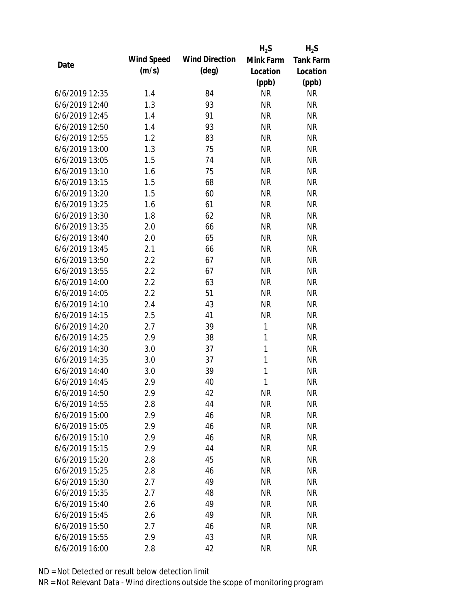|                |            |                       | $H_2S$       | $H_2S$           |
|----------------|------------|-----------------------|--------------|------------------|
| Date           | Wind Speed | <b>Wind Direction</b> | Mink Farm    | <b>Tank Farm</b> |
|                | (m/s)      | $(\text{deg})$        | Location     | Location         |
|                |            |                       | (ppb)        | (ppb)            |
| 6/6/2019 12:35 | 1.4        | 84                    | <b>NR</b>    | <b>NR</b>        |
| 6/6/2019 12:40 | 1.3        | 93                    | <b>NR</b>    | <b>NR</b>        |
| 6/6/2019 12:45 | 1.4        | 91                    | <b>NR</b>    | <b>NR</b>        |
| 6/6/2019 12:50 | 1.4        | 93                    | <b>NR</b>    | <b>NR</b>        |
| 6/6/2019 12:55 | 1.2        | 83                    | <b>NR</b>    | <b>NR</b>        |
| 6/6/2019 13:00 | 1.3        | 75                    | <b>NR</b>    | <b>NR</b>        |
| 6/6/2019 13:05 | 1.5        | 74                    | <b>NR</b>    | <b>NR</b>        |
| 6/6/2019 13:10 | 1.6        | 75                    | <b>NR</b>    | <b>NR</b>        |
| 6/6/2019 13:15 | 1.5        | 68                    | <b>NR</b>    | <b>NR</b>        |
| 6/6/2019 13:20 | 1.5        | 60                    | <b>NR</b>    | <b>NR</b>        |
| 6/6/2019 13:25 | 1.6        | 61                    | <b>NR</b>    | <b>NR</b>        |
| 6/6/2019 13:30 | 1.8        | 62                    | <b>NR</b>    | <b>NR</b>        |
| 6/6/2019 13:35 | 2.0        | 66                    | <b>NR</b>    | <b>NR</b>        |
| 6/6/2019 13:40 | 2.0        | 65                    | <b>NR</b>    | <b>NR</b>        |
| 6/6/2019 13:45 | 2.1        | 66                    | <b>NR</b>    | <b>NR</b>        |
| 6/6/2019 13:50 | 2.2        | 67                    | <b>NR</b>    | <b>NR</b>        |
| 6/6/2019 13:55 | 2.2        | 67                    | <b>NR</b>    | <b>NR</b>        |
| 6/6/2019 14:00 | 2.2        | 63                    | <b>NR</b>    | <b>NR</b>        |
| 6/6/2019 14:05 | 2.2        | 51                    | <b>NR</b>    | <b>NR</b>        |
| 6/6/2019 14:10 | 2.4        | 43                    | <b>NR</b>    | <b>NR</b>        |
| 6/6/2019 14:15 | 2.5        | 41                    | <b>NR</b>    | <b>NR</b>        |
| 6/6/2019 14:20 | 2.7        | 39                    | $\mathbf{1}$ | <b>NR</b>        |
| 6/6/2019 14:25 | 2.9        | 38                    | 1            | <b>NR</b>        |
| 6/6/2019 14:30 | 3.0        | 37                    | $\mathbf{1}$ | <b>NR</b>        |
| 6/6/2019 14:35 | 3.0        | 37                    | 1            | <b>NR</b>        |
| 6/6/2019 14:40 | 3.0        | 39                    | 1            | <b>NR</b>        |
| 6/6/2019 14:45 | 2.9        | 40                    | 1            | <b>NR</b>        |
| 6/6/2019 14:50 | 2.9        | 42                    | <b>NR</b>    | <b>NR</b>        |
| 6/6/2019 14:55 | 2.8        | 44                    | <b>NR</b>    | <b>NR</b>        |
| 6/6/2019 15:00 | 2.9        | 46                    | <b>NR</b>    | <b>NR</b>        |
| 6/6/2019 15:05 | 2.9        | 46                    | <b>NR</b>    | <b>NR</b>        |
| 6/6/2019 15:10 | 2.9        | 46                    | <b>NR</b>    | <b>NR</b>        |
| 6/6/2019 15:15 | 2.9        | 44                    | <b>NR</b>    | <b>NR</b>        |
| 6/6/2019 15:20 | 2.8        | 45                    | <b>NR</b>    | <b>NR</b>        |
| 6/6/2019 15:25 | 2.8        | 46                    | <b>NR</b>    | <b>NR</b>        |
| 6/6/2019 15:30 | 2.7        | 49                    | <b>NR</b>    | <b>NR</b>        |
| 6/6/2019 15:35 | 2.7        | 48                    | <b>NR</b>    | <b>NR</b>        |
| 6/6/2019 15:40 | 2.6        | 49                    | <b>NR</b>    | <b>NR</b>        |
| 6/6/2019 15:45 | 2.6        | 49                    | <b>NR</b>    | <b>NR</b>        |
| 6/6/2019 15:50 | 2.7        | 46                    | <b>NR</b>    | <b>NR</b>        |
| 6/6/2019 15:55 | 2.9        | 43                    | <b>NR</b>    | <b>NR</b>        |
| 6/6/2019 16:00 | 2.8        | 42                    | <b>NR</b>    | <b>NR</b>        |
|                |            |                       |              |                  |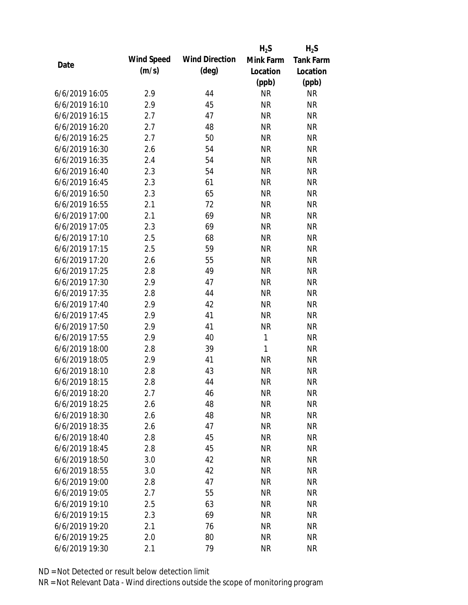|                |            |                       | $H_2S$       | $H_2S$           |
|----------------|------------|-----------------------|--------------|------------------|
| Date           | Wind Speed | <b>Wind Direction</b> | Mink Farm    | <b>Tank Farm</b> |
|                | (m/s)      | $(\text{deg})$        | Location     | Location         |
|                |            |                       | (ppb)        | (ppb)            |
| 6/6/2019 16:05 | 2.9        | 44                    | <b>NR</b>    | <b>NR</b>        |
| 6/6/2019 16:10 | 2.9        | 45                    | <b>NR</b>    | <b>NR</b>        |
| 6/6/2019 16:15 | 2.7        | 47                    | <b>NR</b>    | <b>NR</b>        |
| 6/6/2019 16:20 | 2.7        | 48                    | <b>NR</b>    | <b>NR</b>        |
| 6/6/2019 16:25 | 2.7        | 50                    | <b>NR</b>    | <b>NR</b>        |
| 6/6/2019 16:30 | 2.6        | 54                    | <b>NR</b>    | <b>NR</b>        |
| 6/6/2019 16:35 | 2.4        | 54                    | <b>NR</b>    | <b>NR</b>        |
| 6/6/2019 16:40 | 2.3        | 54                    | <b>NR</b>    | <b>NR</b>        |
| 6/6/2019 16:45 | 2.3        | 61                    | <b>NR</b>    | <b>NR</b>        |
| 6/6/2019 16:50 | 2.3        | 65                    | <b>NR</b>    | <b>NR</b>        |
| 6/6/2019 16:55 | 2.1        | 72                    | <b>NR</b>    | <b>NR</b>        |
| 6/6/2019 17:00 | 2.1        | 69                    | <b>NR</b>    | <b>NR</b>        |
| 6/6/2019 17:05 | 2.3        | 69                    | <b>NR</b>    | <b>NR</b>        |
| 6/6/2019 17:10 | 2.5        | 68                    | <b>NR</b>    | <b>NR</b>        |
| 6/6/2019 17:15 | 2.5        | 59                    | <b>NR</b>    | <b>NR</b>        |
| 6/6/2019 17:20 | 2.6        | 55                    | <b>NR</b>    | <b>NR</b>        |
| 6/6/2019 17:25 | 2.8        | 49                    | <b>NR</b>    | <b>NR</b>        |
| 6/6/2019 17:30 | 2.9        | 47                    | <b>NR</b>    | <b>NR</b>        |
| 6/6/2019 17:35 | 2.8        | 44                    | <b>NR</b>    | <b>NR</b>        |
| 6/6/2019 17:40 | 2.9        | 42                    | <b>NR</b>    | <b>NR</b>        |
| 6/6/2019 17:45 | 2.9        | 41                    | <b>NR</b>    | <b>NR</b>        |
| 6/6/2019 17:50 | 2.9        | 41                    | <b>NR</b>    | <b>NR</b>        |
| 6/6/2019 17:55 | 2.9        | 40                    | $\mathbf{1}$ | <b>NR</b>        |
| 6/6/2019 18:00 | 2.8        | 39                    | $\mathbf{1}$ | <b>NR</b>        |
| 6/6/2019 18:05 | 2.9        | 41                    | <b>NR</b>    | <b>NR</b>        |
| 6/6/2019 18:10 | 2.8        | 43                    | <b>NR</b>    | <b>NR</b>        |
| 6/6/2019 18:15 | 2.8        | 44                    | <b>NR</b>    | <b>NR</b>        |
| 6/6/2019 18:20 | 2.7        | 46                    | <b>NR</b>    | <b>NR</b>        |
| 6/6/2019 18:25 | 2.6        | 48                    | <b>NR</b>    | <b>NR</b>        |
| 6/6/2019 18:30 | 2.6        | 48                    | <b>NR</b>    | <b>NR</b>        |
| 6/6/2019 18:35 | 2.6        | 47                    | <b>NR</b>    | <b>NR</b>        |
| 6/6/2019 18:40 | 2.8        | 45                    | <b>NR</b>    | <b>NR</b>        |
| 6/6/2019 18:45 | 2.8        | 45                    | <b>NR</b>    | <b>NR</b>        |
| 6/6/2019 18:50 | 3.0        | 42                    | <b>NR</b>    | <b>NR</b>        |
| 6/6/2019 18:55 | 3.0        | 42                    | <b>NR</b>    | <b>NR</b>        |
| 6/6/2019 19:00 | 2.8        | 47                    | <b>NR</b>    | <b>NR</b>        |
| 6/6/2019 19:05 | 2.7        | 55                    | <b>NR</b>    | <b>NR</b>        |
| 6/6/2019 19:10 | 2.5        | 63                    | <b>NR</b>    | <b>NR</b>        |
| 6/6/2019 19:15 | 2.3        | 69                    | <b>NR</b>    | <b>NR</b>        |
| 6/6/2019 19:20 | 2.1        | 76                    | <b>NR</b>    | <b>NR</b>        |
| 6/6/2019 19:25 | 2.0        | 80                    | <b>NR</b>    | <b>NR</b>        |
| 6/6/2019 19:30 | 2.1        | 79                    | <b>NR</b>    | <b>NR</b>        |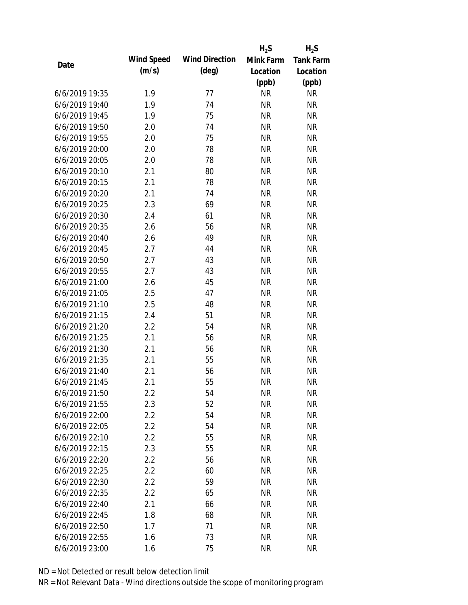|                |            |                       | $H_2S$    | $H_2S$           |
|----------------|------------|-----------------------|-----------|------------------|
| Date           | Wind Speed | <b>Wind Direction</b> | Mink Farm | <b>Tank Farm</b> |
|                | (m/s)      | $(\text{deg})$        | Location  | Location         |
|                |            |                       | (ppb)     | (ppb)            |
| 6/6/2019 19:35 | 1.9        | 77                    | <b>NR</b> | <b>NR</b>        |
| 6/6/2019 19:40 | 1.9        | 74                    | <b>NR</b> | <b>NR</b>        |
| 6/6/2019 19:45 | 1.9        | 75                    | <b>NR</b> | <b>NR</b>        |
| 6/6/2019 19:50 | 2.0        | 74                    | <b>NR</b> | <b>NR</b>        |
| 6/6/2019 19:55 | 2.0        | 75                    | <b>NR</b> | <b>NR</b>        |
| 6/6/2019 20:00 | 2.0        | 78                    | <b>NR</b> | <b>NR</b>        |
| 6/6/2019 20:05 | 2.0        | 78                    | <b>NR</b> | <b>NR</b>        |
| 6/6/2019 20:10 | 2.1        | 80                    | <b>NR</b> | <b>NR</b>        |
| 6/6/2019 20:15 | 2.1        | 78                    | <b>NR</b> | <b>NR</b>        |
| 6/6/2019 20:20 | 2.1        | 74                    | <b>NR</b> | <b>NR</b>        |
| 6/6/2019 20:25 | 2.3        | 69                    | <b>NR</b> | <b>NR</b>        |
| 6/6/2019 20:30 | 2.4        | 61                    | <b>NR</b> | <b>NR</b>        |
| 6/6/2019 20:35 | 2.6        | 56                    | <b>NR</b> | <b>NR</b>        |
| 6/6/2019 20:40 | 2.6        | 49                    | <b>NR</b> | <b>NR</b>        |
| 6/6/2019 20:45 | 2.7        | 44                    | <b>NR</b> | <b>NR</b>        |
| 6/6/2019 20:50 | 2.7        | 43                    | <b>NR</b> | <b>NR</b>        |
| 6/6/2019 20:55 | 2.7        | 43                    | <b>NR</b> | <b>NR</b>        |
| 6/6/2019 21:00 | 2.6        | 45                    | <b>NR</b> | <b>NR</b>        |
| 6/6/2019 21:05 | 2.5        | 47                    | <b>NR</b> | <b>NR</b>        |
| 6/6/2019 21:10 | 2.5        | 48                    | <b>NR</b> | <b>NR</b>        |
| 6/6/2019 21:15 | 2.4        | 51                    | <b>NR</b> | <b>NR</b>        |
| 6/6/2019 21:20 | 2.2        | 54                    | <b>NR</b> | <b>NR</b>        |
| 6/6/2019 21:25 | 2.1        | 56                    | <b>NR</b> | <b>NR</b>        |
| 6/6/2019 21:30 | 2.1        | 56                    | <b>NR</b> | <b>NR</b>        |
| 6/6/2019 21:35 | 2.1        | 55                    | <b>NR</b> | <b>NR</b>        |
| 6/6/2019 21:40 | 2.1        | 56                    | <b>NR</b> | <b>NR</b>        |
| 6/6/2019 21:45 | 2.1        | 55                    | <b>NR</b> | <b>NR</b>        |
| 6/6/2019 21:50 | 2.2        | 54                    | <b>NR</b> | <b>NR</b>        |
| 6/6/2019 21:55 | 2.3        | 52                    | <b>NR</b> | <b>NR</b>        |
| 6/6/2019 22:00 | 2.2        | 54                    | <b>NR</b> | <b>NR</b>        |
| 6/6/2019 22:05 | 2.2        | 54                    | <b>NR</b> | <b>NR</b>        |
| 6/6/2019 22:10 | 2.2        | 55                    | <b>NR</b> | <b>NR</b>        |
| 6/6/2019 22:15 | 2.3        | 55                    | <b>NR</b> | <b>NR</b>        |
| 6/6/2019 22:20 | 2.2        | 56                    | <b>NR</b> | <b>NR</b>        |
| 6/6/2019 22:25 | 2.2        | 60                    | <b>NR</b> | <b>NR</b>        |
| 6/6/2019 22:30 | 2.2        | 59                    | <b>NR</b> | <b>NR</b>        |
| 6/6/2019 22:35 | 2.2        | 65                    | <b>NR</b> | <b>NR</b>        |
| 6/6/2019 22:40 | 2.1        | 66                    | <b>NR</b> | <b>NR</b>        |
| 6/6/2019 22:45 | 1.8        | 68                    | <b>NR</b> | <b>NR</b>        |
| 6/6/2019 22:50 | 1.7        | 71                    | <b>NR</b> | <b>NR</b>        |
| 6/6/2019 22:55 | 1.6        | 73                    | <b>NR</b> | <b>NR</b>        |
| 6/6/2019 23:00 | 1.6        | 75                    | <b>NR</b> | <b>NR</b>        |
|                |            |                       |           |                  |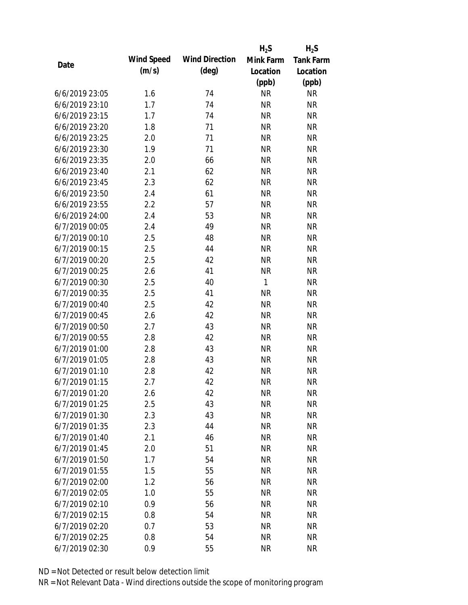|                |            |                       | $H_2S$    | $H_2S$           |
|----------------|------------|-----------------------|-----------|------------------|
|                | Wind Speed | <b>Wind Direction</b> | Mink Farm | <b>Tank Farm</b> |
| Date           | (m/s)      | $(\text{deg})$        | Location  | Location         |
|                |            |                       | (ppb)     | (ppb)            |
| 6/6/2019 23:05 | 1.6        | 74                    | <b>NR</b> | <b>NR</b>        |
| 6/6/2019 23:10 | 1.7        | 74                    | <b>NR</b> | <b>NR</b>        |
| 6/6/2019 23:15 | 1.7        | 74                    | <b>NR</b> | <b>NR</b>        |
| 6/6/2019 23:20 | 1.8        | 71                    | <b>NR</b> | <b>NR</b>        |
| 6/6/2019 23:25 | 2.0        | 71                    | <b>NR</b> | <b>NR</b>        |
| 6/6/2019 23:30 | 1.9        | 71                    | <b>NR</b> | <b>NR</b>        |
| 6/6/2019 23:35 | 2.0        | 66                    | <b>NR</b> | <b>NR</b>        |
| 6/6/2019 23:40 | 2.1        | 62                    | <b>NR</b> | <b>NR</b>        |
| 6/6/2019 23:45 | 2.3        | 62                    | <b>NR</b> | <b>NR</b>        |
| 6/6/2019 23:50 | 2.4        | 61                    | <b>NR</b> | <b>NR</b>        |
| 6/6/2019 23:55 | 2.2        | 57                    | <b>NR</b> | <b>NR</b>        |
| 6/6/2019 24:00 | 2.4        | 53                    | <b>NR</b> | <b>NR</b>        |
| 6/7/2019 00:05 | 2.4        | 49                    | <b>NR</b> | <b>NR</b>        |
| 6/7/2019 00:10 | 2.5        | 48                    | <b>NR</b> | <b>NR</b>        |
| 6/7/2019 00:15 | 2.5        | 44                    | <b>NR</b> | <b>NR</b>        |
| 6/7/2019 00:20 | 2.5        | 42                    | <b>NR</b> | <b>NR</b>        |
| 6/7/2019 00:25 | 2.6        | 41                    | <b>NR</b> | <b>NR</b>        |
| 6/7/2019 00:30 | 2.5        | 40                    | 1         | <b>NR</b>        |
| 6/7/2019 00:35 | 2.5        | 41                    | <b>NR</b> | <b>NR</b>        |
| 6/7/2019 00:40 | 2.5        | 42                    | <b>NR</b> | <b>NR</b>        |
| 6/7/2019 00:45 | 2.6        | 42                    | <b>NR</b> | <b>NR</b>        |
| 6/7/2019 00:50 | 2.7        | 43                    | <b>NR</b> | <b>NR</b>        |
| 6/7/2019 00:55 | 2.8        | 42                    | <b>NR</b> | <b>NR</b>        |
| 6/7/2019 01:00 | 2.8        | 43                    | <b>NR</b> | <b>NR</b>        |
| 6/7/2019 01:05 | 2.8        | 43                    | <b>NR</b> | <b>NR</b>        |
| 6/7/2019 01:10 | 2.8        | 42                    | <b>NR</b> | <b>NR</b>        |
| 6/7/2019 01:15 | 2.7        | 42                    | <b>NR</b> | <b>NR</b>        |
| 6/7/2019 01:20 | 2.6        | 42                    | <b>NR</b> | <b>NR</b>        |
| 6/7/2019 01:25 | 2.5        | 43                    | <b>NR</b> | <b>NR</b>        |
| 6/7/2019 01:30 | 2.3        | 43                    | <b>NR</b> | <b>NR</b>        |
| 6/7/2019 01:35 | 2.3        | 44                    | <b>NR</b> | <b>NR</b>        |
| 6/7/2019 01:40 | 2.1        | 46                    | <b>NR</b> | <b>NR</b>        |
| 6/7/2019 01:45 | 2.0        | 51                    | <b>NR</b> | <b>NR</b>        |
| 6/7/2019 01:50 | 1.7        | 54                    | <b>NR</b> | <b>NR</b>        |
| 6/7/2019 01:55 | 1.5        | 55                    | <b>NR</b> | <b>NR</b>        |
| 6/7/2019 02:00 | 1.2        | 56                    | <b>NR</b> | <b>NR</b>        |
| 6/7/2019 02:05 | 1.0        | 55                    | <b>NR</b> | <b>NR</b>        |
| 6/7/2019 02:10 | 0.9        | 56                    | <b>NR</b> | <b>NR</b>        |
| 6/7/2019 02:15 | 0.8        | 54                    | <b>NR</b> | <b>NR</b>        |
| 6/7/2019 02:20 | 0.7        | 53                    | <b>NR</b> | <b>NR</b>        |
| 6/7/2019 02:25 | 0.8        | 54                    | <b>NR</b> | <b>NR</b>        |
| 6/7/2019 02:30 | 0.9        | 55                    | <b>NR</b> | <b>NR</b>        |
|                |            |                       |           |                  |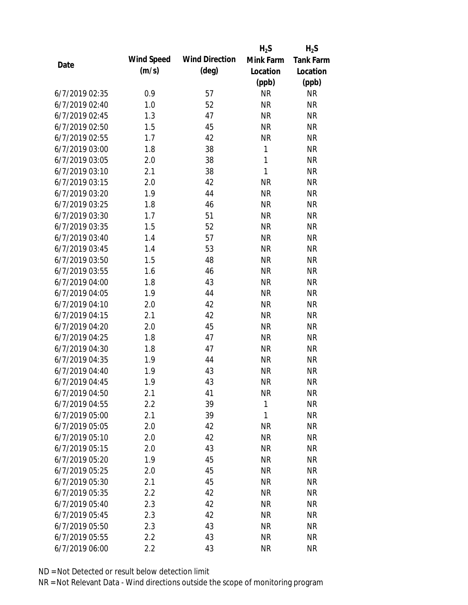|                |            |                       | $H_2S$       | $H_2S$           |
|----------------|------------|-----------------------|--------------|------------------|
| Date           | Wind Speed | <b>Wind Direction</b> | Mink Farm    | <b>Tank Farm</b> |
|                | (m/s)      | $(\text{deg})$        | Location     | Location         |
|                |            |                       | (ppb)        | (ppb)            |
| 6/7/2019 02:35 | 0.9        | 57                    | <b>NR</b>    | <b>NR</b>        |
| 6/7/2019 02:40 | 1.0        | 52                    | <b>NR</b>    | <b>NR</b>        |
| 6/7/2019 02:45 | 1.3        | 47                    | <b>NR</b>    | <b>NR</b>        |
| 6/7/2019 02:50 | 1.5        | 45                    | <b>NR</b>    | <b>NR</b>        |
| 6/7/2019 02:55 | 1.7        | 42                    | <b>NR</b>    | <b>NR</b>        |
| 6/7/2019 03:00 | 1.8        | 38                    | $\mathbf{1}$ | <b>NR</b>        |
| 6/7/2019 03:05 | 2.0        | 38                    | $\mathbf{1}$ | <b>NR</b>        |
| 6/7/2019 03:10 | 2.1        | 38                    | 1            | <b>NR</b>        |
| 6/7/2019 03:15 | 2.0        | 42                    | <b>NR</b>    | <b>NR</b>        |
| 6/7/2019 03:20 | 1.9        | 44                    | <b>NR</b>    | <b>NR</b>        |
| 6/7/2019 03:25 | 1.8        | 46                    | <b>NR</b>    | <b>NR</b>        |
| 6/7/2019 03:30 | 1.7        | 51                    | <b>NR</b>    | <b>NR</b>        |
| 6/7/2019 03:35 | 1.5        | 52                    | <b>NR</b>    | <b>NR</b>        |
| 6/7/2019 03:40 | 1.4        | 57                    | <b>NR</b>    | <b>NR</b>        |
| 6/7/2019 03:45 | 1.4        | 53                    | <b>NR</b>    | <b>NR</b>        |
| 6/7/2019 03:50 | 1.5        | 48                    | <b>NR</b>    | <b>NR</b>        |
| 6/7/2019 03:55 | 1.6        | 46                    | <b>NR</b>    | <b>NR</b>        |
| 6/7/2019 04:00 | 1.8        | 43                    | <b>NR</b>    | <b>NR</b>        |
| 6/7/2019 04:05 | 1.9        | 44                    | <b>NR</b>    | <b>NR</b>        |
| 6/7/2019 04:10 | 2.0        | 42                    | <b>NR</b>    | <b>NR</b>        |
| 6/7/2019 04:15 | 2.1        | 42                    | <b>NR</b>    | <b>NR</b>        |
| 6/7/2019 04:20 | 2.0        | 45                    | <b>NR</b>    | <b>NR</b>        |
| 6/7/2019 04:25 | 1.8        | 47                    | <b>NR</b>    | <b>NR</b>        |
| 6/7/2019 04:30 | 1.8        | 47                    | <b>NR</b>    | <b>NR</b>        |
| 6/7/2019 04:35 | 1.9        | 44                    | <b>NR</b>    | <b>NR</b>        |
| 6/7/2019 04:40 | 1.9        | 43                    | <b>NR</b>    | <b>NR</b>        |
| 6/7/2019 04:45 | 1.9        | 43                    | <b>NR</b>    | <b>NR</b>        |
| 6/7/2019 04:50 | 2.1        | 41                    | <b>NR</b>    | <b>NR</b>        |
| 6/7/2019 04:55 | 2.2        | 39                    | $\mathbf{1}$ | <b>NR</b>        |
| 6/7/2019 05:00 | 2.1        | 39                    | 1            | <b>NR</b>        |
| 6/7/2019 05:05 | 2.0        | 42                    | <b>NR</b>    | <b>NR</b>        |
| 6/7/2019 05:10 | 2.0        | 42                    | <b>NR</b>    | <b>NR</b>        |
| 6/7/2019 05:15 | 2.0        | 43                    | <b>NR</b>    | <b>NR</b>        |
| 6/7/2019 05:20 | 1.9        | 45                    | <b>NR</b>    | <b>NR</b>        |
| 6/7/2019 05:25 | 2.0        | 45                    | <b>NR</b>    | <b>NR</b>        |
| 6/7/2019 05:30 | 2.1        | 45                    | <b>NR</b>    | <b>NR</b>        |
| 6/7/2019 05:35 | 2.2        | 42                    | <b>NR</b>    | <b>NR</b>        |
| 6/7/2019 05:40 | 2.3        | 42                    | <b>NR</b>    | <b>NR</b>        |
| 6/7/2019 05:45 | 2.3        | 42                    | <b>NR</b>    | <b>NR</b>        |
| 6/7/2019 05:50 | 2.3        | 43                    | <b>NR</b>    | <b>NR</b>        |
| 6/7/2019 05:55 | 2.2        | 43                    | <b>NR</b>    | <b>NR</b>        |
| 6/7/2019 06:00 | 2.2        | 43                    | <b>NR</b>    | <b>NR</b>        |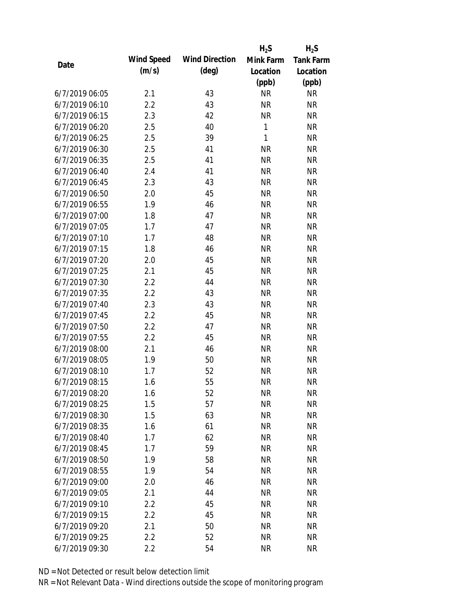|                |            |                       | $H_2S$       | $H_2S$           |
|----------------|------------|-----------------------|--------------|------------------|
|                | Wind Speed | <b>Wind Direction</b> | Mink Farm    | <b>Tank Farm</b> |
| Date           | (m/s)      | $(\text{deg})$        | Location     | Location         |
|                |            |                       | (ppb)        | (ppb)            |
| 6/7/2019 06:05 | 2.1        | 43                    | <b>NR</b>    | <b>NR</b>        |
| 6/7/2019 06:10 | 2.2        | 43                    | <b>NR</b>    | <b>NR</b>        |
| 6/7/2019 06:15 | 2.3        | 42                    | <b>NR</b>    | <b>NR</b>        |
| 6/7/2019 06:20 | 2.5        | 40                    | $\mathbf{1}$ | <b>NR</b>        |
| 6/7/2019 06:25 | 2.5        | 39                    | $\mathbf{1}$ | <b>NR</b>        |
| 6/7/2019 06:30 | 2.5        | 41                    | <b>NR</b>    | <b>NR</b>        |
| 6/7/2019 06:35 | 2.5        | 41                    | <b>NR</b>    | <b>NR</b>        |
| 6/7/2019 06:40 | 2.4        | 41                    | <b>NR</b>    | <b>NR</b>        |
| 6/7/2019 06:45 | 2.3        | 43                    | <b>NR</b>    | <b>NR</b>        |
| 6/7/2019 06:50 | 2.0        | 45                    | <b>NR</b>    | <b>NR</b>        |
| 6/7/2019 06:55 | 1.9        | 46                    | <b>NR</b>    | <b>NR</b>        |
| 6/7/2019 07:00 | 1.8        | 47                    | <b>NR</b>    | <b>NR</b>        |
| 6/7/2019 07:05 | 1.7        | 47                    | <b>NR</b>    | <b>NR</b>        |
| 6/7/2019 07:10 | 1.7        | 48                    | <b>NR</b>    | <b>NR</b>        |
| 6/7/2019 07:15 | 1.8        | 46                    | <b>NR</b>    | <b>NR</b>        |
| 6/7/2019 07:20 | 2.0        | 45                    | <b>NR</b>    | <b>NR</b>        |
| 6/7/2019 07:25 | 2.1        | 45                    | <b>NR</b>    | <b>NR</b>        |
| 6/7/2019 07:30 | 2.2        | 44                    | <b>NR</b>    | <b>NR</b>        |
| 6/7/2019 07:35 | 2.2        | 43                    | <b>NR</b>    | <b>NR</b>        |
| 6/7/2019 07:40 | 2.3        | 43                    | <b>NR</b>    | <b>NR</b>        |
| 6/7/2019 07:45 | 2.2        | 45                    | <b>NR</b>    | <b>NR</b>        |
| 6/7/2019 07:50 | 2.2        | 47                    | <b>NR</b>    | <b>NR</b>        |
| 6/7/2019 07:55 | 2.2        | 45                    | <b>NR</b>    | <b>NR</b>        |
| 6/7/2019 08:00 | 2.1        | 46                    | <b>NR</b>    | <b>NR</b>        |
| 6/7/2019 08:05 | 1.9        | 50                    | <b>NR</b>    | <b>NR</b>        |
| 6/7/2019 08:10 | 1.7        | 52                    | <b>NR</b>    | <b>NR</b>        |
| 6/7/2019 08:15 | 1.6        | 55                    | <b>NR</b>    | <b>NR</b>        |
| 6/7/2019 08:20 | 1.6        | 52                    | <b>NR</b>    | <b>NR</b>        |
| 6/7/2019 08:25 | 1.5        | 57                    | <b>NR</b>    | <b>NR</b>        |
| 6/7/2019 08:30 | 1.5        | 63                    | <b>NR</b>    | <b>NR</b>        |
| 6/7/2019 08:35 | 1.6        | 61                    | <b>NR</b>    | <b>NR</b>        |
| 6/7/2019 08:40 | 1.7        | 62                    | <b>NR</b>    | <b>NR</b>        |
| 6/7/2019 08:45 | 1.7        | 59                    | <b>NR</b>    | <b>NR</b>        |
| 6/7/2019 08:50 | 1.9        | 58                    | <b>NR</b>    | <b>NR</b>        |
| 6/7/2019 08:55 | 1.9        | 54                    | <b>NR</b>    | <b>NR</b>        |
| 6/7/2019 09:00 | 2.0        | 46                    | <b>NR</b>    | <b>NR</b>        |
| 6/7/2019 09:05 | 2.1        | 44                    | <b>NR</b>    | <b>NR</b>        |
| 6/7/2019 09:10 | 2.2        | 45                    | <b>NR</b>    | <b>NR</b>        |
| 6/7/2019 09:15 | 2.2        | 45                    | <b>NR</b>    | <b>NR</b>        |
| 6/7/2019 09:20 | 2.1        | 50                    | <b>NR</b>    | <b>NR</b>        |
| 6/7/2019 09:25 | 2.2        | 52                    | <b>NR</b>    | <b>NR</b>        |
| 6/7/2019 09:30 | 2.2        | 54                    | <b>NR</b>    | <b>NR</b>        |
|                |            |                       |              |                  |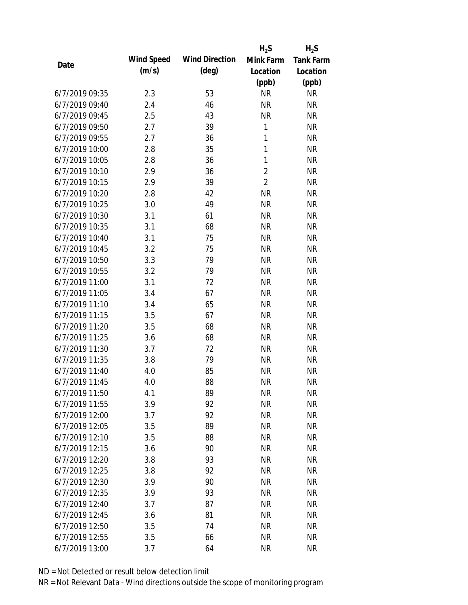|                |            |                       | $H_2S$         | $H_2S$           |
|----------------|------------|-----------------------|----------------|------------------|
| Date           | Wind Speed | <b>Wind Direction</b> | Mink Farm      | <b>Tank Farm</b> |
|                | (m/s)      | $(\text{deg})$        | Location       | Location         |
|                |            |                       | (ppb)          | (ppb)            |
| 6/7/2019 09:35 | 2.3        | 53                    | <b>NR</b>      | <b>NR</b>        |
| 6/7/2019 09:40 | 2.4        | 46                    | <b>NR</b>      | <b>NR</b>        |
| 6/7/2019 09:45 | 2.5        | 43                    | <b>NR</b>      | <b>NR</b>        |
| 6/7/2019 09:50 | 2.7        | 39                    | 1              | <b>NR</b>        |
| 6/7/2019 09:55 | 2.7        | 36                    | $\mathbf{1}$   | <b>NR</b>        |
| 6/7/2019 10:00 | 2.8        | 35                    | 1              | <b>NR</b>        |
| 6/7/2019 10:05 | 2.8        | 36                    | $\mathbf{1}$   | <b>NR</b>        |
| 6/7/2019 10:10 | 2.9        | 36                    | $\overline{2}$ | <b>NR</b>        |
| 6/7/2019 10:15 | 2.9        | 39                    | $\overline{2}$ | <b>NR</b>        |
| 6/7/2019 10:20 | 2.8        | 42                    | <b>NR</b>      | <b>NR</b>        |
| 6/7/2019 10:25 | 3.0        | 49                    | <b>NR</b>      | <b>NR</b>        |
| 6/7/2019 10:30 | 3.1        | 61                    | <b>NR</b>      | <b>NR</b>        |
| 6/7/2019 10:35 | 3.1        | 68                    | <b>NR</b>      | <b>NR</b>        |
| 6/7/2019 10:40 | 3.1        | 75                    | <b>NR</b>      | <b>NR</b>        |
| 6/7/2019 10:45 | 3.2        | 75                    | <b>NR</b>      | <b>NR</b>        |
| 6/7/2019 10:50 | 3.3        | 79                    | <b>NR</b>      | <b>NR</b>        |
| 6/7/2019 10:55 | 3.2        | 79                    | <b>NR</b>      | <b>NR</b>        |
| 6/7/2019 11:00 | 3.1        | 72                    | <b>NR</b>      | <b>NR</b>        |
| 6/7/2019 11:05 | 3.4        | 67                    | <b>NR</b>      | <b>NR</b>        |
| 6/7/2019 11:10 | 3.4        | 65                    | <b>NR</b>      | <b>NR</b>        |
| 6/7/2019 11:15 | 3.5        | 67                    | <b>NR</b>      | <b>NR</b>        |
| 6/7/2019 11:20 | 3.5        | 68                    | <b>NR</b>      | <b>NR</b>        |
| 6/7/2019 11:25 | 3.6        | 68                    | <b>NR</b>      | <b>NR</b>        |
| 6/7/2019 11:30 | 3.7        | 72                    | <b>NR</b>      | <b>NR</b>        |
| 6/7/2019 11:35 | 3.8        | 79                    | <b>NR</b>      | <b>NR</b>        |
| 6/7/2019 11:40 | 4.0        | 85                    | <b>NR</b>      | <b>NR</b>        |
| 6/7/2019 11:45 | 4.0        | 88                    | <b>NR</b>      | <b>NR</b>        |
| 6/7/2019 11:50 | 4.1        | 89                    | <b>NR</b>      | <b>NR</b>        |
| 6/7/2019 11:55 | 3.9        | 92                    | <b>NR</b>      | <b>NR</b>        |
| 6/7/2019 12:00 | 3.7        | 92                    | <b>NR</b>      | <b>NR</b>        |
| 6/7/2019 12:05 | 3.5        | 89                    | <b>NR</b>      | <b>NR</b>        |
| 6/7/2019 12:10 | 3.5        | 88                    | <b>NR</b>      | <b>NR</b>        |
| 6/7/2019 12:15 | 3.6        | 90                    | <b>NR</b>      | <b>NR</b>        |
| 6/7/2019 12:20 | 3.8        | 93                    | <b>NR</b>      | <b>NR</b>        |
| 6/7/2019 12:25 | 3.8        | 92                    | <b>NR</b>      | <b>NR</b>        |
| 6/7/2019 12:30 | 3.9        | 90                    | <b>NR</b>      | <b>NR</b>        |
| 6/7/2019 12:35 | 3.9        | 93                    | <b>NR</b>      | <b>NR</b>        |
| 6/7/2019 12:40 | 3.7        | 87                    | <b>NR</b>      | <b>NR</b>        |
| 6/7/2019 12:45 | 3.6        | 81                    | <b>NR</b>      | <b>NR</b>        |
| 6/7/2019 12:50 | 3.5        | 74                    | <b>NR</b>      | <b>NR</b>        |
| 6/7/2019 12:55 | 3.5        | 66                    | <b>NR</b>      | <b>NR</b>        |
| 6/7/2019 13:00 | 3.7        | 64                    | <b>NR</b>      | <b>NR</b>        |
|                |            |                       |                |                  |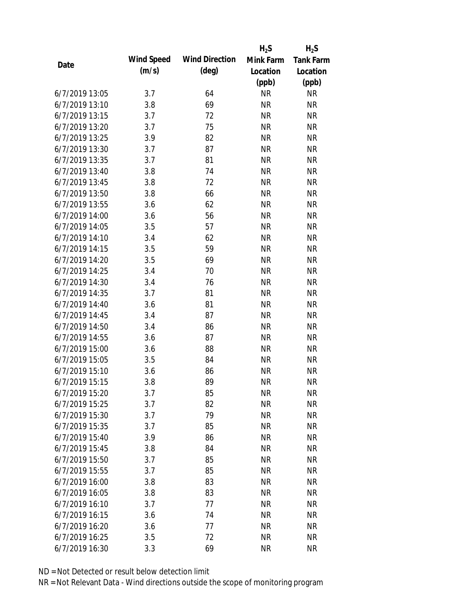|                |            |                       | $H_2S$    | $H_2S$           |
|----------------|------------|-----------------------|-----------|------------------|
|                | Wind Speed | <b>Wind Direction</b> | Mink Farm | <b>Tank Farm</b> |
| Date           | (m/s)      | $(\text{deg})$        | Location  | Location         |
|                |            |                       | (ppb)     | (ppb)            |
| 6/7/2019 13:05 | 3.7        | 64                    | <b>NR</b> | <b>NR</b>        |
| 6/7/2019 13:10 | 3.8        | 69                    | <b>NR</b> | <b>NR</b>        |
| 6/7/2019 13:15 | 3.7        | 72                    | <b>NR</b> | <b>NR</b>        |
| 6/7/2019 13:20 | 3.7        | 75                    | <b>NR</b> | <b>NR</b>        |
| 6/7/2019 13:25 | 3.9        | 82                    | <b>NR</b> | <b>NR</b>        |
| 6/7/2019 13:30 | 3.7        | 87                    | <b>NR</b> | <b>NR</b>        |
| 6/7/2019 13:35 | 3.7        | 81                    | <b>NR</b> | <b>NR</b>        |
| 6/7/2019 13:40 | 3.8        | 74                    | <b>NR</b> | <b>NR</b>        |
| 6/7/2019 13:45 | 3.8        | 72                    | <b>NR</b> | <b>NR</b>        |
| 6/7/2019 13:50 | 3.8        | 66                    | <b>NR</b> | <b>NR</b>        |
| 6/7/2019 13:55 | 3.6        | 62                    | <b>NR</b> | <b>NR</b>        |
| 6/7/2019 14:00 | 3.6        | 56                    | <b>NR</b> | <b>NR</b>        |
| 6/7/2019 14:05 | 3.5        | 57                    | <b>NR</b> | <b>NR</b>        |
| 6/7/2019 14:10 | 3.4        | 62                    | <b>NR</b> | <b>NR</b>        |
| 6/7/2019 14:15 | 3.5        | 59                    | <b>NR</b> | <b>NR</b>        |
| 6/7/2019 14:20 | 3.5        | 69                    | <b>NR</b> | <b>NR</b>        |
| 6/7/2019 14:25 | 3.4        | 70                    | <b>NR</b> | <b>NR</b>        |
| 6/7/2019 14:30 | 3.4        | 76                    | <b>NR</b> | <b>NR</b>        |
| 6/7/2019 14:35 | 3.7        | 81                    | <b>NR</b> | <b>NR</b>        |
| 6/7/2019 14:40 | 3.6        | 81                    | <b>NR</b> | <b>NR</b>        |
| 6/7/2019 14:45 | 3.4        | 87                    | <b>NR</b> | <b>NR</b>        |
| 6/7/2019 14:50 | 3.4        | 86                    | <b>NR</b> | <b>NR</b>        |
| 6/7/2019 14:55 | 3.6        | 87                    | <b>NR</b> | <b>NR</b>        |
| 6/7/2019 15:00 | 3.6        | 88                    | <b>NR</b> | <b>NR</b>        |
| 6/7/2019 15:05 | 3.5        | 84                    | <b>NR</b> | <b>NR</b>        |
| 6/7/2019 15:10 | 3.6        | 86                    | <b>NR</b> | <b>NR</b>        |
| 6/7/2019 15:15 | 3.8        | 89                    | <b>NR</b> | <b>NR</b>        |
| 6/7/2019 15:20 | 3.7        | 85                    | <b>NR</b> | <b>NR</b>        |
| 6/7/2019 15:25 | 3.7        | 82                    | <b>NR</b> | <b>NR</b>        |
| 6/7/2019 15:30 | 3.7        | 79                    | <b>NR</b> | <b>NR</b>        |
| 6/7/2019 15:35 | 3.7        | 85                    | <b>NR</b> | <b>NR</b>        |
| 6/7/2019 15:40 | 3.9        | 86                    | <b>NR</b> | <b>NR</b>        |
| 6/7/2019 15:45 | 3.8        | 84                    | <b>NR</b> | <b>NR</b>        |
| 6/7/2019 15:50 | 3.7        | 85                    | <b>NR</b> | <b>NR</b>        |
| 6/7/2019 15:55 | 3.7        | 85                    | <b>NR</b> | <b>NR</b>        |
| 6/7/2019 16:00 | 3.8        | 83                    | <b>NR</b> | <b>NR</b>        |
| 6/7/2019 16:05 | 3.8        | 83                    | <b>NR</b> | <b>NR</b>        |
| 6/7/2019 16:10 | 3.7        | 77                    | <b>NR</b> | <b>NR</b>        |
| 6/7/2019 16:15 | 3.6        | 74                    | <b>NR</b> | <b>NR</b>        |
| 6/7/2019 16:20 | 3.6        | 77                    | <b>NR</b> | NR               |
| 6/7/2019 16:25 | 3.5        | 72                    | <b>NR</b> | <b>NR</b>        |
| 6/7/2019 16:30 | 3.3        | 69                    | <b>NR</b> | <b>NR</b>        |
|                |            |                       |           |                  |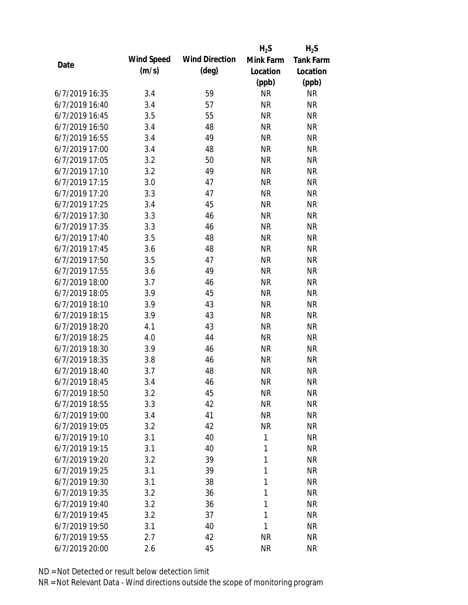|      |                |            |                       | $H_2S$    | $H_2S$           |
|------|----------------|------------|-----------------------|-----------|------------------|
| Date |                | Wind Speed | <b>Wind Direction</b> | Mink Farm | <b>Tank Farm</b> |
|      |                | (m/s)      | $(\text{deg})$        | Location  | Location         |
|      |                |            |                       | (ppb)     | (ppb)            |
|      | 6/7/2019 16:35 | 3.4        | 59                    | <b>NR</b> | <b>NR</b>        |
|      | 6/7/2019 16:40 | 3.4        | 57                    | <b>NR</b> | <b>NR</b>        |
|      | 6/7/2019 16:45 | 3.5        | 55                    | <b>NR</b> | <b>NR</b>        |
|      | 6/7/2019 16:50 | 3.4        | 48                    | <b>NR</b> | <b>NR</b>        |
|      | 6/7/2019 16:55 | 3.4        | 49                    | <b>NR</b> | <b>NR</b>        |
|      | 6/7/2019 17:00 | 3.4        | 48                    | <b>NR</b> | <b>NR</b>        |
|      | 6/7/2019 17:05 | 3.2        | 50                    | <b>NR</b> | <b>NR</b>        |
|      | 6/7/2019 17:10 | 3.2        | 49                    | <b>NR</b> | <b>NR</b>        |
|      | 6/7/2019 17:15 | 3.0        | 47                    | <b>NR</b> | <b>NR</b>        |
|      | 6/7/2019 17:20 | 3.3        | 47                    | <b>NR</b> | <b>NR</b>        |
|      | 6/7/2019 17:25 | 3.4        | 45                    | <b>NR</b> | <b>NR</b>        |
|      | 6/7/2019 17:30 | 3.3        | 46                    | <b>NR</b> | <b>NR</b>        |
|      | 6/7/2019 17:35 | 3.3        | 46                    | <b>NR</b> | <b>NR</b>        |
|      | 6/7/2019 17:40 | 3.5        | 48                    | <b>NR</b> | <b>NR</b>        |
|      | 6/7/2019 17:45 | 3.6        | 48                    | <b>NR</b> | <b>NR</b>        |
|      | 6/7/2019 17:50 | 3.5        | 47                    | <b>NR</b> | <b>NR</b>        |
|      | 6/7/2019 17:55 | 3.6        | 49                    | <b>NR</b> | <b>NR</b>        |
|      | 6/7/2019 18:00 | 3.7        | 46                    | <b>NR</b> | <b>NR</b>        |
|      | 6/7/2019 18:05 | 3.9        | 45                    | <b>NR</b> | <b>NR</b>        |
|      | 6/7/2019 18:10 | 3.9        | 43                    | <b>NR</b> | <b>NR</b>        |
|      | 6/7/2019 18:15 | 3.9        | 43                    | <b>NR</b> | <b>NR</b>        |
|      | 6/7/2019 18:20 | 4.1        | 43                    | <b>NR</b> | <b>NR</b>        |
|      | 6/7/2019 18:25 | 4.0        | 44                    | <b>NR</b> | <b>NR</b>        |
|      | 6/7/2019 18:30 | 3.9        | 46                    | <b>NR</b> | <b>NR</b>        |
|      | 6/7/2019 18:35 | 3.8        | 46                    | <b>NR</b> | <b>NR</b>        |
|      | 6/7/2019 18:40 | 3.7        | 48                    | <b>NR</b> | <b>NR</b>        |
|      | 6/7/2019 18:45 | 3.4        | 46                    | <b>NR</b> | <b>NR</b>        |
|      | 6/7/2019 18:50 | 3.2        | 45                    | <b>NR</b> | <b>NR</b>        |
|      | 6/7/2019 18:55 | 3.3        | 42                    | <b>NR</b> | <b>NR</b>        |
|      | 6/7/2019 19:00 | 3.4        | 41                    | <b>NR</b> | <b>NR</b>        |
|      | 6/7/2019 19:05 | 3.2        | 42                    | <b>NR</b> | <b>NR</b>        |
|      | 6/7/2019 19:10 | 3.1        | 40                    | 1         | <b>NR</b>        |
|      | 6/7/2019 19:15 | 3.1        | 40                    | 1         | <b>NR</b>        |
|      | 6/7/2019 19:20 | 3.2        | 39                    | 1         | <b>NR</b>        |
|      | 6/7/2019 19:25 | 3.1        | 39                    | 1         | <b>NR</b>        |
|      | 6/7/2019 19:30 | 3.1        | 38                    | 1         | <b>NR</b>        |
|      | 6/7/2019 19:35 | 3.2        | 36                    | 1         | <b>NR</b>        |
|      | 6/7/2019 19:40 | 3.2        | 36                    | 1         | <b>NR</b>        |
|      | 6/7/2019 19:45 | 3.2        | 37                    | 1         | <b>NR</b>        |
|      | 6/7/2019 19:50 | 3.1        | 40                    | 1         | <b>NR</b>        |
|      | 6/7/2019 19:55 | 2.7        | 42                    | <b>NR</b> | <b>NR</b>        |
|      | 6/7/2019 20:00 | 2.6        | 45                    | <b>NR</b> | <b>NR</b>        |
|      |                |            |                       |           |                  |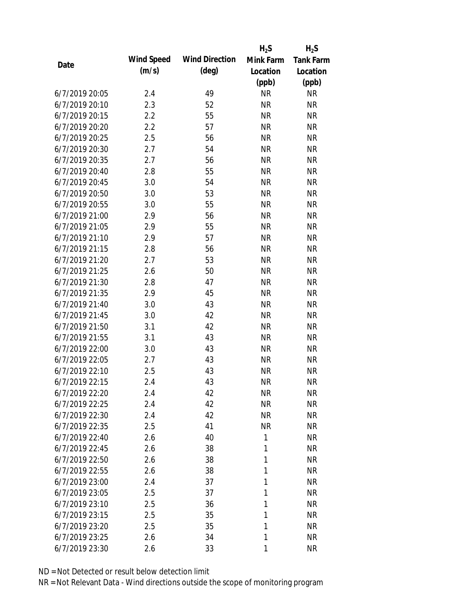|      |                |            |                       | $H_2S$    | $H_2S$           |
|------|----------------|------------|-----------------------|-----------|------------------|
|      |                | Wind Speed | <b>Wind Direction</b> | Mink Farm | <b>Tank Farm</b> |
| Date |                | (m/s)      | $(\text{deg})$        | Location  | Location         |
|      |                |            |                       | (ppb)     | (ppb)            |
|      | 6/7/2019 20:05 | 2.4        | 49                    | <b>NR</b> | <b>NR</b>        |
|      | 6/7/2019 20:10 | 2.3        | 52                    | <b>NR</b> | <b>NR</b>        |
|      | 6/7/2019 20:15 | 2.2        | 55                    | <b>NR</b> | <b>NR</b>        |
|      | 6/7/2019 20:20 | 2.2        | 57                    | <b>NR</b> | <b>NR</b>        |
|      | 6/7/2019 20:25 | 2.5        | 56                    | <b>NR</b> | <b>NR</b>        |
|      | 6/7/2019 20:30 | 2.7        | 54                    | <b>NR</b> | <b>NR</b>        |
|      | 6/7/2019 20:35 | 2.7        | 56                    | <b>NR</b> | <b>NR</b>        |
|      | 6/7/2019 20:40 | 2.8        | 55                    | <b>NR</b> | <b>NR</b>        |
|      | 6/7/2019 20:45 | 3.0        | 54                    | <b>NR</b> | <b>NR</b>        |
|      | 6/7/2019 20:50 | 3.0        | 53                    | <b>NR</b> | <b>NR</b>        |
|      | 6/7/2019 20:55 | 3.0        | 55                    | <b>NR</b> | <b>NR</b>        |
|      | 6/7/2019 21:00 | 2.9        | 56                    | <b>NR</b> | <b>NR</b>        |
|      | 6/7/2019 21:05 | 2.9        | 55                    | <b>NR</b> | <b>NR</b>        |
|      | 6/7/2019 21:10 | 2.9        | 57                    | <b>NR</b> | <b>NR</b>        |
|      | 6/7/2019 21:15 | 2.8        | 56                    | <b>NR</b> | <b>NR</b>        |
|      | 6/7/2019 21:20 | 2.7        | 53                    | <b>NR</b> | <b>NR</b>        |
|      | 6/7/2019 21:25 | 2.6        | 50                    | <b>NR</b> | <b>NR</b>        |
|      | 6/7/2019 21:30 | 2.8        | 47                    | <b>NR</b> | <b>NR</b>        |
|      | 6/7/2019 21:35 | 2.9        | 45                    | <b>NR</b> | <b>NR</b>        |
|      | 6/7/2019 21:40 | 3.0        | 43                    | <b>NR</b> | <b>NR</b>        |
|      | 6/7/2019 21:45 | 3.0        | 42                    | <b>NR</b> | <b>NR</b>        |
|      | 6/7/2019 21:50 | 3.1        | 42                    | <b>NR</b> | <b>NR</b>        |
|      | 6/7/2019 21:55 | 3.1        | 43                    | <b>NR</b> | <b>NR</b>        |
|      | 6/7/2019 22:00 | 3.0        | 43                    | <b>NR</b> | <b>NR</b>        |
|      | 6/7/2019 22:05 | 2.7        | 43                    | <b>NR</b> | <b>NR</b>        |
|      | 6/7/2019 22:10 | 2.5        | 43                    | <b>NR</b> | <b>NR</b>        |
|      | 6/7/2019 22:15 | 2.4        | 43                    | <b>NR</b> | <b>NR</b>        |
|      | 6/7/2019 22:20 | 2.4        | 42                    | <b>NR</b> | <b>NR</b>        |
|      | 6/7/2019 22:25 | 2.4        | 42                    | <b>NR</b> | <b>NR</b>        |
|      | 6/7/2019 22:30 | 2.4        | 42                    | <b>NR</b> | <b>NR</b>        |
|      | 6/7/2019 22:35 | 2.5        | 41                    | <b>NR</b> | <b>NR</b>        |
|      | 6/7/2019 22:40 | 2.6        | 40                    | 1         | <b>NR</b>        |
|      | 6/7/2019 22:45 | 2.6        | 38                    | 1         | <b>NR</b>        |
|      | 6/7/2019 22:50 | 2.6        | 38                    | 1         | <b>NR</b>        |
|      | 6/7/2019 22:55 | 2.6        | 38                    | 1         | <b>NR</b>        |
|      | 6/7/2019 23:00 | 2.4        | 37                    | 1         | <b>NR</b>        |
|      | 6/7/2019 23:05 | 2.5        | 37                    | 1         | <b>NR</b>        |
|      | 6/7/2019 23:10 | 2.5        | 36                    | 1         | <b>NR</b>        |
|      | 6/7/2019 23:15 | 2.5        | 35                    | 1         | <b>NR</b>        |
|      | 6/7/2019 23:20 | 2.5        | 35                    | 1         | <b>NR</b>        |
|      | 6/7/2019 23:25 | 2.6        | 34                    | 1         | <b>NR</b>        |
|      | 6/7/2019 23:30 | 2.6        | 33                    | 1         | <b>NR</b>        |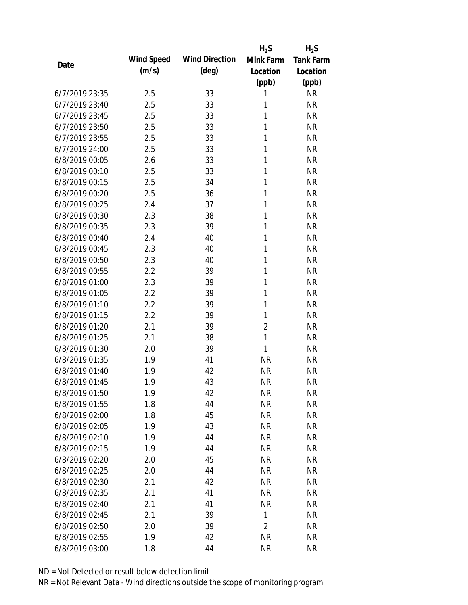|                |            |                       | $H_2S$         | $H_2S$           |
|----------------|------------|-----------------------|----------------|------------------|
| Date           | Wind Speed | <b>Wind Direction</b> | Mink Farm      | <b>Tank Farm</b> |
|                | (m/s)      | $(\text{deg})$        | Location       | Location         |
|                |            |                       | (ppb)          | (ppb)            |
| 6/7/2019 23:35 | 2.5        | 33                    | 1              | <b>NR</b>        |
| 6/7/2019 23:40 | 2.5        | 33                    | 1              | <b>NR</b>        |
| 6/7/2019 23:45 | 2.5        | 33                    | 1              | <b>NR</b>        |
| 6/7/2019 23:50 | 2.5        | 33                    | 1              | <b>NR</b>        |
| 6/7/2019 23:55 | 2.5        | 33                    | 1              | <b>NR</b>        |
| 6/7/2019 24:00 | 2.5        | 33                    | 1              | <b>NR</b>        |
| 6/8/2019 00:05 | 2.6        | 33                    | 1              | <b>NR</b>        |
| 6/8/2019 00:10 | 2.5        | 33                    | 1              | <b>NR</b>        |
| 6/8/2019 00:15 | 2.5        | 34                    | 1              | <b>NR</b>        |
| 6/8/2019 00:20 | 2.5        | 36                    | 1              | <b>NR</b>        |
| 6/8/2019 00:25 | 2.4        | 37                    | 1              | <b>NR</b>        |
| 6/8/2019 00:30 | 2.3        | 38                    | 1              | <b>NR</b>        |
| 6/8/2019 00:35 | 2.3        | 39                    | 1              | <b>NR</b>        |
| 6/8/2019 00:40 | 2.4        | 40                    | 1              | <b>NR</b>        |
| 6/8/2019 00:45 | 2.3        | 40                    | 1              | <b>NR</b>        |
| 6/8/2019 00:50 | 2.3        | 40                    | 1              | <b>NR</b>        |
| 6/8/2019 00:55 | 2.2        | 39                    | 1              | <b>NR</b>        |
| 6/8/2019 01:00 | 2.3        | 39                    | 1              | <b>NR</b>        |
| 6/8/2019 01:05 | 2.2        | 39                    | $\mathbf{1}$   | <b>NR</b>        |
| 6/8/2019 01:10 | 2.2        | 39                    | 1              | <b>NR</b>        |
| 6/8/2019 01:15 | 2.2        | 39                    | 1              | <b>NR</b>        |
| 6/8/2019 01:20 | 2.1        | 39                    | $\overline{2}$ | <b>NR</b>        |
| 6/8/2019 01:25 | 2.1        | 38                    | $\mathbf{1}$   | <b>NR</b>        |
| 6/8/2019 01:30 | 2.0        | 39                    | 1              | <b>NR</b>        |
| 6/8/2019 01:35 | 1.9        | 41                    | <b>NR</b>      | <b>NR</b>        |
| 6/8/2019 01:40 | 1.9        | 42                    | <b>NR</b>      | <b>NR</b>        |
| 6/8/2019 01:45 | 1.9        | 43                    | <b>NR</b>      | <b>NR</b>        |
| 6/8/2019 01:50 | 1.9        | 42                    | <b>NR</b>      | <b>NR</b>        |
| 6/8/2019 01:55 | 1.8        | 44                    | <b>NR</b>      | <b>NR</b>        |
| 6/8/2019 02:00 | 1.8        | 45                    | <b>NR</b>      | <b>NR</b>        |
| 6/8/2019 02:05 | 1.9        | 43                    | <b>NR</b>      | <b>NR</b>        |
| 6/8/2019 02:10 | 1.9        | 44                    | <b>NR</b>      | <b>NR</b>        |
| 6/8/2019 02:15 | 1.9        | 44                    | <b>NR</b>      | <b>NR</b>        |
| 6/8/2019 02:20 | 2.0        | 45                    | <b>NR</b>      | <b>NR</b>        |
| 6/8/2019 02:25 | 2.0        | 44                    | <b>NR</b>      | <b>NR</b>        |
| 6/8/2019 02:30 | 2.1        | 42                    | <b>NR</b>      | <b>NR</b>        |
| 6/8/2019 02:35 | 2.1        | 41                    | <b>NR</b>      | <b>NR</b>        |
| 6/8/2019 02:40 | 2.1        | 41                    | <b>NR</b>      | <b>NR</b>        |
| 6/8/2019 02:45 | 2.1        | 39                    | $\mathbf{1}$   | <b>NR</b>        |
| 6/8/2019 02:50 | 2.0        | 39                    | $\overline{2}$ | <b>NR</b>        |
| 6/8/2019 02:55 | 1.9        | 42                    | <b>NR</b>      | <b>NR</b>        |
| 6/8/2019 03:00 | 1.8        | 44                    | <b>NR</b>      | <b>NR</b>        |
|                |            |                       |                |                  |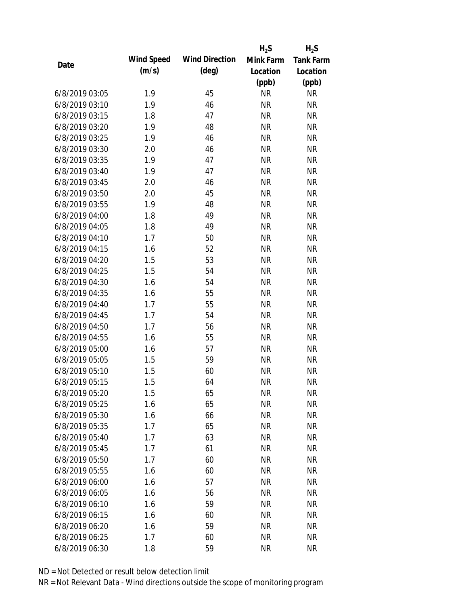|                |            |                       | $H_2S$    | $H_2S$           |
|----------------|------------|-----------------------|-----------|------------------|
| Date           | Wind Speed | <b>Wind Direction</b> | Mink Farm | <b>Tank Farm</b> |
|                | (m/s)      | $(\text{deg})$        | Location  | Location         |
|                |            |                       | (ppb)     | (ppb)            |
| 6/8/2019 03:05 | 1.9        | 45                    | <b>NR</b> | <b>NR</b>        |
| 6/8/2019 03:10 | 1.9        | 46                    | <b>NR</b> | <b>NR</b>        |
| 6/8/2019 03:15 | 1.8        | 47                    | <b>NR</b> | <b>NR</b>        |
| 6/8/2019 03:20 | 1.9        | 48                    | <b>NR</b> | <b>NR</b>        |
| 6/8/2019 03:25 | 1.9        | 46                    | <b>NR</b> | <b>NR</b>        |
| 6/8/2019 03:30 | 2.0        | 46                    | <b>NR</b> | <b>NR</b>        |
| 6/8/2019 03:35 | 1.9        | 47                    | <b>NR</b> | <b>NR</b>        |
| 6/8/2019 03:40 | 1.9        | 47                    | <b>NR</b> | <b>NR</b>        |
| 6/8/2019 03:45 | 2.0        | 46                    | <b>NR</b> | <b>NR</b>        |
| 6/8/2019 03:50 | 2.0        | 45                    | <b>NR</b> | <b>NR</b>        |
| 6/8/2019 03:55 | 1.9        | 48                    | <b>NR</b> | <b>NR</b>        |
| 6/8/2019 04:00 | 1.8        | 49                    | <b>NR</b> | <b>NR</b>        |
| 6/8/2019 04:05 | 1.8        | 49                    | <b>NR</b> | <b>NR</b>        |
| 6/8/2019 04:10 | 1.7        | 50                    | <b>NR</b> | <b>NR</b>        |
| 6/8/2019 04:15 | 1.6        | 52                    | <b>NR</b> | <b>NR</b>        |
| 6/8/2019 04:20 | 1.5        | 53                    | <b>NR</b> | <b>NR</b>        |
| 6/8/2019 04:25 | 1.5        | 54                    | <b>NR</b> | <b>NR</b>        |
| 6/8/2019 04:30 | 1.6        | 54                    | <b>NR</b> | <b>NR</b>        |
| 6/8/2019 04:35 | 1.6        | 55                    | <b>NR</b> | <b>NR</b>        |
| 6/8/2019 04:40 | 1.7        | 55                    | <b>NR</b> | <b>NR</b>        |
| 6/8/2019 04:45 | 1.7        | 54                    | <b>NR</b> | <b>NR</b>        |
| 6/8/2019 04:50 | 1.7        | 56                    | <b>NR</b> | <b>NR</b>        |
| 6/8/2019 04:55 | 1.6        | 55                    | <b>NR</b> | <b>NR</b>        |
| 6/8/2019 05:00 | 1.6        | 57                    | <b>NR</b> | <b>NR</b>        |
| 6/8/2019 05:05 | 1.5        | 59                    | <b>NR</b> | <b>NR</b>        |
| 6/8/2019 05:10 | 1.5        | 60                    | <b>NR</b> | <b>NR</b>        |
| 6/8/2019 05:15 | 1.5        | 64                    | <b>NR</b> | <b>NR</b>        |
| 6/8/2019 05:20 | 1.5        | 65                    | <b>NR</b> | <b>NR</b>        |
| 6/8/2019 05:25 | 1.6        | 65                    | <b>NR</b> | <b>NR</b>        |
| 6/8/2019 05:30 | 1.6        | 66                    | <b>NR</b> | <b>NR</b>        |
| 6/8/2019 05:35 | 1.7        | 65                    | <b>NR</b> | <b>NR</b>        |
| 6/8/2019 05:40 | 1.7        | 63                    | <b>NR</b> | <b>NR</b>        |
| 6/8/2019 05:45 | 1.7        | 61                    | <b>NR</b> | <b>NR</b>        |
| 6/8/2019 05:50 | 1.7        | 60                    | <b>NR</b> | <b>NR</b>        |
| 6/8/2019 05:55 | 1.6        | 60                    | <b>NR</b> | <b>NR</b>        |
| 6/8/2019 06:00 | 1.6        | 57                    | <b>NR</b> | <b>NR</b>        |
| 6/8/2019 06:05 | 1.6        | 56                    | <b>NR</b> | <b>NR</b>        |
| 6/8/2019 06:10 | 1.6        | 59                    | <b>NR</b> | <b>NR</b>        |
| 6/8/2019 06:15 | 1.6        | 60                    | <b>NR</b> | <b>NR</b>        |
| 6/8/2019 06:20 | 1.6        | 59                    | <b>NR</b> | <b>NR</b>        |
| 6/8/2019 06:25 | 1.7        | 60                    | <b>NR</b> | <b>NR</b>        |
| 6/8/2019 06:30 | 1.8        | 59                    | <b>NR</b> | <b>NR</b>        |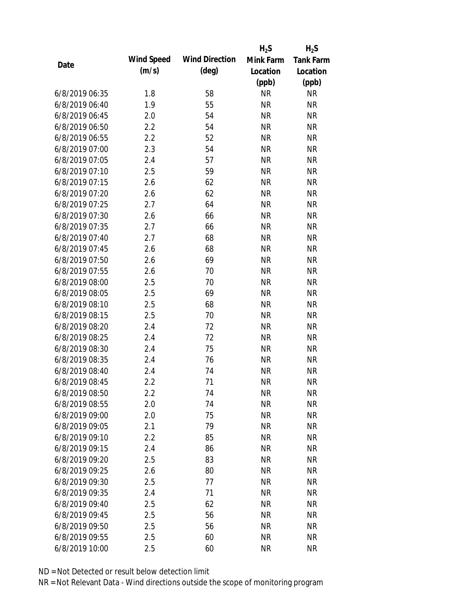|                |            |                       | $H_2S$    | $H_2S$           |
|----------------|------------|-----------------------|-----------|------------------|
| Date           | Wind Speed | <b>Wind Direction</b> | Mink Farm | <b>Tank Farm</b> |
|                | (m/s)      | $(\text{deg})$        | Location  | Location         |
|                |            |                       | (ppb)     | (ppb)            |
| 6/8/2019 06:35 | 1.8        | 58                    | <b>NR</b> | <b>NR</b>        |
| 6/8/2019 06:40 | 1.9        | 55                    | <b>NR</b> | <b>NR</b>        |
| 6/8/2019 06:45 | 2.0        | 54                    | <b>NR</b> | <b>NR</b>        |
| 6/8/2019 06:50 | 2.2        | 54                    | <b>NR</b> | <b>NR</b>        |
| 6/8/2019 06:55 | 2.2        | 52                    | <b>NR</b> | <b>NR</b>        |
| 6/8/2019 07:00 | 2.3        | 54                    | <b>NR</b> | <b>NR</b>        |
| 6/8/2019 07:05 | 2.4        | 57                    | <b>NR</b> | <b>NR</b>        |
| 6/8/2019 07:10 | 2.5        | 59                    | <b>NR</b> | <b>NR</b>        |
| 6/8/2019 07:15 | 2.6        | 62                    | <b>NR</b> | <b>NR</b>        |
| 6/8/2019 07:20 | 2.6        | 62                    | <b>NR</b> | <b>NR</b>        |
| 6/8/2019 07:25 | 2.7        | 64                    | <b>NR</b> | <b>NR</b>        |
| 6/8/2019 07:30 | 2.6        | 66                    | <b>NR</b> | <b>NR</b>        |
| 6/8/2019 07:35 | 2.7        | 66                    | <b>NR</b> | <b>NR</b>        |
| 6/8/2019 07:40 | 2.7        | 68                    | <b>NR</b> | <b>NR</b>        |
| 6/8/2019 07:45 | 2.6        | 68                    | <b>NR</b> | <b>NR</b>        |
| 6/8/2019 07:50 | 2.6        | 69                    | <b>NR</b> | <b>NR</b>        |
| 6/8/2019 07:55 | 2.6        | 70                    | <b>NR</b> | <b>NR</b>        |
| 6/8/2019 08:00 | 2.5        | 70                    | <b>NR</b> | <b>NR</b>        |
| 6/8/2019 08:05 | 2.5        | 69                    | <b>NR</b> | <b>NR</b>        |
| 6/8/2019 08:10 | 2.5        | 68                    | <b>NR</b> | <b>NR</b>        |
| 6/8/2019 08:15 | 2.5        | 70                    | <b>NR</b> | <b>NR</b>        |
| 6/8/2019 08:20 | 2.4        | 72                    | <b>NR</b> | <b>NR</b>        |
| 6/8/2019 08:25 | 2.4        | 72                    | <b>NR</b> | <b>NR</b>        |
| 6/8/2019 08:30 | 2.4        | 75                    | <b>NR</b> | <b>NR</b>        |
| 6/8/2019 08:35 | 2.4        | 76                    | <b>NR</b> | <b>NR</b>        |
| 6/8/2019 08:40 | 2.4        | 74                    | <b>NR</b> | <b>NR</b>        |
| 6/8/2019 08:45 | 2.2        | 71                    | <b>NR</b> | <b>NR</b>        |
| 6/8/2019 08:50 | 2.2        | 74                    | <b>NR</b> | <b>NR</b>        |
| 6/8/2019 08:55 | 2.0        | 74                    | <b>NR</b> | <b>NR</b>        |
| 6/8/2019 09:00 | 2.0        | 75                    | <b>NR</b> | <b>NR</b>        |
| 6/8/2019 09:05 | 2.1        | 79                    | <b>NR</b> | <b>NR</b>        |
| 6/8/2019 09:10 | 2.2        | 85                    | <b>NR</b> | <b>NR</b>        |
| 6/8/2019 09:15 | 2.4        | 86                    | <b>NR</b> | <b>NR</b>        |
| 6/8/2019 09:20 | 2.5        | 83                    | <b>NR</b> | <b>NR</b>        |
| 6/8/2019 09:25 | 2.6        | 80                    | <b>NR</b> | <b>NR</b>        |
| 6/8/2019 09:30 | 2.5        | 77                    | <b>NR</b> | <b>NR</b>        |
| 6/8/2019 09:35 | 2.4        | 71                    | <b>NR</b> | <b>NR</b>        |
| 6/8/2019 09:40 | 2.5        | 62                    | <b>NR</b> | <b>NR</b>        |
| 6/8/2019 09:45 | 2.5        | 56                    | <b>NR</b> | <b>NR</b>        |
| 6/8/2019 09:50 | 2.5        | 56                    | <b>NR</b> | <b>NR</b>        |
| 6/8/2019 09:55 | 2.5        | 60                    | <b>NR</b> | <b>NR</b>        |
| 6/8/2019 10:00 | 2.5        | 60                    | <b>NR</b> | <b>NR</b>        |
|                |            |                       |           |                  |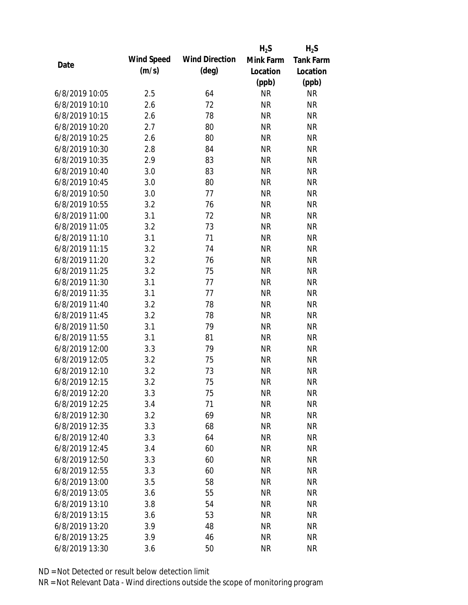|                |            |                       | $H_2S$    | $H_2S$           |
|----------------|------------|-----------------------|-----------|------------------|
| Date           | Wind Speed | <b>Wind Direction</b> | Mink Farm | <b>Tank Farm</b> |
|                | (m/s)      | $(\text{deg})$        | Location  | Location         |
|                |            |                       | (ppb)     | (ppb)            |
| 6/8/2019 10:05 | 2.5        | 64                    | <b>NR</b> | <b>NR</b>        |
| 6/8/2019 10:10 | 2.6        | 72                    | <b>NR</b> | <b>NR</b>        |
| 6/8/2019 10:15 | 2.6        | 78                    | <b>NR</b> | <b>NR</b>        |
| 6/8/2019 10:20 | 2.7        | 80                    | <b>NR</b> | <b>NR</b>        |
| 6/8/2019 10:25 | 2.6        | 80                    | <b>NR</b> | <b>NR</b>        |
| 6/8/2019 10:30 | 2.8        | 84                    | <b>NR</b> | <b>NR</b>        |
| 6/8/2019 10:35 | 2.9        | 83                    | <b>NR</b> | <b>NR</b>        |
| 6/8/2019 10:40 | 3.0        | 83                    | <b>NR</b> | <b>NR</b>        |
| 6/8/2019 10:45 | 3.0        | 80                    | <b>NR</b> | <b>NR</b>        |
| 6/8/2019 10:50 | 3.0        | 77                    | <b>NR</b> | <b>NR</b>        |
| 6/8/2019 10:55 | 3.2        | 76                    | <b>NR</b> | <b>NR</b>        |
| 6/8/2019 11:00 | 3.1        | 72                    | <b>NR</b> | <b>NR</b>        |
| 6/8/2019 11:05 | 3.2        | 73                    | <b>NR</b> | <b>NR</b>        |
| 6/8/2019 11:10 | 3.1        | 71                    | <b>NR</b> | <b>NR</b>        |
| 6/8/2019 11:15 | 3.2        | 74                    | <b>NR</b> | <b>NR</b>        |
| 6/8/2019 11:20 | 3.2        | 76                    | <b>NR</b> | <b>NR</b>        |
| 6/8/2019 11:25 | 3.2        | 75                    | <b>NR</b> | <b>NR</b>        |
| 6/8/2019 11:30 | 3.1        | 77                    | <b>NR</b> | <b>NR</b>        |
| 6/8/2019 11:35 | 3.1        | 77                    | <b>NR</b> | <b>NR</b>        |
| 6/8/2019 11:40 | 3.2        | 78                    | <b>NR</b> | <b>NR</b>        |
| 6/8/2019 11:45 | 3.2        | 78                    | <b>NR</b> | <b>NR</b>        |
| 6/8/2019 11:50 | 3.1        | 79                    | <b>NR</b> | <b>NR</b>        |
| 6/8/2019 11:55 | 3.1        | 81                    | <b>NR</b> | <b>NR</b>        |
| 6/8/2019 12:00 | 3.3        | 79                    | <b>NR</b> | <b>NR</b>        |
| 6/8/2019 12:05 | 3.2        | 75                    | <b>NR</b> | <b>NR</b>        |
| 6/8/2019 12:10 | 3.2        | 73                    | <b>NR</b> | <b>NR</b>        |
| 6/8/2019 12:15 | 3.2        | 75                    | <b>NR</b> | <b>NR</b>        |
| 6/8/2019 12:20 | 3.3        | 75                    | <b>NR</b> | <b>NR</b>        |
| 6/8/2019 12:25 | 3.4        | 71                    | <b>NR</b> | <b>NR</b>        |
| 6/8/2019 12:30 | 3.2        | 69                    | <b>NR</b> | <b>NR</b>        |
| 6/8/2019 12:35 | 3.3        | 68                    | <b>NR</b> | <b>NR</b>        |
| 6/8/2019 12:40 | 3.3        | 64                    | <b>NR</b> | <b>NR</b>        |
| 6/8/2019 12:45 | 3.4        | 60                    | <b>NR</b> | <b>NR</b>        |
| 6/8/2019 12:50 | 3.3        | 60                    | <b>NR</b> | <b>NR</b>        |
| 6/8/2019 12:55 | 3.3        | 60                    | <b>NR</b> | <b>NR</b>        |
| 6/8/2019 13:00 | 3.5        | 58                    | <b>NR</b> | <b>NR</b>        |
| 6/8/2019 13:05 | 3.6        | 55                    | <b>NR</b> | <b>NR</b>        |
| 6/8/2019 13:10 | 3.8        | 54                    | <b>NR</b> | <b>NR</b>        |
| 6/8/2019 13:15 | 3.6        | 53                    | <b>NR</b> | <b>NR</b>        |
| 6/8/2019 13:20 | 3.9        | 48                    | <b>NR</b> | <b>NR</b>        |
| 6/8/2019 13:25 | 3.9        | 46                    | <b>NR</b> | <b>NR</b>        |
| 6/8/2019 13:30 | 3.6        | 50                    | <b>NR</b> | <b>NR</b>        |
|                |            |                       |           |                  |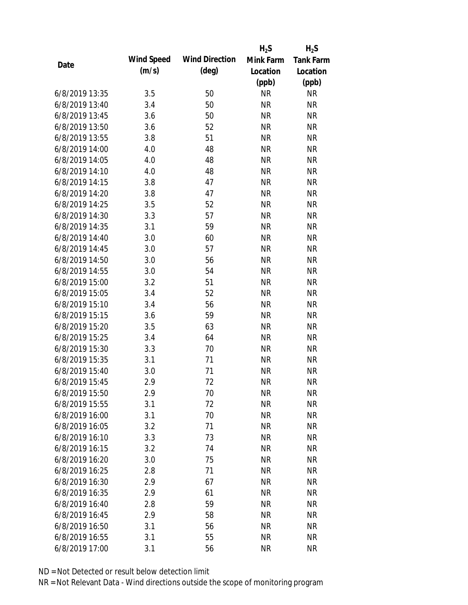|                |            |                       | $H_2S$    | $H_2S$           |
|----------------|------------|-----------------------|-----------|------------------|
| Date           | Wind Speed | <b>Wind Direction</b> | Mink Farm | <b>Tank Farm</b> |
|                | (m/s)      | $(\text{deg})$        | Location  | Location         |
|                |            |                       | (ppb)     | (ppb)            |
| 6/8/2019 13:35 | 3.5        | 50                    | <b>NR</b> | <b>NR</b>        |
| 6/8/2019 13:40 | 3.4        | 50                    | <b>NR</b> | <b>NR</b>        |
| 6/8/2019 13:45 | 3.6        | 50                    | <b>NR</b> | <b>NR</b>        |
| 6/8/2019 13:50 | 3.6        | 52                    | <b>NR</b> | <b>NR</b>        |
| 6/8/2019 13:55 | 3.8        | 51                    | <b>NR</b> | <b>NR</b>        |
| 6/8/2019 14:00 | 4.0        | 48                    | <b>NR</b> | <b>NR</b>        |
| 6/8/2019 14:05 | 4.0        | 48                    | <b>NR</b> | <b>NR</b>        |
| 6/8/2019 14:10 | 4.0        | 48                    | <b>NR</b> | <b>NR</b>        |
| 6/8/2019 14:15 | 3.8        | 47                    | <b>NR</b> | <b>NR</b>        |
| 6/8/2019 14:20 | 3.8        | 47                    | <b>NR</b> | <b>NR</b>        |
| 6/8/2019 14:25 | 3.5        | 52                    | <b>NR</b> | <b>NR</b>        |
| 6/8/2019 14:30 | 3.3        | 57                    | <b>NR</b> | <b>NR</b>        |
| 6/8/2019 14:35 | 3.1        | 59                    | <b>NR</b> | <b>NR</b>        |
| 6/8/2019 14:40 | 3.0        | 60                    | <b>NR</b> | <b>NR</b>        |
| 6/8/2019 14:45 | 3.0        | 57                    | <b>NR</b> | <b>NR</b>        |
| 6/8/2019 14:50 | 3.0        | 56                    | <b>NR</b> | <b>NR</b>        |
| 6/8/2019 14:55 | 3.0        | 54                    | <b>NR</b> | <b>NR</b>        |
| 6/8/2019 15:00 | 3.2        | 51                    | <b>NR</b> | <b>NR</b>        |
| 6/8/2019 15:05 | 3.4        | 52                    | <b>NR</b> | <b>NR</b>        |
| 6/8/2019 15:10 | 3.4        | 56                    | <b>NR</b> | <b>NR</b>        |
| 6/8/2019 15:15 | 3.6        | 59                    | <b>NR</b> | <b>NR</b>        |
| 6/8/2019 15:20 | 3.5        | 63                    | <b>NR</b> | <b>NR</b>        |
| 6/8/2019 15:25 | 3.4        | 64                    | <b>NR</b> | <b>NR</b>        |
| 6/8/2019 15:30 | 3.3        | 70                    | <b>NR</b> | <b>NR</b>        |
| 6/8/2019 15:35 | 3.1        | 71                    | <b>NR</b> | <b>NR</b>        |
| 6/8/2019 15:40 | 3.0        | 71                    | <b>NR</b> | <b>NR</b>        |
| 6/8/2019 15:45 | 2.9        | 72                    | <b>NR</b> | <b>NR</b>        |
| 6/8/2019 15:50 | 2.9        | 70                    | <b>NR</b> | <b>NR</b>        |
| 6/8/2019 15:55 | 3.1        | 72                    | <b>NR</b> | <b>NR</b>        |
| 6/8/2019 16:00 | 3.1        | 70                    | <b>NR</b> | <b>NR</b>        |
| 6/8/2019 16:05 | 3.2        | 71                    | <b>NR</b> | <b>NR</b>        |
| 6/8/2019 16:10 | 3.3        | 73                    | <b>NR</b> | <b>NR</b>        |
| 6/8/2019 16:15 | 3.2        | 74                    | <b>NR</b> | <b>NR</b>        |
| 6/8/2019 16:20 | 3.0        | 75                    | <b>NR</b> | <b>NR</b>        |
| 6/8/2019 16:25 | 2.8        | 71                    | <b>NR</b> | <b>NR</b>        |
| 6/8/2019 16:30 | 2.9        | 67                    | <b>NR</b> | <b>NR</b>        |
| 6/8/2019 16:35 | 2.9        | 61                    | <b>NR</b> | <b>NR</b>        |
| 6/8/2019 16:40 | 2.8        | 59                    | <b>NR</b> | <b>NR</b>        |
| 6/8/2019 16:45 | 2.9        | 58                    | <b>NR</b> | <b>NR</b>        |
| 6/8/2019 16:50 | 3.1        | 56                    | <b>NR</b> | <b>NR</b>        |
| 6/8/2019 16:55 | 3.1        | 55                    | <b>NR</b> | <b>NR</b>        |
| 6/8/2019 17:00 | 3.1        | 56                    | <b>NR</b> | <b>NR</b>        |
|                |            |                       |           |                  |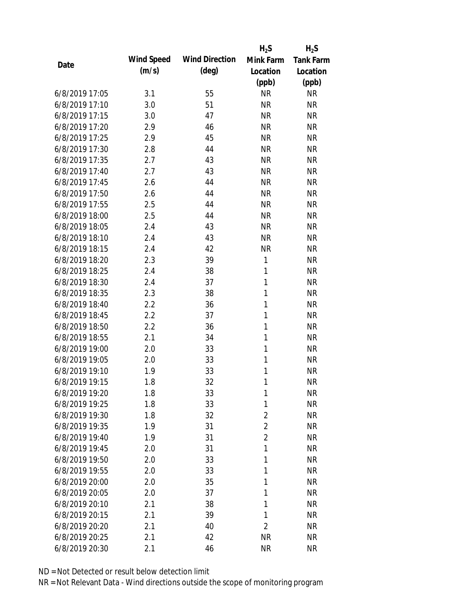|                |            |                       | $H_2S$         | $H_2S$           |
|----------------|------------|-----------------------|----------------|------------------|
| Date           | Wind Speed | <b>Wind Direction</b> | Mink Farm      | <b>Tank Farm</b> |
|                | (m/s)      | $(\text{deg})$        | Location       | Location         |
|                |            |                       | (ppb)          | (ppb)            |
| 6/8/2019 17:05 | 3.1        | 55                    | <b>NR</b>      | <b>NR</b>        |
| 6/8/2019 17:10 | 3.0        | 51                    | <b>NR</b>      | <b>NR</b>        |
| 6/8/2019 17:15 | 3.0        | 47                    | <b>NR</b>      | <b>NR</b>        |
| 6/8/2019 17:20 | 2.9        | 46                    | <b>NR</b>      | <b>NR</b>        |
| 6/8/2019 17:25 | 2.9        | 45                    | <b>NR</b>      | <b>NR</b>        |
| 6/8/2019 17:30 | 2.8        | 44                    | <b>NR</b>      | <b>NR</b>        |
| 6/8/2019 17:35 | 2.7        | 43                    | <b>NR</b>      | <b>NR</b>        |
| 6/8/2019 17:40 | 2.7        | 43                    | <b>NR</b>      | <b>NR</b>        |
| 6/8/2019 17:45 | 2.6        | 44                    | <b>NR</b>      | <b>NR</b>        |
| 6/8/2019 17:50 | 2.6        | 44                    | <b>NR</b>      | <b>NR</b>        |
| 6/8/2019 17:55 | 2.5        | 44                    | <b>NR</b>      | <b>NR</b>        |
| 6/8/2019 18:00 | 2.5        | 44                    | <b>NR</b>      | <b>NR</b>        |
| 6/8/2019 18:05 | 2.4        | 43                    | <b>NR</b>      | <b>NR</b>        |
| 6/8/2019 18:10 | 2.4        | 43                    | <b>NR</b>      | <b>NR</b>        |
| 6/8/2019 18:15 | 2.4        | 42                    | <b>NR</b>      | <b>NR</b>        |
| 6/8/2019 18:20 | 2.3        | 39                    | $\mathbf{1}$   | <b>NR</b>        |
| 6/8/2019 18:25 | 2.4        | 38                    | 1              | <b>NR</b>        |
| 6/8/2019 18:30 | 2.4        | 37                    | $\mathbf{1}$   | <b>NR</b>        |
| 6/8/2019 18:35 | 2.3        | 38                    | $\mathbf{1}$   | <b>NR</b>        |
| 6/8/2019 18:40 | 2.2        | 36                    | 1              | <b>NR</b>        |
| 6/8/2019 18:45 | 2.2        | 37                    | 1              | <b>NR</b>        |
| 6/8/2019 18:50 | 2.2        | 36                    | 1              | <b>NR</b>        |
| 6/8/2019 18:55 | 2.1        | 34                    | 1              | <b>NR</b>        |
| 6/8/2019 19:00 | 2.0        | 33                    | 1              | <b>NR</b>        |
| 6/8/2019 19:05 | 2.0        | 33                    | 1              | <b>NR</b>        |
| 6/8/2019 19:10 | 1.9        | 33                    | 1              | <b>NR</b>        |
| 6/8/2019 19:15 | 1.8        | 32                    | 1              | <b>NR</b>        |
| 6/8/2019 19:20 | 1.8        | 33                    | 1              | <b>NR</b>        |
| 6/8/2019 19:25 | 1.8        | 33                    | 1              | <b>NR</b>        |
| 6/8/2019 19:30 | 1.8        | 32                    | $\overline{2}$ | <b>NR</b>        |
| 6/8/2019 19:35 | 1.9        | 31                    | $\overline{2}$ | <b>NR</b>        |
| 6/8/2019 19:40 | 1.9        | 31                    | $\overline{2}$ | <b>NR</b>        |
| 6/8/2019 19:45 | 2.0        | 31                    | 1              | <b>NR</b>        |
| 6/8/2019 19:50 | 2.0        | 33                    | 1              | <b>NR</b>        |
| 6/8/2019 19:55 | 2.0        | 33                    | 1              | <b>NR</b>        |
| 6/8/2019 20:00 | 2.0        | 35                    | 1              | <b>NR</b>        |
| 6/8/2019 20:05 | 2.0        | 37                    | 1              | <b>NR</b>        |
| 6/8/2019 20:10 | 2.1        | 38                    | 1              | <b>NR</b>        |
| 6/8/2019 20:15 | 2.1        | 39                    | 1              | <b>NR</b>        |
| 6/8/2019 20:20 | 2.1        | 40                    | 2              | <b>NR</b>        |
| 6/8/2019 20:25 | 2.1        | 42                    | <b>NR</b>      | <b>NR</b>        |
| 6/8/2019 20:30 | 2.1        | 46                    | <b>NR</b>      | <b>NR</b>        |